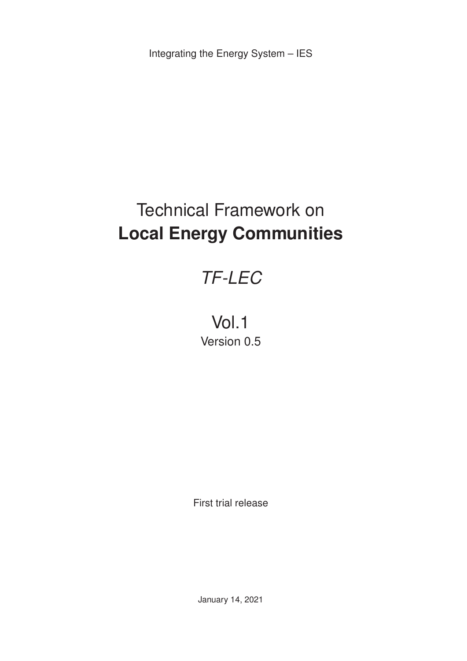Integrating the Energy System – IES

# Technical Framework on **Local Energy Communities**

# *TF-LEC*

# Vol.1 Version 0.5

First trial release

January 14, 2021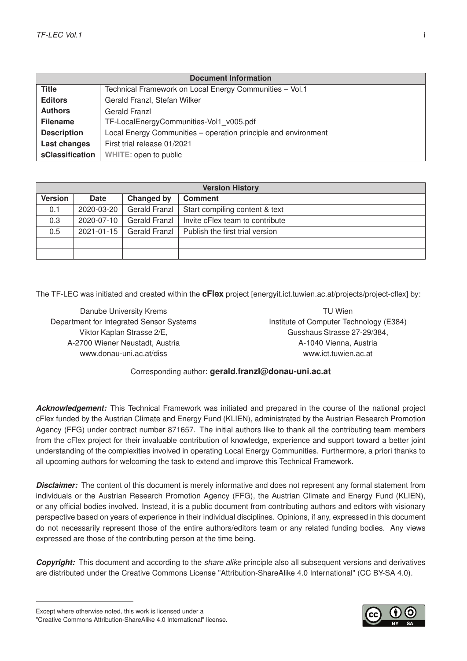| <b>Document Information</b> |                                                                |  |  |
|-----------------------------|----------------------------------------------------------------|--|--|
| <b>Title</b>                | Technical Framework on Local Energy Communities - Vol.1        |  |  |
| <b>Editors</b>              | Gerald Franzl, Stefan Wilker                                   |  |  |
| <b>Authors</b>              | Gerald Franzl                                                  |  |  |
| <b>Filename</b>             | TF-LocalEnergyCommunities-Vol1 v005.pdf                        |  |  |
| <b>Description</b>          | Local Energy Communities - operation principle and environment |  |  |
| Last changes                | First trial release 01/2021                                    |  |  |
| sClassification             | WHITE: open to public                                          |  |  |

| <b>Version History</b> |            |                      |                                 |  |
|------------------------|------------|----------------------|---------------------------------|--|
| <b>Version</b>         | Date       | Changed by           | <b>Comment</b>                  |  |
| 0.1                    | 2020-03-20 | <b>Gerald Franzl</b> | Start compiling content & text  |  |
| 0.3                    | 2020-07-10 | Gerald Franzl        | Invite cFlex team to contribute |  |
| 0.5                    | 2021-01-15 | Gerald Franzl        | Publish the first trial version |  |
|                        |            |                      |                                 |  |
|                        |            |                      |                                 |  |

The TF-LEC was initiated and created within the **cFlex** project [\[energyit.ict.tuwien.ac.at/projects/project-cflex\]](https://energyit.ict.tuwien.ac.at/projects/project-cflex/) by:

Danube University Krems Department for Integrated Sensor Systems Viktor Kaplan Strasse 2/E, A-2700 Wiener Neustadt, Austria [www.donau-uni.ac.at/diss](https://www.donau-uni.ac.at/en/university/faculties/education-arts-architecture/departments/integrated-sensor-systems.html)

TU Wien Institute of Computer Technology (E384) Gusshaus Strasse 27-29/384, A-1040 Vienna, Austria [www.ict.tuwien.ac.at](https://www.ict.tuwien.ac.at/en/)

#### Corresponding author: **[gerald.franzl@donau-uni.ac.at](mailto:gerald.franzl@donau-uni.ac.at)**

*Acknowledgement:* This Technical Framework was initiated and prepared in the course of the national project cFlex funded by the Austrian Climate and Energy Fund (KLIEN), administrated by the Austrian Research Promotion Agency (FFG) under contract number 871657. The initial authors like to thank all the contributing team members from the cFlex project for their invaluable contribution of knowledge, experience and support toward a better joint understanding of the complexities involved in operating Local Energy Communities. Furthermore, a priori thanks to all upcoming authors for welcoming the task to extend and improve this Technical Framework.

*Disclaimer:* The content of this document is merely informative and does not represent any formal statement from individuals or the Austrian Research Promotion Agency (FFG), the Austrian Climate and Energy Fund (KLIEN), or any official bodies involved. Instead, it is a public document from contributing authors and editors with visionary perspective based on years of experience in their individual disciplines. Opinions, if any, expressed in this document do not necessarily represent those of the entire authors/editors team or any related funding bodies. Any views expressed are those of the contributing person at the time being.

*Copyright:* This document and according to the *share alike* principle also all subsequent versions and derivatives are distributed under the Creative Commons License "Attribution-ShareAlike 4.0 International" [\(CC BY-SA 4.0\)](https://creativecommons.org/licenses/by-sa/4.0/).

Except where otherwise noted, this work is licensed under a ["Creative Commons Attribution-ShareAlike 4.0 International"](https://creativecommons.org/licenses/by-sa/4.0/deed.en) license.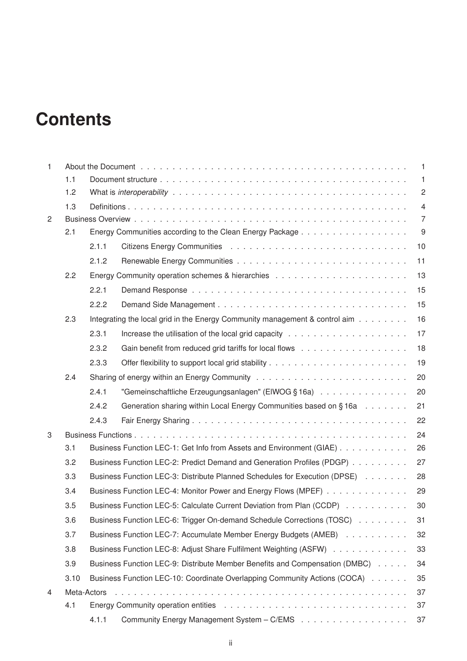# **Contents**

| $\mathbf{1}$ |      | $\overline{1}$                                                               |                                                                                   |                |
|--------------|------|------------------------------------------------------------------------------|-----------------------------------------------------------------------------------|----------------|
|              | 1.1  | $\mathbf{1}$                                                                 |                                                                                   |                |
|              | 1.2  |                                                                              |                                                                                   | $\sqrt{2}$     |
|              | 1.3  |                                                                              |                                                                                   | $\overline{4}$ |
| 2            |      |                                                                              |                                                                                   | $\overline{7}$ |
|              | 2.1  |                                                                              |                                                                                   | 9              |
|              |      | 2.1.1                                                                        |                                                                                   | 10             |
|              |      | 2.1.2                                                                        |                                                                                   | 11             |
|              | 2.2  |                                                                              |                                                                                   | 13             |
|              |      | 2.2.1                                                                        |                                                                                   | 15             |
|              |      | 2.2.2                                                                        |                                                                                   | 15             |
|              | 2.3  |                                                                              | Integrating the local grid in the Energy Community management & control aim       | 16             |
|              |      | 2.3.1                                                                        |                                                                                   | 17             |
|              |      | 2.3.2                                                                        |                                                                                   | 18             |
|              |      | 2.3.3                                                                        |                                                                                   | 19             |
|              | 2.4  |                                                                              |                                                                                   | 20             |
|              |      | 2.4.1                                                                        | "Gemeinschaftliche Erzeugungsanlagen" (EIWOG § 16a) $\ldots \ldots \ldots \ldots$ | 20             |
|              |      | 2.4.2                                                                        | Generation sharing within Local Energy Communities based on §16a                  | 21             |
|              |      | 2.4.3                                                                        |                                                                                   | 22             |
| 3            |      |                                                                              |                                                                                   | 24             |
|              | 3.1  |                                                                              | Business Function LEC-1: Get Info from Assets and Environment (GIAE)              | 26             |
|              | 3.2  |                                                                              | Business Function LEC-2: Predict Demand and Generation Profiles (PDGP)            | 27             |
|              | 3.3  |                                                                              | Business Function LEC-3: Distribute Planned Schedules for Execution (DPSE)        | 28             |
|              | 3.4  |                                                                              | Business Function LEC-4: Monitor Power and Energy Flows (MPEF)                    | 29             |
|              | 3.5  |                                                                              | Business Function LEC-5: Calculate Current Deviation from Plan (CCDP)             | 30             |
|              | 3.6  | Business Function LEC-6: Trigger On-demand Schedule Corrections (TOSC)<br>31 |                                                                                   |                |
|              | 3.7  |                                                                              | Business Function LEC-7: Accumulate Member Energy Budgets (AMEB)                  | 32             |
|              | 3.8  |                                                                              | Business Function LEC-8: Adjust Share Fulfilment Weighting (ASFW)                 | 33             |
|              | 3.9  |                                                                              | Business Function LEC-9: Distribute Member Benefits and Compensation (DMBC)       | 34             |
|              | 3.10 |                                                                              | Business Function LEC-10: Coordinate Overlapping Community Actions (COCA)         | 35             |
| 4            |      | Meta-Actors                                                                  |                                                                                   | 37             |
|              | 4.1  |                                                                              |                                                                                   | 37             |
|              |      | 4.1.1                                                                        |                                                                                   | 37             |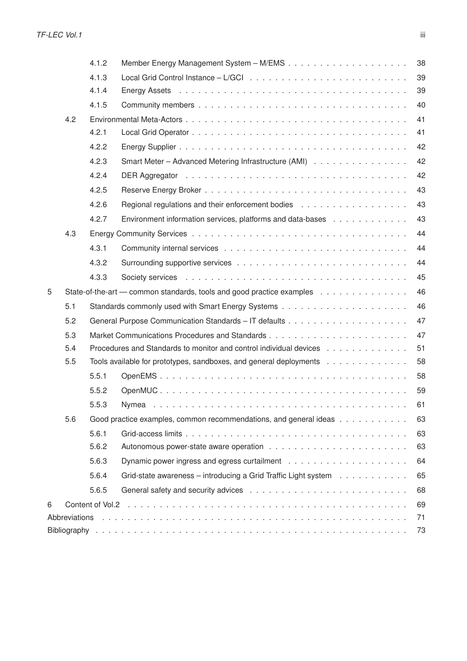|   |               | 4.1.2                                                                    |                                                                | 38 |  |  |
|---|---------------|--------------------------------------------------------------------------|----------------------------------------------------------------|----|--|--|
|   |               | 4.1.3                                                                    |                                                                | 39 |  |  |
|   |               | 4.1.4                                                                    |                                                                | 39 |  |  |
|   |               | 4.1.5                                                                    |                                                                | 40 |  |  |
|   | 4.2           |                                                                          |                                                                | 41 |  |  |
|   |               | 4.2.1                                                                    |                                                                | 41 |  |  |
|   |               | 4.2.2                                                                    |                                                                | 42 |  |  |
|   |               | 4.2.3                                                                    | Smart Meter - Advanced Metering Infrastructure (AMI)           | 42 |  |  |
|   |               | 4.2.4                                                                    |                                                                | 42 |  |  |
|   |               | 4.2.5                                                                    |                                                                | 43 |  |  |
|   |               | 4.2.6                                                                    |                                                                | 43 |  |  |
|   |               | 4.2.7                                                                    | Environment information services, platforms and data-bases     | 43 |  |  |
|   | 4.3           |                                                                          |                                                                | 44 |  |  |
|   |               | 4.3.1                                                                    |                                                                | 44 |  |  |
|   |               | 4.3.2                                                                    |                                                                | 44 |  |  |
|   |               | 4.3.3                                                                    |                                                                | 45 |  |  |
| 5 |               | State-of-the-art — common standards, tools and good practice examples    |                                                                |    |  |  |
|   | 5.1           |                                                                          |                                                                | 46 |  |  |
|   | 5.2           |                                                                          |                                                                | 47 |  |  |
|   | 5.3           |                                                                          |                                                                | 47 |  |  |
|   | 5.4           | 51<br>Procedures and Standards to monitor and control individual devices |                                                                |    |  |  |
|   | 5.5           | 58<br>Tools available for prototypes, sandboxes, and general deployments |                                                                |    |  |  |
|   |               | 5.5.1                                                                    |                                                                | 58 |  |  |
|   |               | 5.5.2                                                                    |                                                                | 59 |  |  |
|   |               | 5.5.3                                                                    |                                                                | 61 |  |  |
|   | 5.6           | Good practice examples, common recommendations, and general ideas<br>63  |                                                                |    |  |  |
|   |               | 5.6.1                                                                    |                                                                | 63 |  |  |
|   |               | 5.6.2                                                                    |                                                                | 63 |  |  |
|   |               | 5.6.3                                                                    |                                                                | 64 |  |  |
|   |               | 5.6.4                                                                    | Grid-state awareness – introducing a Grid Traffic Light system | 65 |  |  |
|   |               | 5.6.5                                                                    |                                                                | 68 |  |  |
| 6 |               |                                                                          |                                                                | 69 |  |  |
|   | Abbreviations |                                                                          |                                                                | 71 |  |  |
|   |               |                                                                          |                                                                | 73 |  |  |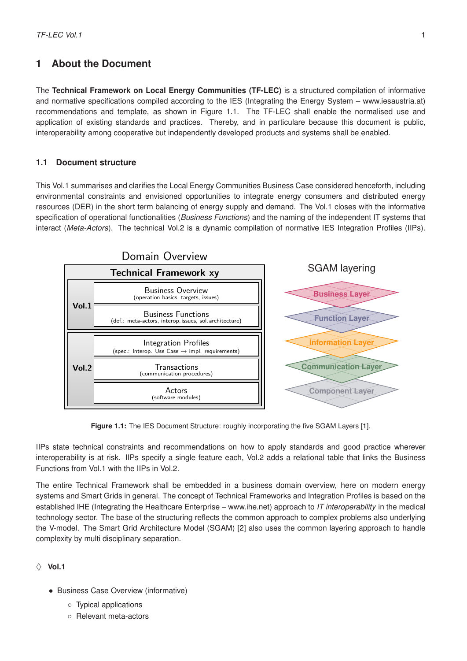# <span id="page-4-0"></span>**1 About the Document**

The **Technical Framework on Local Energy Communities (TF-LEC)** is a structured compilation of informative and normative specifications compiled according to the IES (Integrating the Energy System – [www.iesaustria.at\)](https://www-iesaustria.at) recommendations and template, as shown in Figure [1.1.](#page-4-2) The TF-LEC shall enable the normalised use and application of existing standards and practices. Thereby, and in particulare because this document is public, interoperability among cooperative but independently developed products and systems shall be enabled.

#### <span id="page-4-1"></span>**1.1 Document structure**

This Vol.1 summarises and clarifies the Local Energy Communities Business Case considered henceforth, including environmental constraints and envisioned opportunities to integrate energy consumers and distributed energy resources (DER) in the short term balancing of energy supply and demand. The Vol.1 closes with the informative specification of operational functionalities (*Business Functions*) and the naming of the independent IT systems that interact (*Meta-Actors*). The technical Vol.2 is a dynamic compilation of normative IES Integration Profiles (IIPs).

<span id="page-4-2"></span>

Figure 1.1: The IES Document Structure: roughly incorporating the five SGAM Layers [\[1\]](#page-76-0).

IIPs state technical constraints and recommendations on how to apply standards and good practice wherever interoperability is at risk. IIPs specify a single feature each, Vol.2 adds a relational table that links the Business Functions from Vol.1 with the IIPs in Vol.2.

The entire Technical Framework shall be embedded in a business domain overview, here on modern energy systems and Smart Grids in general. The concept of Technical Frameworks and Integration Profiles is based on the established IHE (Integrating the Healthcare Enterprise – [www.ihe.net\)](https://www.ihe.net) approach to *IT interoperability* in the medical technology sector. The base of the structuring reflects the common approach to complex problems also underlying the V-model. The Smart Grid Architecture Model (SGAM) [\[2\]](#page-76-1) also uses the common layering approach to handle complexity by multi disciplinary separation.

#### $\Diamond$  Vol.1

- Business Case Overview (informative)
	- Typical applications
	- Relevant meta-actors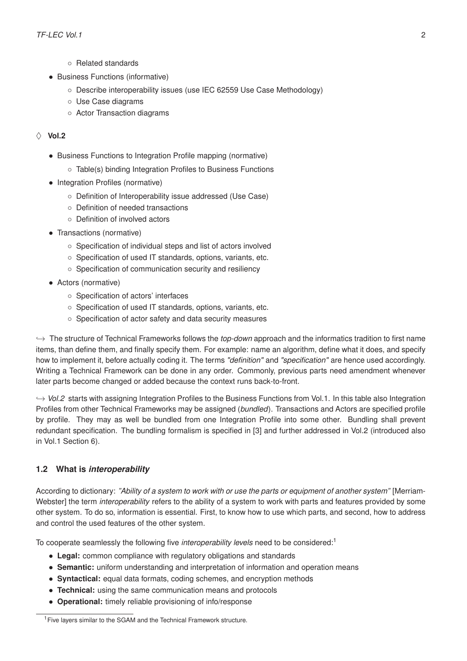- Related standards
- Business Functions (informative)
	- Describe interoperability issues (use IEC 62559 Use Case Methodology)
	- Use Case diagrams
	- Actor Transaction diagrams

#### $\Diamond$  Vol.2

- Business Functions to Integration Profile mapping (normative)
	- Table(s) binding Integration Profiles to Business Functions
- Integration Profiles (normative)
	- Definition of Interoperability issue addressed (Use Case)
	- Definition of needed transactions
	- Definition of involved actors
- Transactions (normative)
	- Specification of individual steps and list of actors involved
	- Specification of used IT standards, options, variants, etc.
	- Specification of communication security and resiliency
- Actors (normative)
	- Specification of actors' interfaces
	- Specification of used IT standards, options, variants, etc.
	- Specification of actor safety and data security measures

,→ The structure of Technical Frameworks follows the *top-down* approach and the informatics tradition to first name items, than define them, and finally specify them. For example: name an algorithm, define what it does, and specify how to implement it, before actually coding it. The terms *"definition"* and *"specification"* are hence used accordingly. Writing a Technical Framework can be done in any order. Commonly, previous parts need amendment whenever later parts become changed or added because the context runs back-to-front.

 $\rightarrow$  *Vol.2* starts with assigning Integration Profiles to the Business Functions from Vol.1. In this table also Integration Profiles from other Technical Frameworks may be assigned (*bundled*). Transactions and Actors are specified profile by profile. They may as well be bundled from one Integration Profile into some other. Bundling shall prevent redundant specification. The bundling formalism is specified in [\[3\]](#page-76-2) and further addressed in Vol.2 (introduced also in Vol.1 Section [6\)](#page-72-0).

#### <span id="page-5-0"></span>**1.2 What is** *interoperability*

According to dictionary: *"Ability of a system to work with or use the parts or equipment of another system"* [\[Merriam-](https://www.merriam-webster.com/dictionary/interoperability)[Webster\]](https://www.merriam-webster.com/dictionary/interoperability) the term *interoperability* refers to the ability of a system to work with parts and features provided by some other system. To do so, information is essential. First, to know how to use which parts, and second, how to address and control the used features of the other system.

To cooperate seamlessly the following five *interoperability levels* need to be considered:[1](#page-5-1)

- **Legal:** common compliance with regulatory obligations and standards
- **Semantic:** uniform understanding and interpretation of information and operation means
- **Syntactical:** equal data formats, coding schemes, and encryption methods
- **Technical:** using the same communication means and protocols
- **Operational:** timely reliable provisioning of info/response

<span id="page-5-1"></span><sup>&</sup>lt;sup>1</sup> Five layers similar to the SGAM and the Technical Framework structure.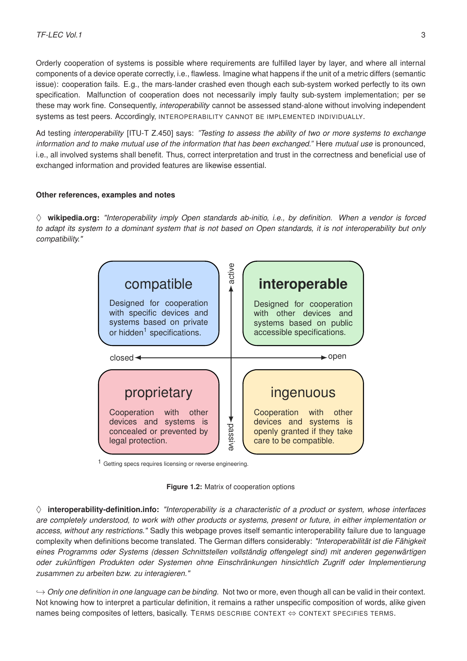Orderly cooperation of systems is possible where requirements are fulfilled layer by layer, and where all internal components of a device operate correctly, i.e., flawless. Imagine what happens if the unit of a metric differs (semantic issue): cooperation fails. E.g., the mars-lander crashed even though each sub-system worked perfectly to its own specification. Malfunction of cooperation does not necessarily imply faulty sub-system implementation; per se these may work fine. Consequently, *interoperability* cannot be assessed stand-alone without involving independent systems as test peers. Accordingly, INTEROPERABILITY CANNOT BE IMPLEMENTED INDIVIDUALLY.

Ad testing *interoperability* [ITU-T Z.450] says: *"Testing to assess the ability of two or more systems to exchange information and to make mutual use of the information that has been exchanged."* Here *mutual use* is pronounced, i.e., all involved systems shall benefit. Thus, correct interpretation and trust in the correctness and beneficial use of exchanged information and provided features are likewise essential.

#### **Other references, examples and notes**

♦ **[wikipedia.org:](https://en.wikipedia.org/wiki/Interoperability)** *"Interoperability imply Open standards ab-initio, i.e., by definition. When a vendor is forced to adapt its system to a dominant system that is not based on Open standards, it is not interoperability but only compatibility."*



1 Getting specs requires licensing or reverse engineering.

**Figure 1.2:** Matrix of cooperation options

 $\diamond$  **[interoperability-definition.info:](http://interoperability-definition.info/de/)** "Interoperability is a characteristic of a product or system, whose interfaces *are completely understood, to work with other products or systems, present or future, in either implementation or access, without any restrictions."* Sadly this webpage proves itself semantic interoperability failure due to language complexity when definitions become translated. The German differs considerably: *"Interoperabilität ist die Fähigkeit eines Programms oder Systems (dessen Schnittstellen vollständig offengelegt sind) mit anderen gegenwärtigen oder zukünftigen Produkten oder Systemen ohne Einschränkungen hinsichtlich Zugriff oder Implementierung zusammen zu arbeiten bzw. zu interagieren."*

,→ *Only one definition in one language can be binding.* Not two or more, even though all can be valid in their context. Not knowing how to interpret a particular definition, it remains a rather unspecific composition of words, alike given names being composites of letters, basically. TERMS DESCRIBE CONTEXT ⇔ CONTEXT SPECIFIES TERMS.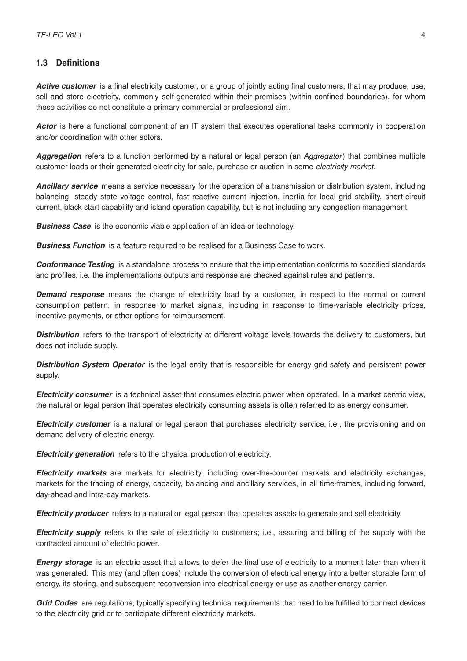#### <span id="page-7-0"></span>**1.3 Definitions**

Active customer is a final electricity customer, or a group of jointly acting final customers, that may produce, use, sell and store electricity, commonly self-generated within their premises (within confined boundaries), for whom these activities do not constitute a primary commercial or professional aim.

*Actor* is here a functional component of an IT system that executes operational tasks commonly in cooperation and/or coordination with other actors.

*Aggregation* refers to a function performed by a natural or legal person (an *Aggregator*) that combines multiple customer loads or their generated electricity for sale, purchase or auction in some *electricity market*.

*Ancillary service* means a service necessary for the operation of a transmission or distribution system, including balancing, steady state voltage control, fast reactive current injection, inertia for local grid stability, short-circuit current, black start capability and island operation capability, but is not including any congestion management.

**Business Case** is the economic viable application of an idea or technology.

**Business Function** is a feature required to be realised for a Business Case to work.

*Conformance Testing* is a standalone process to ensure that the implementation conforms to specified standards and profiles, i.e. the implementations outputs and response are checked against rules and patterns.

**Demand response** means the change of electricity load by a customer, in respect to the normal or current consumption pattern, in response to market signals, including in response to time-variable electricity prices, incentive payments, or other options for reimbursement.

*Distribution* refers to the transport of electricity at different voltage levels towards the delivery to customers, but does not include supply.

*Distribution System Operator* is the legal entity that is responsible for energy grid safety and persistent power supply.

*Electricity consumer* is a technical asset that consumes electric power when operated. In a market centric view, the natural or legal person that operates electricity consuming assets is often referred to as energy consumer.

*Electricity customer* is a natural or legal person that purchases electricity service, i.e., the provisioning and on demand delivery of electric energy.

*Electricity generation* refers to the physical production of electricity.

*Electricity markets* are markets for electricity, including over-the-counter markets and electricity exchanges, markets for the trading of energy, capacity, balancing and ancillary services, in all time-frames, including forward, day-ahead and intra-day markets.

*Electricity producer* refers to a natural or legal person that operates assets to generate and sell electricity.

*Electricity supply* refers to the sale of electricity to customers; i.e., assuring and billing of the supply with the contracted amount of electric power.

**Energy storage** is an electric asset that allows to defer the final use of electricity to a moment later than when it was generated. This may (and often does) include the conversion of electrical energy into a better storable form of energy, its storing, and subsequent reconversion into electrical energy or use as another energy carrier.

<span id="page-7-1"></span>*Grid Codes* are regulations, typically specifying technical requirements that need to be fulfilled to connect devices to the electricity grid or to participate different electricity markets.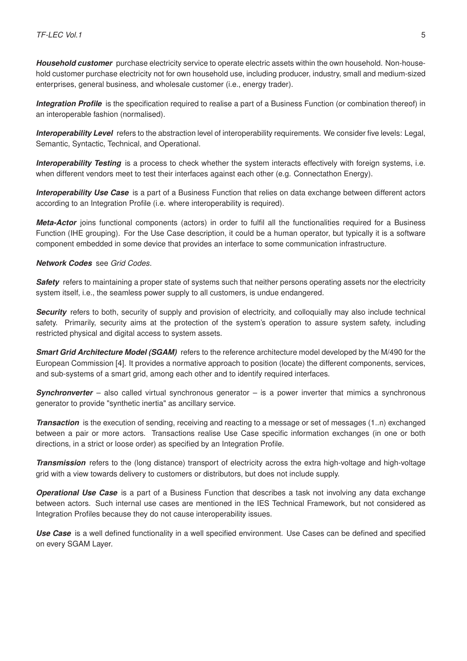*Household customer* purchase electricity service to operate electric assets within the own household. Non-household customer purchase electricity not for own household use, including producer, industry, small and medium-sized enterprises, general business, and wholesale customer (i.e., energy trader).

**Integration Profile** is the specification required to realise a part of a Business Function (or combination thereof) in an interoperable fashion (normalised).

*Interoperability Level* refers to the abstraction level of interoperability requirements. We consider five levels: Legal, Semantic, Syntactic, Technical, and Operational.

*Interoperability Testing* is a process to check whether the system interacts effectively with foreign systems, i.e. when different vendors meet to test their interfaces against each other (e.g. Connectathon Energy).

*Interoperability Use Case* is a part of a Business Function that relies on data exchange between different actors according to an Integration Profile (i.e. where interoperability is required).

*Meta-Actor* joins functional components (actors) in order to fulfil all the functionalities required for a Business Function (IHE grouping). For the Use Case description, it could be a human operator, but typically it is a software component embedded in some device that provides an interface to some communication infrastructure.

#### *Network Codes* see *[Grid Codes](#page-7-1)*.

**Safety** refers to maintaining a proper state of systems such that neither persons operating assets nor the electricity system itself, i.e., the seamless power supply to all customers, is undue endangered.

**Security** refers to both, security of supply and provision of electricity, and colloquially may also include technical safety. Primarily, security aims at the protection of the system's operation to assure system safety, including restricted physical and digital access to system assets.

*Smart Grid Architecture Model (SGAM)* refers to the reference architecture model developed by the M/490 for the European Commission [\[4\]](#page-76-3). It provides a normative approach to position (locate) the different components, services, and sub-systems of a smart grid, among each other and to identify required interfaces.

*Synchronverter* – also called virtual synchronous generator – is a power inverter that mimics a synchronous generator to provide "synthetic inertia" as ancillary service.

*Transaction* is the execution of sending, receiving and reacting to a message or set of messages (1..n) exchanged between a pair or more actors. Transactions realise Use Case specific information exchanges (in one or both directions, in a strict or loose order) as specified by an Integration Profile.

*Transmission* refers to the (long distance) transport of electricity across the extra high-voltage and high-voltage grid with a view towards delivery to customers or distributors, but does not include supply.

*Operational Use Case* is a part of a Business Function that describes a task not involving any data exchange between actors. Such internal use cases are mentioned in the IES Technical Framework, but not considered as Integration Profiles because they do not cause interoperability issues.

*Use Case* is a well defined functionality in a well specified environment. Use Cases can be defined and specified on every SGAM Layer.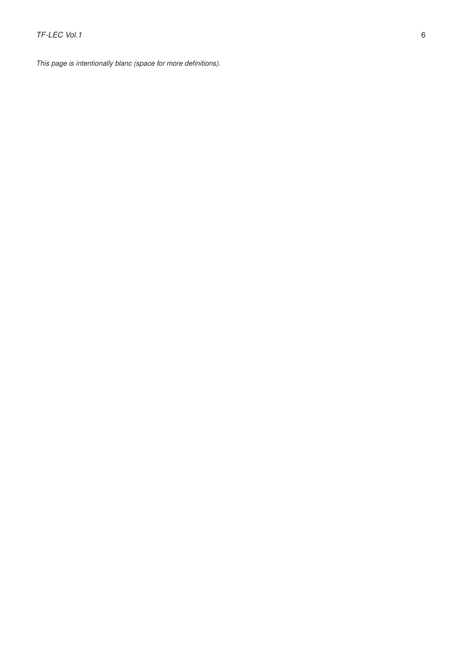*This page is intentionally blanc (space for more definitions).*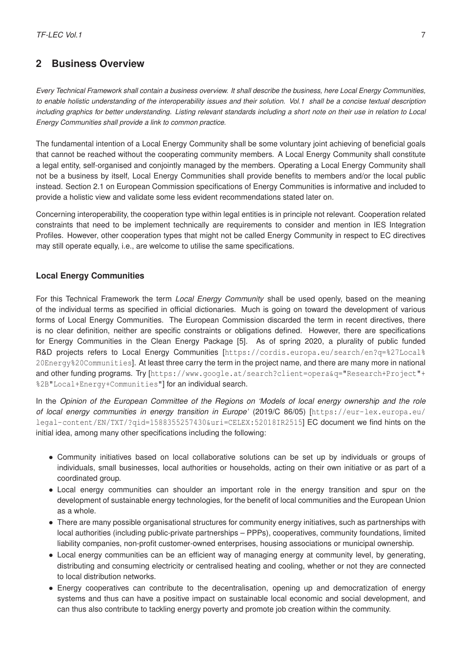# <span id="page-10-0"></span>**2 Business Overview**

*Every Technical Framework shall contain a business overview. It shall describe the business, here Local Energy Communities, to enable holistic understanding of the interoperability issues and their solution. Vol.1 shall be a concise textual description including graphics for better understanding. Listing relevant standards including a short note on their use in relation to Local Energy Communities shall provide a link to common practice.*

The fundamental intention of a Local Energy Community shall be some voluntary joint achieving of beneficial goals that cannot be reached without the cooperating community members. A Local Energy Community shall constitute a legal entity, self-organised and conjointly managed by the members. Operating a Local Energy Community shall not be a business by itself, Local Energy Communities shall provide benefits to members and/or the local public instead. Section [2.1](#page-12-0) on European Commission specifications of Energy Communities is informative and included to provide a holistic view and validate some less evident recommendations stated later on.

Concerning interoperability, the cooperation type within legal entities is in principle not relevant. Cooperation related constraints that need to be implement technically are requirements to consider and mention in IES Integration Profiles. However, other cooperation types that might not be called Energy Community in respect to EC directives may still operate equally, i.e., are welcome to utilise the same specifications.

#### **Local Energy Communities**

For this Technical Framework the term *Local Energy Community* shall be used openly, based on the meaning of the individual terms as specified in official dictionaries. Much is going on toward the development of various forms of Local Energy Communities. The European Commission discarded the term in recent directives, there is no clear definition, neither are specific constraints or obligations defined. However, there are specifications for Energy Communities in the Clean Energy Package [\[5\]](#page-76-4). As of spring 2020, a plurality of public funded R&D projects refers to Local Energy Communities [[https://cordis.europa.eu/search/en?q=%27Local%](https://cordis.europa.eu/search/en?q=%27Local%20Energy%20Communities) [20Energy%20Communities](https://cordis.europa.eu/search/en?q=%27Local%20Energy%20Communities)]. At least three carry the term in the project name, and there are many more in national and other funding programs. Try [[https://www.google.at/search?client=opera&q="Research+Project"+](https://www.google.at/search?client=opera&q="Research+Project"+%2B"Local+Energy+Communities") [%2B"Local+Energy+Communities"](https://www.google.at/search?client=opera&q="Research+Project"+%2B"Local+Energy+Communities")] for an individual search.

In the *Opinion of the European Committee of the Regions on 'Models of local energy ownership and the role of local energy communities in energy transition in Europe'* (2019/C 86/05) [[https://eur-lex.europa.eu/](https://eur-lex.europa.eu/legal-content/EN/TXT/?qid=1588355257430&uri=CELEX:52018IR2515) [legal-content/EN/TXT/?qid=1588355257430&uri=CELEX:52018IR2515](https://eur-lex.europa.eu/legal-content/EN/TXT/?qid=1588355257430&uri=CELEX:52018IR2515)] EC document we find hints on the initial idea, among many other specifications including the following:

- Community initiatives based on local collaborative solutions can be set up by individuals or groups of individuals, small businesses, local authorities or households, acting on their own initiative or as part of a coordinated group.
- Local energy communities can shoulder an important role in the energy transition and spur on the development of sustainable energy technologies, for the benefit of local communities and the European Union as a whole.
- There are many possible organisational structures for community energy initiatives, such as partnerships with local authorities (including public-private partnerships – PPPs), cooperatives, community foundations, limited liability companies, non-profit customer-owned enterprises, housing associations or municipal ownership.
- Local energy communities can be an efficient way of managing energy at community level, by generating, distributing and consuming electricity or centralised heating and cooling, whether or not they are connected to local distribution networks.
- Energy cooperatives can contribute to the decentralisation, opening up and democratization of energy systems and thus can have a positive impact on sustainable local economic and social development, and can thus also contribute to tackling energy poverty and promote job creation within the community.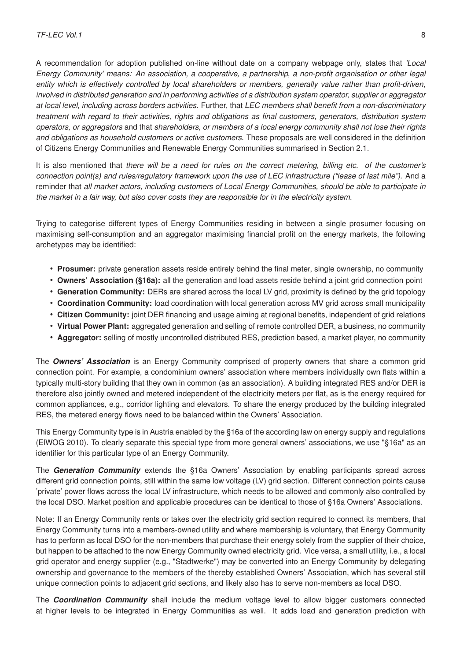A recommendation for adoption published on-line without date on a company webpage only, states that *'Local Energy Community' means: An association, a cooperative, a partnership, a non-profit organisation or other legal entity which is effectively controlled by local shareholders or members, generally value rather than profit-driven, involved in distributed generation and in performing activities of a distribution system operator, supplier or aggregator at local level, including across borders activities.* Further, that *LEC members shall benefit from a non-discriminatory treatment with regard to their activities, rights and obligations as final customers, generators, distribution system operators, or aggregators* and that *shareholders, or members of a local energy community shall not lose their rights and obligations as household customers or active customers.* These proposals are well considered in the definition of Citizens Energy Communities and Renewable Energy Communities summarised in Section [2.1.](#page-12-0)

It is also mentioned that *there will be a need for rules on the correct metering, billing etc. of the customer's connection point(s) and rules/regulatory framework upon the use of LEC infrastructure ("lease of last mile").* And a reminder that *all market actors, including customers of Local Energy Communities, should be able to participate in the market in a fair way, but also cover costs they are responsible for in the electricity system.*

Trying to categorise different types of Energy Communities residing in between a single prosumer focusing on maximising self-consumption and an aggregator maximising financial profit on the energy markets, the following archetypes may be identified:

- **Prosumer:** private generation assets reside entirely behind the final meter, single ownership, no community
- **Owners' Association (§16a):** all the generation and load assets reside behind a joint grid connection point
- **Generation Community:** DERs are shared across the local LV grid, proximity is defined by the grid topology
- **Coordination Community:** load coordination with local generation across MV grid across small municipality
- **Citizen Community:** joint DER financing and usage aiming at regional benefits, independent of grid relations
- **Virtual Power Plant:** aggregated generation and selling of remote controlled DER, a business, no community
- **Aggregator:** selling of mostly uncontrolled distributed RES, prediction based, a market player, no community

The *Owners' Association* is an Energy Community comprised of property owners that share a common grid connection point. For example, a condominium owners' association where members individually own flats within a typically multi-story building that they own in common (as an association). A building integrated RES and/or DER is therefore also jointly owned and metered independent of the electricity meters per flat, as is the energy required for common appliances, e.g., corridor lighting and elevators. To share the energy produced by the building integrated RES, the metered energy flows need to be balanced within the Owners' Association.

This Energy Community type is in Austria enabled by the §16a of the according law on energy supply and regulations (ElWOG 2010). To clearly separate this special type from more general owners' associations, we use "§16a" as an identifier for this particular type of an Energy Community.

The *Generation Community* extends the §16a Owners' Association by enabling participants spread across different grid connection points, still within the same low voltage (LV) grid section. Different connection points cause 'private' power flows across the local LV infrastructure, which needs to be allowed and commonly also controlled by the local DSO. Market position and applicable procedures can be identical to those of §16a Owners' Associations.

Note: If an Energy Community rents or takes over the electricity grid section required to connect its members, that Energy Community turns into a members-owned utility and where membership is voluntary, that Energy Community has to perform as local DSO for the non-members that purchase their energy solely from the supplier of their choice, but happen to be attached to the now Energy Community owned electricity grid. Vice versa, a small utility, i.e., a local grid operator and energy supplier (e.g., "Stadtwerke") may be converted into an Energy Community by delegating ownership and governance to the members of the thereby established Owners' Association, which has several still unique connection points to adjacent grid sections, and likely also has to serve non-members as local DSO.

The *Coordination Community* shall include the medium voltage level to allow bigger customers connected at higher levels to be integrated in Energy Communities as well. It adds load and generation prediction with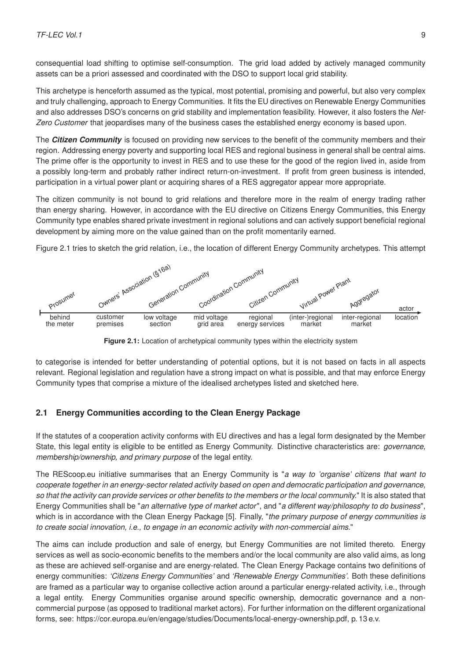consequential load shifting to optimise self-consumption. The grid load added by actively managed community assets can be a priori assessed and coordinated with the DSO to support local grid stability.

This archetype is henceforth assumed as the typical, most potential, promising and powerful, but also very complex and truly challenging, approach to Energy Communities. It fits the EU directives on Renewable Energy Communities and also addresses DSO's concerns on grid stability and implementation feasibility. However, it also fosters the *Net-Zero Customer* that jeopardises many of the business cases the established energy economy is based upon.

The *Citizen Community* is focused on providing new services to the benefit of the community members and their region. Addressing energy poverty and supporting local RES and regional business in general shall be central aims. The prime offer is the opportunity to invest in RES and to use these for the good of the region lived in, aside from a possibly long-term and probably rather indirect return-on-investment. If profit from green business is intended, participation in a virtual power plant or acquiring shares of a RES aggregator appear more appropriate.

The citizen community is not bound to grid relations and therefore more in the realm of energy trading rather than energy sharing. However, in accordance with the EU directive on Citizens Energy Communities, this Energy Community type enables shared private investment in regional solutions and can actively support beneficial regional development by aiming more on the value gained than on the profit momentarily earned.

Figure [2.1](#page-12-2) tries to sketch the grid relation, i.e., the location of different Energy Community archetypes. This attempt

<span id="page-12-2"></span>

**Figure 2.1:** Location of archetypical community types within the electricity system

to categorise is intended for better understanding of potential options, but it is not based on facts in all aspects relevant. Regional legislation and regulation have a strong impact on what is possible, and that may enforce Energy Community types that comprise a mixture of the idealised archetypes listed and sketched here.

#### <span id="page-12-0"></span>**2.1 Energy Communities according to the Clean Energy Package**

If the statutes of a cooperation activity conforms with EU directives and has a legal form designated by the Member State, this legal entity is eligible to be entitled as Energy Community. Distinctive characteristics are: *governance, membership/ownership, and primary purpose* of the legal entity.

The REScoop.eu initiative summarises that an Energy Community is "*a way to 'organise' citizens that want to cooperate together in an energy-sector related activity based on open and democratic participation and governance, so that the activity can provide services or other benefits to the members or the local community.*" It is also stated that Energy Communities shall be "*an alternative type of market actor*", and "*a different way/philosophy to do business*", which is in accordance with the [Clean Energy Package \[5\].](https://ec.europa.eu/energy/topics/energy-strategy/clean-energy-all-europeans_en) Finally, "*the primary purpose of energy communities is to create social innovation, i.e., to engage in an economic activity with non-commercial aims.*"

<span id="page-12-1"></span>The aims can include production and sale of energy, but Energy Communities are not limited thereto. Energy services as well as socio-economic benefits to the members and/or the local community are also valid aims, as long as these are achieved self-organise and are energy-related. The Clean Energy Package contains two definitions of energy communities: *'Citizens Energy Communities'* and *'Renewable Energy Communities'*. Both these definitions are framed as a particular way to organise collective action around a particular energy-related activity, i.e., through a legal entity. Energy Communities organise around specific ownership, democratic governance and a noncommercial purpose (as opposed to traditional market actors). For further information on the different organizational forms, see: [https://cor.europa.eu/en/engage/studies/Documents/local-energy-ownership.pdf,](https://cor.europa.eu/en/engage/studies/Documents/local-energy-ownership.pdf) p. 13 e.v.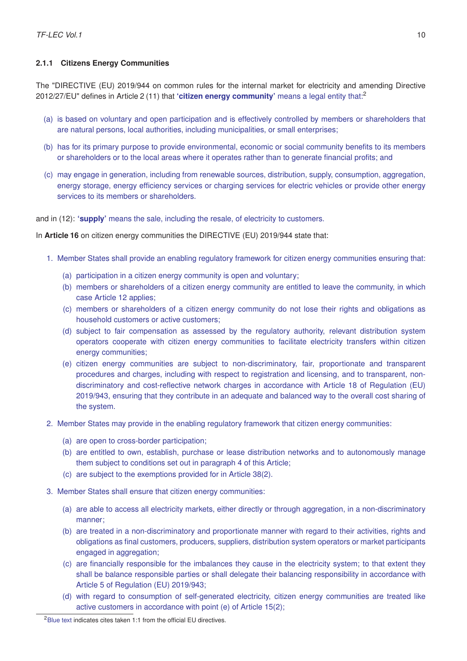#### **2.1.1 Citizens Energy Communities**

The ["DIRECTIVE \(EU\) 2019/944 on common rules for the internal market for electricity and amending Directive](https://eur-lex.europa.eu/legal-content/EN/TXT/?uri=CELEX:32019L0944) [2012/27/EU"](https://eur-lex.europa.eu/legal-content/EN/TXT/?uri=CELEX:32019L0944) defines in Article 2 (11) that **'citizen energy community'** means a legal entity that:[2](#page-13-0)

- (a) is based on voluntary and open participation and is effectively controlled by members or shareholders that are natural persons, local authorities, including municipalities, or small enterprises;
- (b) has for its primary purpose to provide environmental, economic or social community benefits to its members or shareholders or to the local areas where it operates rather than to generate financial profits; and
- (c) may engage in generation, including from renewable sources, distribution, supply, consumption, aggregation, energy storage, energy efficiency services or charging services for electric vehicles or provide other energy services to its members or shareholders.

and in (12): **'supply'** means the sale, including the resale, of electricity to customers.

In **Article 16** on citizen energy communities the DIRECTIVE (EU) 2019/944 state that:

- 1. Member States shall provide an enabling regulatory framework for citizen energy communities ensuring that:
	- (a) participation in a citizen energy community is open and voluntary;
	- (b) members or shareholders of a citizen energy community are entitled to leave the community, in which case Article 12 applies;
	- (c) members or shareholders of a citizen energy community do not lose their rights and obligations as household customers or active customers;
	- (d) subject to fair compensation as assessed by the regulatory authority, relevant distribution system operators cooperate with citizen energy communities to facilitate electricity transfers within citizen energy communities;
	- (e) citizen energy communities are subject to non-discriminatory, fair, proportionate and transparent procedures and charges, including with respect to registration and licensing, and to transparent, nondiscriminatory and cost-reflective network charges in accordance with Article 18 of Regulation (EU) 2019/943, ensuring that they contribute in an adequate and balanced way to the overall cost sharing of the system.
- 2. Member States may provide in the enabling regulatory framework that citizen energy communities:
	- (a) are open to cross-border participation;
	- (b) are entitled to own, establish, purchase or lease distribution networks and to autonomously manage them subject to conditions set out in paragraph 4 of this Article;
	- (c) are subject to the exemptions provided for in Article 38(2).
- 3. Member States shall ensure that citizen energy communities:
	- (a) are able to access all electricity markets, either directly or through aggregation, in a non-discriminatory manner;
	- (b) are treated in a non-discriminatory and proportionate manner with regard to their activities, rights and obligations as final customers, producers, suppliers, distribution system operators or market participants engaged in aggregation;
	- (c) are financially responsible for the imbalances they cause in the electricity system; to that extent they shall be balance responsible parties or shall delegate their balancing responsibility in accordance with Article 5 of Regulation (EU) 2019/943;
	- (d) with regard to consumption of self-generated electricity, citizen energy communities are treated like active customers in accordance with point (e) of Article 15(2);

<span id="page-13-0"></span><sup>2</sup>Blue text indicates cites taken 1:1 from the official EU directives.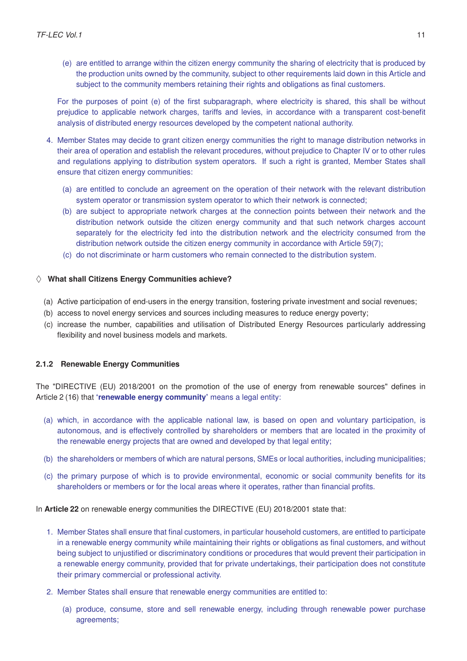(e) are entitled to arrange within the citizen energy community the sharing of electricity that is produced by the production units owned by the community, subject to other requirements laid down in this Article and subject to the community members retaining their rights and obligations as final customers.

For the purposes of point (e) of the first subparagraph, where electricity is shared, this shall be without prejudice to applicable network charges, tariffs and levies, in accordance with a transparent cost-benefit analysis of distributed energy resources developed by the competent national authority.

- 4. Member States may decide to grant citizen energy communities the right to manage distribution networks in their area of operation and establish the relevant procedures, without prejudice to Chapter IV or to other rules and regulations applying to distribution system operators. If such a right is granted, Member States shall ensure that citizen energy communities:
	- (a) are entitled to conclude an agreement on the operation of their network with the relevant distribution system operator or transmission system operator to which their network is connected;
	- (b) are subject to appropriate network charges at the connection points between their network and the distribution network outside the citizen energy community and that such network charges account separately for the electricity fed into the distribution network and the electricity consumed from the distribution network outside the citizen energy community in accordance with Article 59(7);
	- (c) do not discriminate or harm customers who remain connected to the distribution system.

#### $\Diamond$  What shall Citizens Energy Communities achieve?

- (a) Active participation of end-users in the energy transition, fostering private investment and social revenues;
- (b) access to novel energy services and sources including measures to reduce energy poverty;
- (c) increase the number, capabilities and utilisation of Distributed Energy Resources particularly addressing flexibility and novel business models and markets.

#### <span id="page-14-0"></span>**2.1.2 Renewable Energy Communities**

The ["DIRECTIVE \(EU\) 2018/2001 on the promotion of the use of energy from renewable sources"](https://eur-lex.europa.eu/legal-content/EN/TXT/?uri=CELEX:32018L2001) defines in Article 2 (16) that **'renewable energy community'** means a legal entity:

- (a) which, in accordance with the applicable national law, is based on open and voluntary participation, is autonomous, and is effectively controlled by shareholders or members that are located in the proximity of the renewable energy projects that are owned and developed by that legal entity;
- (b) the shareholders or members of which are natural persons, SMEs or local authorities, including municipalities;
- (c) the primary purpose of which is to provide environmental, economic or social community benefits for its shareholders or members or for the local areas where it operates, rather than financial profits.

In **Article 22** on renewable energy communities the DIRECTIVE (EU) 2018/2001 state that:

- 1. Member States shall ensure that final customers, in particular household customers, are entitled to participate in a renewable energy community while maintaining their rights or obligations as final customers, and without being subject to unjustified or discriminatory conditions or procedures that would prevent their participation in a renewable energy community, provided that for private undertakings, their participation does not constitute their primary commercial or professional activity.
- 2. Member States shall ensure that renewable energy communities are entitled to:
	- (a) produce, consume, store and sell renewable energy, including through renewable power purchase agreements;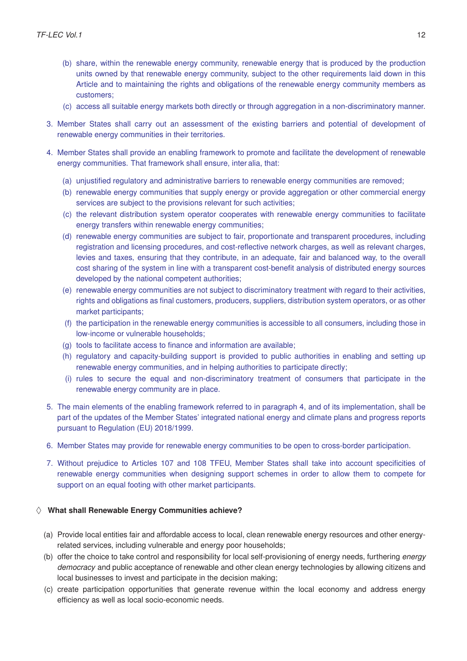- (b) share, within the renewable energy community, renewable energy that is produced by the production units owned by that renewable energy community, subject to the other requirements laid down in this Article and to maintaining the rights and obligations of the renewable energy community members as customers;
- (c) access all suitable energy markets both directly or through aggregation in a non-discriminatory manner.
- 3. Member States shall carry out an assessment of the existing barriers and potential of development of renewable energy communities in their territories.
- 4. Member States shall provide an enabling framework to promote and facilitate the development of renewable energy communities. That framework shall ensure, inter alia, that:
	- (a) unjustified regulatory and administrative barriers to renewable energy communities are removed;
	- (b) renewable energy communities that supply energy or provide aggregation or other commercial energy services are subject to the provisions relevant for such activities;
	- (c) the relevant distribution system operator cooperates with renewable energy communities to facilitate energy transfers within renewable energy communities;
	- (d) renewable energy communities are subject to fair, proportionate and transparent procedures, including registration and licensing procedures, and cost-reflective network charges, as well as relevant charges, levies and taxes, ensuring that they contribute, in an adequate, fair and balanced way, to the overall cost sharing of the system in line with a transparent cost-benefit analysis of distributed energy sources developed by the national competent authorities;
	- (e) renewable energy communities are not subject to discriminatory treatment with regard to their activities, rights and obligations as final customers, producers, suppliers, distribution system operators, or as other market participants;
	- (f) the participation in the renewable energy communities is accessible to all consumers, including those in low-income or vulnerable households;
	- (g) tools to facilitate access to finance and information are available;
	- (h) regulatory and capacity-building support is provided to public authorities in enabling and setting up renewable energy communities, and in helping authorities to participate directly;
	- (i) rules to secure the equal and non-discriminatory treatment of consumers that participate in the renewable energy community are in place.
- 5. The main elements of the enabling framework referred to in paragraph 4, and of its implementation, shall be part of the updates of the Member States' integrated national energy and climate plans and progress reports pursuant to Regulation (EU) 2018/1999.
- 6. Member States may provide for renewable energy communities to be open to cross-border participation.
- 7. Without prejudice to Articles 107 and 108 TFEU, Member States shall take into account specificities of renewable energy communities when designing support schemes in order to allow them to compete for support on an equal footing with other market participants.

#### $\Diamond$  What shall Renewable Energy Communities achieve?

- (a) Provide local entities fair and affordable access to local, clean renewable energy resources and other energyrelated services, including vulnerable and energy poor households;
- (b) offer the choice to take control and responsibility for local self-provisioning of energy needs, furthering *energy democracy* and public acceptance of renewable and other clean energy technologies by allowing citizens and local businesses to invest and participate in the decision making;
- (c) create participation opportunities that generate revenue within the local economy and address energy efficiency as well as local socio-economic needs.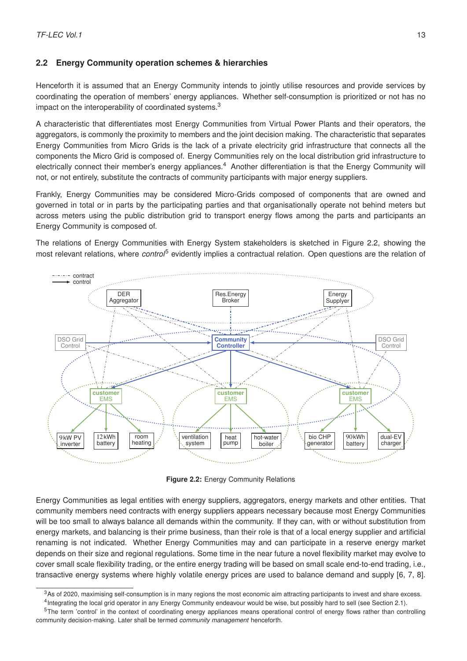## <span id="page-16-0"></span>**2.2 Energy Community operation schemes & hierarchies**

Henceforth it is assumed that an Energy Community intends to jointly utilise resources and provide services by coordinating the operation of members' energy appliances. Whether self-consumption is prioritized or not has no impact on the interoperability of coordinated systems.<sup>[3](#page-16-1)</sup>

A characteristic that differentiates most Energy Communities from Virtual Power Plants and their operators, the aggregators, is commonly the proximity to members and the joint decision making. The characteristic that separates Energy Communities from Micro Grids is the lack of a private electricity grid infrastructure that connects all the components the Micro Grid is composed of. Energy Communities rely on the local distribution grid infrastructure to electrically connect their member's energy appliances.<sup>[4](#page-16-2)</sup> Another differentiation is that the Energy Community will not, or not entirely, substitute the contracts of community participants with major energy suppliers.

Frankly, Energy Communities may be considered Micro-Grids composed of components that are owned and governed in total or in parts by the participating parties and that organisationally operate not behind meters but across meters using the public distribution grid to transport energy flows among the parts and participants an Energy Community is composed of.

The relations of Energy Communities with Energy System stakeholders is sketched in Figure [2.2,](#page-16-3) showing the most relevant relations, where *control*[5](#page-16-4) evidently implies a contractual relation. Open questions are the relation of

<span id="page-16-3"></span>

**Figure 2.2:** Energy Community Relations

Energy Communities as legal entities with energy suppliers, aggregators, energy markets and other entities. That community members need contracts with energy suppliers appears necessary because most Energy Communities will be too small to always balance all demands within the community. If they can, with or without substitution from energy markets, and balancing is their prime business, than their role is that of a local energy supplier and artificial renaming is not indicated. Whether Energy Communities may and can participate in a reserve energy market depends on their size and regional regulations. Some time in the near future a novel flexibility market may evolve to cover small scale flexibility trading, or the entire energy trading will be based on small scale end-to-end trading, i.e., transactive energy systems where highly volatile energy prices are used to balance demand and supply [\[6,](#page-76-5) [7,](#page-76-6) [8\]](#page-76-7).

<span id="page-16-1"></span><sup>&</sup>lt;sup>3</sup>As of 2020, maximising self-consumption is in many regions the most economic aim attracting participants to invest and share excess.

<span id="page-16-4"></span><span id="page-16-2"></span><sup>&</sup>lt;sup>4</sup> Integrating the local grid operator in any Energy Community endeavour would be wise, but possibly hard to sell (see Section [2.1\)](#page-12-0).

<sup>&</sup>lt;sup>5</sup>The term 'control' in the context of coordinating energy appliances means operational control of energy flows rather than controlling community decision-making. Later shall be termed *community management* henceforth.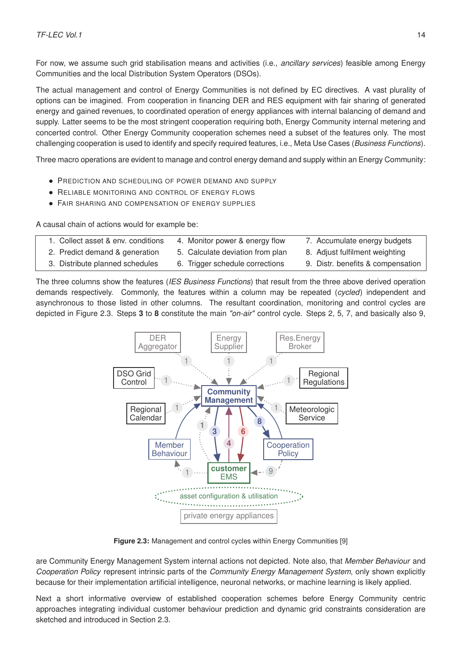For now, we assume such grid stabilisation means and activities (i.e., *ancillary services*) feasible among Energy Communities and the local Distribution System Operators (DSOs).

The actual management and control of Energy Communities is not defined by EC directives. A vast plurality of options can be imagined. From cooperation in financing DER and RES equipment with fair sharing of generated energy and gained revenues, to coordinated operation of energy appliances with internal balancing of demand and supply. Latter seems to be the most stringent cooperation requiring both, Energy Community internal metering and concerted control. Other Energy Community cooperation schemes need a subset of the features only. The most challenging cooperation is used to identify and specify required features, i.e., Meta Use Cases (*Business Functions*).

Three macro operations are evident to manage and control energy demand and supply within an Energy Community:

- PREDICTION AND SCHEDULING OF POWER DEMAND AND SUPPLY
- **RELIABLE MONITORING AND CONTROL OF ENERGY FLOWS**
- FAIR SHARING AND COMPENSATION OF ENFRGY SUPPLIES

A causal chain of actions would for example be:

| 1. Collect asset & env. conditions | 4. Monitor power & energy flow   | 7. Accumulate energy budgets      |
|------------------------------------|----------------------------------|-----------------------------------|
| 2. Predict demand & generation     | 5. Calculate deviation from plan | 8. Adjust fulfilment weighting    |
| 3. Distribute planned schedules    | 6. Trigger schedule corrections  | 9. Distr. benefits & compensation |

<span id="page-17-1"></span>The three columns show the features (*IES Business Functions*) that result from the three above derived operation demands respectively. Commonly, the features within a column may be repeated (*cycled*) independent and asynchronous to those listed in other columns. The resultant coordination, monitoring and control cycles are depicted in Figure [2.3.](#page-17-1) Steps **3** to **8** constitute the main *"on-air"* control cycle. Steps 2, 5, 7, and basically also 9,



**Figure 2.3:** Management and control cycles within Energy Communities [\[9\]](#page-76-8)

are Community Energy Management System internal actions not depicted. Note also, that *Member Behaviour* and *Cooperation Policy* represent intrinsic parts of the *Community Energy Management System*, only shown explicitly because for their implementation artificial intelligence, neuronal networks, or machine learning is likely applied.

<span id="page-17-0"></span>Next a short informative overview of established cooperation schemes before Energy Community centric approaches integrating individual customer behaviour prediction and dynamic grid constraints consideration are sketched and introduced in Section [2.3.](#page-18-1)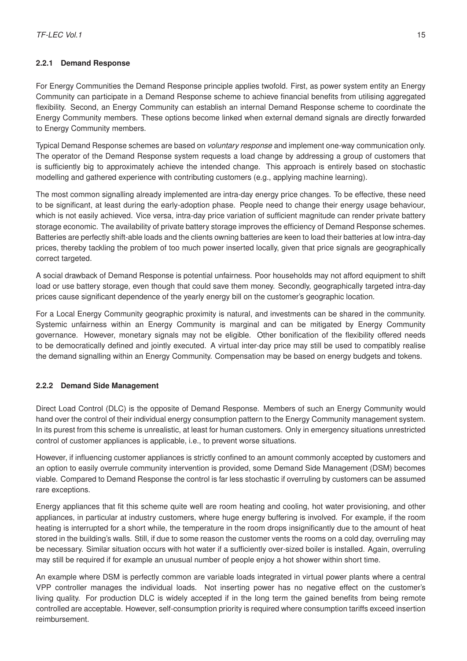#### **2.2.1 Demand Response**

For Energy Communities the Demand Response principle applies twofold. First, as power system entity an Energy Community can participate in a Demand Response scheme to achieve financial benefits from utilising aggregated flexibility. Second, an Energy Community can establish an internal Demand Response scheme to coordinate the Energy Community members. These options become linked when external demand signals are directly forwarded to Energy Community members.

Typical Demand Response schemes are based on *voluntary response* and implement one-way communication only. The operator of the Demand Response system requests a load change by addressing a group of customers that is sufficiently big to approximately achieve the intended change. This approach is entirely based on stochastic modelling and gathered experience with contributing customers (e.g., applying machine learning).

The most common signalling already implemented are intra-day energy price changes. To be effective, these need to be significant, at least during the early-adoption phase. People need to change their energy usage behaviour, which is not easily achieved. Vice versa, intra-day price variation of sufficient magnitude can render private battery storage economic. The availability of private battery storage improves the efficiency of Demand Response schemes. Batteries are perfectly shift-able loads and the clients owning batteries are keen to load their batteries at low intra-day prices, thereby tackling the problem of too much power inserted locally, given that price signals are geographically correct targeted.

A social drawback of Demand Response is potential unfairness. Poor households may not afford equipment to shift load or use battery storage, even though that could save them money. Secondly, geographically targeted intra-day prices cause significant dependence of the yearly energy bill on the customer's geographic location.

For a Local Energy Community geographic proximity is natural, and investments can be shared in the community. Systemic unfairness within an Energy Community is marginal and can be mitigated by Energy Community governance. However, monetary signals may not be eligible. Other bonification of the flexibility offered needs to be democratically defined and jointly executed. A virtual inter-day price may still be used to compatibly realise the demand signalling within an Energy Community. Compensation may be based on energy budgets and tokens.

#### <span id="page-18-0"></span>**2.2.2 Demand Side Management**

Direct Load Control (DLC) is the opposite of Demand Response. Members of such an Energy Community would hand over the control of their individual energy consumption pattern to the Energy Community management system. In its purest from this scheme is unrealistic, at least for human customers. Only in emergency situations unrestricted control of customer appliances is applicable, i.e., to prevent worse situations.

However, if influencing customer appliances is strictly confined to an amount commonly accepted by customers and an option to easily overrule community intervention is provided, some Demand Side Management (DSM) becomes viable. Compared to Demand Response the control is far less stochastic if overruling by customers can be assumed rare exceptions.

Energy appliances that fit this scheme quite well are room heating and cooling, hot water provisioning, and other appliances, in particular at industry customers, where huge energy buffering is involved. For example, if the room heating is interrupted for a short while, the temperature in the room drops insignificantly due to the amount of heat stored in the building's walls. Still, if due to some reason the customer vents the rooms on a cold day, overruling may be necessary. Similar situation occurs with hot water if a sufficiently over-sized boiler is installed. Again, overruling may still be required if for example an unusual number of people enjoy a hot shower within short time.

<span id="page-18-1"></span>An example where DSM is perfectly common are variable loads integrated in virtual power plants where a central VPP controller manages the individual loads. Not inserting power has no negative effect on the customer's living quality. For production DLC is widely accepted if in the long term the gained benefits from being remote controlled are acceptable. However, self-consumption priority is required where consumption tariffs exceed insertion reimbursement.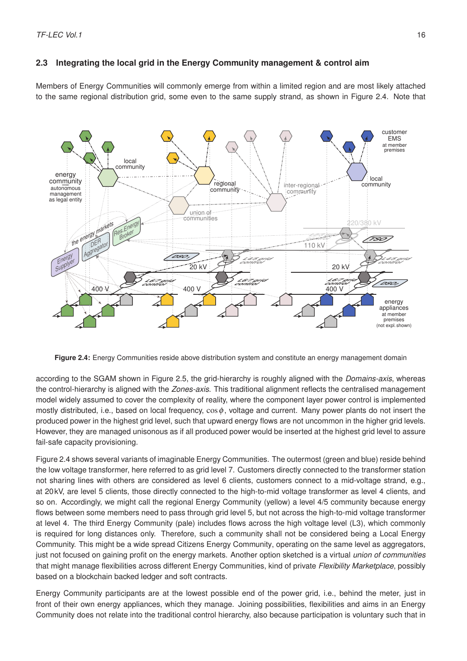#### **2.3 Integrating the local grid in the Energy Community management & control aim**

Members of Energy Communities will commonly emerge from within a limited region and are most likely attached to the same regional distribution grid, some even to the same supply strand, as shown in Figure [2.4.](#page-19-0) Note that

<span id="page-19-0"></span>

**Figure 2.4:** Energy Communities reside above distribution system and constitute an energy management domain

according to the SGAM shown in Figure [2.5,](#page-20-1) the grid-hierarchy is roughly aligned with the *Domains-axis*, whereas the control-hierarchy is aligned with the *Zones-axis*. This traditional alignment reflects the centralised management model widely assumed to cover the complexity of reality, where the component layer power control is implemented mostly distributed, i.e., based on local frequency,  $\cos \phi$ , voltage and current. Many power plants do not insert the produced power in the highest grid level, such that upward energy flows are not uncommon in the higher grid levels. However, they are managed unisonous as if all produced power would be inserted at the highest grid level to assure fail-safe capacity provisioning.

Figure [2.4](#page-19-0) shows several variants of imaginable Energy Communities. The outermost (green and blue) reside behind the low voltage transformer, here referred to as grid level 7. Customers directly connected to the transformer station not sharing lines with others are considered as level 6 clients, customers connect to a mid-voltage strand, e.g., at 20 kV, are level 5 clients, those directly connected to the high-to-mid voltage transformer as level 4 clients, and so on. Accordingly, we might call the regional Energy Community (yellow) a level 4/5 community because energy flows between some members need to pass through grid level 5, but not across the high-to-mid voltage transformer at level 4. The third Energy Community (pale) includes flows across the high voltage level (L3), which commonly is required for long distances only. Therefore, such a community shall not be considered being a Local Energy Community. This might be a wide spread Citizens Energy Community, operating on the same level as aggregators, just not focused on gaining profit on the energy markets. Another option sketched is a virtual *union of communities* that might manage flexibilities across different Energy Communities, kind of private *Flexibility Marketplace*, possibly based on a blockchain backed ledger and soft contracts.

Energy Community participants are at the lowest possible end of the power grid, i.e., behind the meter, just in front of their own energy appliances, which they manage. Joining possibilities, flexibilities and aims in an Energy Community does not relate into the traditional control hierarchy, also because participation is voluntary such that in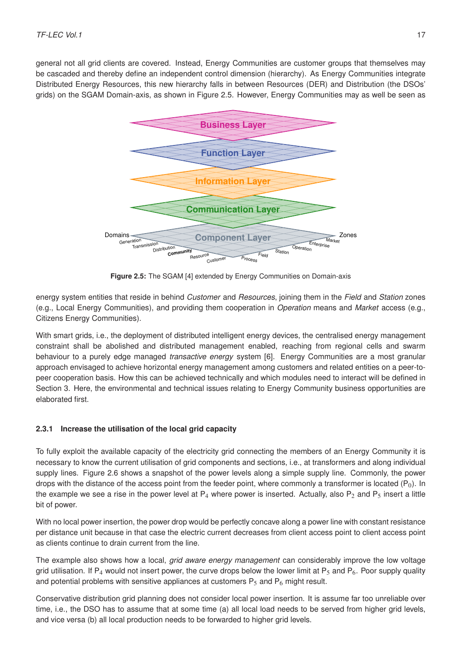<span id="page-20-1"></span>general not all grid clients are covered. Instead, Energy Communities are customer groups that themselves may be cascaded and thereby define an independent control dimension (hierarchy). As Energy Communities integrate Distributed Energy Resources, this new hierarchy falls in between Resources (DER) and Distribution (the DSOs' Distributed Energy Resources, this new merarchy rails in between resources (DER) and Distribution (the DOOs<br>grids) on the SGAM Domain-axis, as shown in Figure [2.5.](#page-20-1) However, Energy Communities may as well be seen as



**Figure 2.5:** The SGAM [\[4\]](#page-76-3) extended by Energy Communities on Domain-axis

energy system entities that reside in behind *Customer* and *Resources*, joining them in the *Field* and *Station* zones (e.g., Local Energy Communities), and providing them cooperation in *Operation* means and *Market* access (e.g., Citizens Energy Communities).

With smart grids, i.e., the deployment of distributed intelligent energy devices, the centralised energy management constraint shall be abolished and distributed management enabled, reaching from regional cells and swarm behaviour to a purely edge managed *transactive energy* system [\[6\]](#page-76-5). Energy Communities are a most granular approach envisaged to achieve horizontal energy management among customers and related entities on a peer-topeer cooperation basis. How this can be achieved technically and which modules need to interact will be defined in Section [3.](#page-27-0) Here, the environmental and technical issues relating to Energy Community business opportunities are elaborated first.

#### <span id="page-20-0"></span>**2.3.1 Increase the utilisation of the local grid capacity**

To fully exploit the available capacity of the electricity grid connecting the members of an Energy Community it is necessary to know the current utilisation of grid components and sections, i.e., at transformers and along individual supply lines. Figure [2.6](#page-21-1) shows a snapshot of the power levels along a simple supply line. Commonly, the power drops with the distance of the access point from the feeder point, where commonly a transformer is located  $(P_0)$ . In the example we see a rise in the power level at  $P_4$  where power is inserted. Actually, also  $P_2$  and  $P_5$  insert a little bit of power.

With no local power insertion, the power drop would be perfectly concave along a power line with constant resistance per distance unit because in that case the electric current decreases from client access point to client access point as clients continue to drain current from the line.

The example also shows how a local, *grid aware energy management* can considerably improve the low voltage grid utilisation. If P<sub>4</sub> would not insert power, the curve drops below the lower limit at P<sub>5</sub> and P<sub>6</sub>. Poor supply quality and potential problems with sensitive appliances at customers  $P_5$  and  $P_6$  might result.

Conservative distribution grid planning does not consider local power insertion. It is assume far too unreliable over time, i.e., the DSO has to assume that at some time (a) all local load needs to be served from higher grid levels, and vice versa (b) all local production needs to be forwarded to higher grid levels.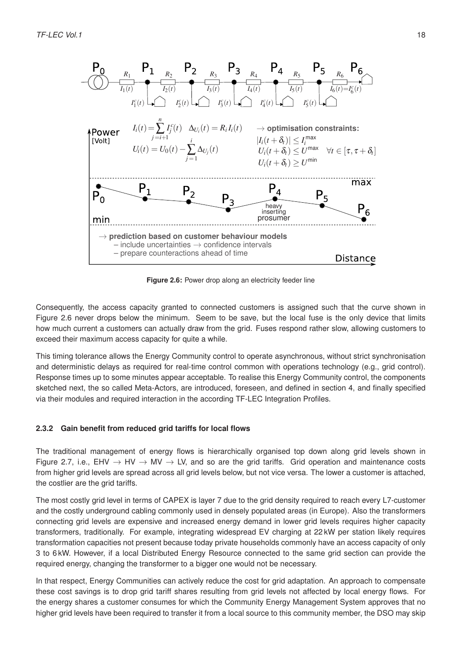<span id="page-21-1"></span>

**Figure 2.6:** Power drop along an electricity feeder line

Consequently, the access capacity granted to connected customers is assigned such that the curve shown in Figure [2.6](#page-21-1) never drops below the minimum. Seem to be save, but the local fuse is the only device that limits how much current a customers can actually draw from the grid. Fuses respond rather slow, allowing customers to exceed their maximum access capacity for quite a while.

This timing tolerance allows the Energy Community control to operate asynchronous, without strict synchronisation and deterministic delays as required for real-time control common with operations technology (e.g., grid control). Response times up to some minutes appear acceptable. To realise this Energy Community control, the components sketched next, the so called Meta-Actors, are introduced, foreseen, and defined in section [4,](#page-40-0) and finally specified via their modules and required interaction in the according TF-LEC Integration Profiles.

#### <span id="page-21-0"></span>**2.3.2 Gain benefit from reduced grid tariffs for local flows**

The traditional management of energy flows is hierarchically organised top down along grid levels shown in Figure [2.7,](#page-22-1) i.e., EHV  $\rightarrow$  HV  $\rightarrow$  MV  $\rightarrow$  LV, and so are the grid tariffs. Grid operation and maintenance costs from higher grid levels are spread across all grid levels below, but not vice versa. The lower a customer is attached, the costlier are the grid tariffs.

The most costly grid level in terms of CAPEX is layer 7 due to the grid density required to reach every L7-customer and the costly underground cabling commonly used in densely populated areas (in Europe). Also the transformers connecting grid levels are expensive and increased energy demand in lower grid levels requires higher capacity transformers, traditionally. For example, integrating widespread EV charging at 22 kW per station likely requires transformation capacities not present because today private households commonly have an access capacity of only 3 to 6 kW. However, if a local Distributed Energy Resource connected to the same grid section can provide the required energy, changing the transformer to a bigger one would not be necessary.

In that respect, Energy Communities can actively reduce the cost for grid adaptation. An approach to compensate these cost savings is to drop grid tariff shares resulting from grid levels not affected by local energy flows. For the energy shares a customer consumes for which the Community Energy Management System approves that no higher grid levels have been required to transfer it from a local source to this community member, the DSO may skip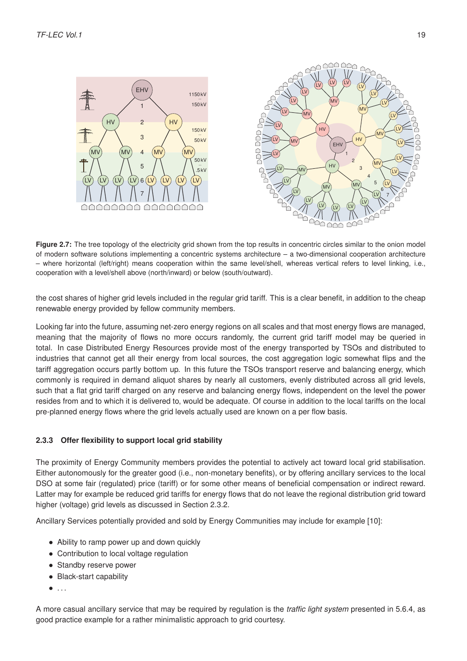<span id="page-22-1"></span>



Figure 2.7: The tree topology of the electricity grid shown from the top results in concentric circles similar to the onion model of modern software solutions implementing a concentric systems architecture – a two-dimensional cooperation architecture – where horizontal (left/right) means cooperation within the same level/shell, whereas vertical refers to level linking, i.e., cooperation with a level/shell above (north/inward) or below (south/outward).

the cost shares of higher grid levels included in the regular grid tariff. This is a clear benefit, in addition to the cheap renewable energy provided by fellow community members.

Looking far into the future, assuming net-zero energy regions on all scales and that most energy flows are managed, meaning that the majority of flows no more occurs randomly, the current grid tariff model may be queried in total. In case Distributed Energy Resources provide most of the energy transported by TSOs and distributed to industries that cannot get all their energy from local sources, the cost aggregation logic somewhat flips and the tariff aggregation occurs partly bottom up. In this future the TSOs transport reserve and balancing energy, which commonly is required in demand aliquot shares by nearly all customers, evenly distributed across all grid levels, such that a flat grid tariff charged on any reserve and balancing energy flows, independent on the level the power resides from and to which it is delivered to, would be adequate. Of course in addition to the local tariffs on the local pre-planned energy flows where the grid levels actually used are known on a per flow basis.

#### <span id="page-22-0"></span>**2.3.3 Offer flexibility to support local grid stability**

The proximity of Energy Community members provides the potential to actively act toward local grid stabilisation. Either autonomously for the greater good (i.e., non-monetary benefits), or by offering ancillary services to the local DSO at some fair (regulated) price (tariff) or for some other means of beneficial compensation or indirect reward. Latter may for example be reduced grid tariffs for energy flows that do not leave the regional distribution grid toward higher (voltage) grid levels as discussed in Section [2.3.2.](#page-21-0)

Ancillary Services potentially provided and sold by Energy Communities may include for example [\[10\]](#page-76-9):

- Ability to ramp power up and down quickly
- Contribution to local voltage regulation
- Standby reserve power
- Black-start capability
- $\bullet$  ...

A more casual ancillary service that may be required by regulation is the *traffic light system* presented in [5.6.4,](#page-68-0) as good practice example for a rather minimalistic approach to grid courtesy.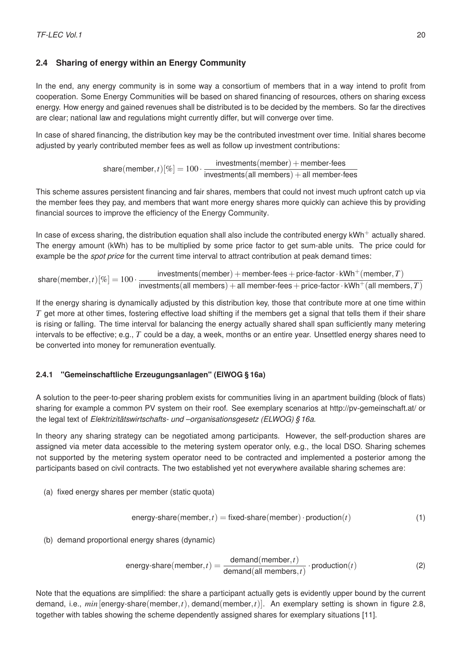#### <span id="page-23-0"></span>**2.4 Sharing of energy within an Energy Community**

In the end, any energy community is in some way a consortium of members that in a way intend to profit from cooperation. Some Energy Communities will be based on shared financing of resources, others on sharing excess energy. How energy and gained revenues shall be distributed is to be decided by the members. So far the directives are clear; national law and regulations might currently differ, but will converge over time.

In case of shared financing, the distribution key may be the contributed investment over time. Initial shares become adjusted by yearly contributed member fees as well as follow up investment contributions:

> $\text{share}(\text{member}, t)[\%] = 100 \cdot \frac{\text{investments}(\text{member}) + \text{member-frees}}{\text{investments}(\text{all members}) + \text{all member-f}}$  $investments(all members) + all member-frees$

This scheme assures persistent financing and fair shares, members that could not invest much upfront catch up via the member fees they pay, and members that want more energy shares more quickly can achieve this by providing financial sources to improve the efficiency of the Energy Community.

In case of excess sharing, the distribution equation shall also include the contributed energy  $kWh^+$  actually shared. The energy amount (kWh) has to be multiplied by some price factor to get sum-able units. The price could for example be the *spot price* for the current time interval to attract contribution at peak demand times:

 $\text{share}(\text{member}, t)[\%] = 100 \cdot \frac{\text{investments}(\text{member}) + \text{member-free} + \text{price-factor} \cdot \text{kWh}^+(\text{member}, T)}{\text{inversements}(\text{all members}) + \text{all members} + \text{price-factor} \cdot \text{kWh}^+(\text{all members})}$  ${\sf inverses}({\sf all\,members})+{\sf all\, members}+{\sf faces}+{\sf price\text{-}factor}\cdot {\sf kWh}^+({\sf all\, members},T)$ 

If the energy sharing is dynamically adjusted by this distribution key, those that contribute more at one time within *T* get more at other times, fostering effective load shifting if the members get a signal that tells them if their share is rising or falling. The time interval for balancing the energy actually shared shall span sufficiently many metering intervals to be effective; e.g., *T* could be a day, a week, months or an entire year. Unsettled energy shares need to be converted into money for remuneration eventually.

#### <span id="page-23-1"></span>**2.4.1 "Gemeinschaftliche Erzeugungsanlagen" (ElWOG § 16a)**

A solution to the peer-to-peer sharing problem exists for communities living in an apartment building (block of flats) sharing for example a common PV system on their roof. See exemplary scenarios at [http://pv-gemeinschaft.at/](http://pv-gemeinschaft.at/umsetzungsvarianten/) or the legal text of *Elektrizitätswirtschafts- und –organisationsgesetz (ELWOG) § 16a*.

In theory any sharing strategy can be negotiated among participants. However, the self-production shares are assigned via meter data accessible to the metering system operator only, e.g., the local DSO. Sharing schemes not supported by the metering system operator need to be contracted and implemented a posterior among the participants based on civil contracts. The two established yet not everywhere available sharing schemes are:

(a) fixed energy shares per member (static quota)

<span id="page-23-3"></span><span id="page-23-2"></span>energy-share(member, 
$$
t
$$
) = fixed-share(member)  $\cdot$  production( $t$ ) (1)

(b) demand proportional energy shares (dynamic)

energy-share(member, t) = 
$$
\frac{\text{demand}(member, t)}{\text{demand}(\text{all members}, t)} \cdot \text{production}(t)
$$
 (2)

Note that the equations are simplified: the share a participant actually gets is evidently upper bound by the current demand, i.e., *min*[energy-share(member,*t*), demand(member,*t*)]. An exemplary setting is shown in figure [2.8,](#page-24-1) together with tables showing the scheme dependently assigned shares for [exemplary situations](http://pv-gemeinschaft.at/aufteilung/) [\[11\]](#page-76-10).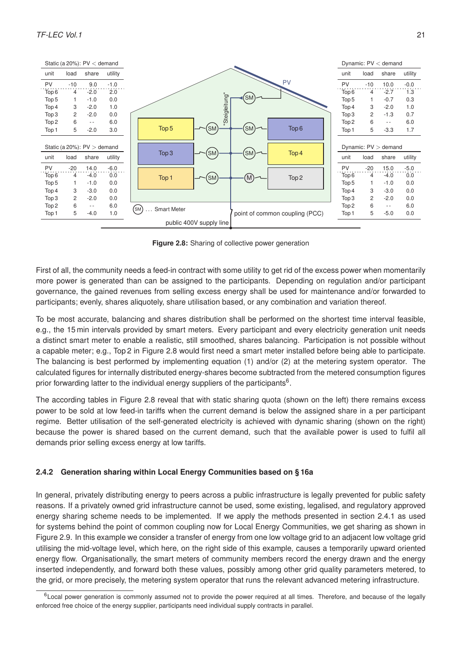<span id="page-24-1"></span>

**Figure 2.8:** Sharing of collective power generation

First of all, the community needs a feed-in contract with some utility to get rid of the excess power when momentarily more power is generated than can be assigned to the participants. Depending on regulation and/or participant governance, the gained revenues from selling excess energy shall be used for maintenance and/or forwarded to participants; evenly, shares aliquotely, share utilisation based, or any combination and variation thereof.

To be most accurate, balancing and shares distribution shall be performed on the shortest time interval feasible, e.g., the 15 min intervals provided by smart meters. Every participant and every electricity generation unit needs a distinct smart meter to enable a realistic, still smoothed, shares balancing. Participation is not possible without a capable meter; e.g., Top 2 in Figure [2.8](#page-24-1) would first need a smart meter installed before being able to participate. The balancing is best performed by implementing equation [\(1\)](#page-23-2) and/or [\(2\)](#page-23-3) at the metering system operator. The calculated figures for internally distributed energy-shares become subtracted from the metered consumption figures prior forwarding latter to the individual energy suppliers of the participants<sup>[6](#page-24-2)</sup>.

The according tables in Figure [2.8](#page-24-1) reveal that with static sharing quota (shown on the left) there remains excess power to be sold at low feed-in tariffs when the current demand is below the assigned share in a per participant regime. Better utilisation of the self-generated electricity is achieved with dynamic sharing (shown on the right) because the power is shared based on the current demand, such that the available power is used to fulfil all demands prior selling excess energy at low tariffs.

#### <span id="page-24-0"></span>**2.4.2 Generation sharing within Local Energy Communities based on § 16a**

In general, privately distributing energy to peers across a public infrastructure is legally prevented for public safety reasons. If a privately owned grid infrastructure cannot be used, some existing, legalised, and regulatory approved energy sharing scheme needs to be implemented. If we apply the methods presented in section [2.4.1](#page-23-1) as used for systems behind the point of common coupling now for Local Energy Communities, we get sharing as shown in Figure [2.9.](#page-25-1) In this example we consider a transfer of energy from one low voltage grid to an adjacent low voltage grid utilising the mid-voltage level, which here, on the right side of this example, causes a temporarily upward oriented energy flow. Organisationally, the smart meters of community members record the energy drawn and the energy inserted independently, and forward both these values, possibly among other grid quality parameters metered, to the grid, or more precisely, the metering system operator that runs the relevant advanced metering infrastructure.

<span id="page-24-2"></span> $6$  Local power generation is commonly assumed not to provide the power required at all times. Therefore, and because of the legally enforced free choice of the energy supplier, participants need individual supply contracts in parallel.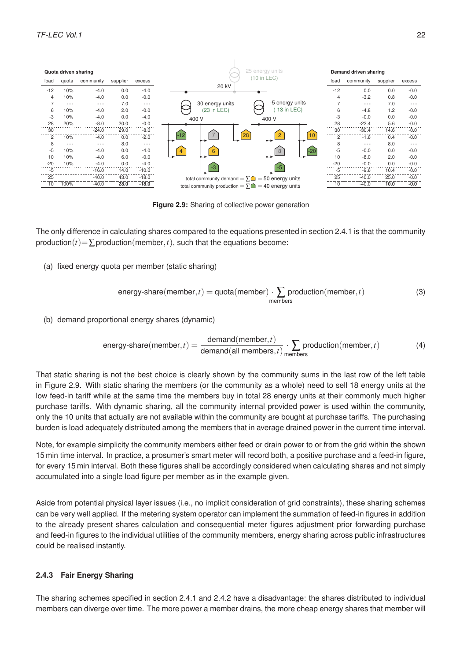<span id="page-25-1"></span>

**Figure 2.9:** Sharing of collective power generation

The only difference in calculating shares compared to the equations presented in section [2.4.1](#page-23-1) is that the community production( $t$ )= $\sum$ production(member,  $t$ ), such that the equations become:

(a) fixed energy quota per member (static sharing)

energy-share(member, 
$$
t
$$
) = quota(member) ·  $\sum_{\text{members}}$  production(member,  $t$ ) (3)

(b) demand proportional energy shares (dynamic)

energy-share(member, t) = 
$$
\frac{\text{demand}(member, t)}{\text{demand}(\text{all members}, t)} \cdot \sum_{members} production(member, t)
$$
 (4)

That static sharing is not the best choice is clearly shown by the community sums in the last row of the left table in Figure [2.9.](#page-25-1) With static sharing the members (or the community as a whole) need to sell 18 energy units at the low feed-in tariff while at the same time the members buy in total 28 energy units at their commonly much higher purchase tariffs. With dynamic sharing, all the community internal provided power is used within the community, only the 10 units that actually are not available within the community are bought at purchase tariffs. The purchasing burden is load adequately distributed among the members that in average drained power in the current time interval.

Note, for example simplicity the community members either feed or drain power to or from the grid within the shown 15 min time interval. In practice, a prosumer's smart meter will record both, a positive purchase and a feed-in figure, for every 15 min interval. Both these figures shall be accordingly considered when calculating shares and not simply accumulated into a single load figure per member as in the example given.

Aside from potential physical layer issues (i.e., no implicit consideration of grid constraints), these sharing schemes can be very well applied. If the metering system operator can implement the summation of feed-in figures in addition to the already present shares calculation and consequential meter figures adjustment prior forwarding purchase and feed-in figures to the individual utilities of the community members, energy sharing across public infrastructures could be realised instantly.

#### <span id="page-25-0"></span>**2.4.3 Fair Energy Sharing**

The sharing schemes specified in section [2.4.1](#page-23-1) and [2.4.2](#page-24-0) have a disadvantage: the shares distributed to individual members can diverge over time. The more power a member drains, the more cheap energy shares that member will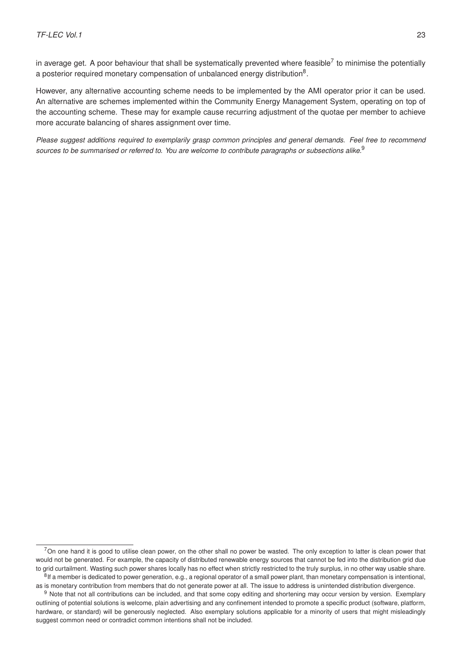in average get. A poor behaviour that shall be systematically prevented where feasible<sup>[7](#page-26-0)</sup> to minimise the potentially a posterior required monetary compensation of unbalanced energy distribution $^8$  $^8$ .

However, any alternative accounting scheme needs to be implemented by the AMI operator prior it can be used. An alternative are schemes implemented within the Community Energy Management System, operating on top of the accounting scheme. These may for example cause recurring adjustment of the quotae per member to achieve more accurate balancing of shares assignment over time.

*Please suggest additions required to exemplarily grasp common principles and general demands. Feel free to recommend sources to be summarised or referred to. You are welcome to contribute paragraphs or subsections alike.*[9](#page-26-2)

<span id="page-26-0"></span> $7$ On one hand it is good to utilise clean power, on the other shall no power be wasted. The only exception to latter is clean power that would not be generated. For example, the capacity of distributed renewable energy sources that cannot be fed into the distribution grid due to grid curtailment. Wasting such power shares locally has no effect when strictly restricted to the truly surplus, in no other way usable share. <sup>8</sup>If a member is dedicated to power generation, e.g., a regional operator of a small power plant, than monetary compensation is intentional, as is monetary contribution from members that do not generate power at all. The issue to address is unintended distribution divergence.

<span id="page-26-2"></span><span id="page-26-1"></span><sup>&</sup>lt;sup>9</sup> Note that not all contributions can be included, and that some copy editing and shortening may occur version by version. Exemplary outlining of potential solutions is welcome, plain advertising and any confinement intended to promote a specific product (software, platform, hardware, or standard) will be generously neglected. Also exemplary solutions applicable for a minority of users that might misleadingly suggest common need or contradict common intentions shall not be included.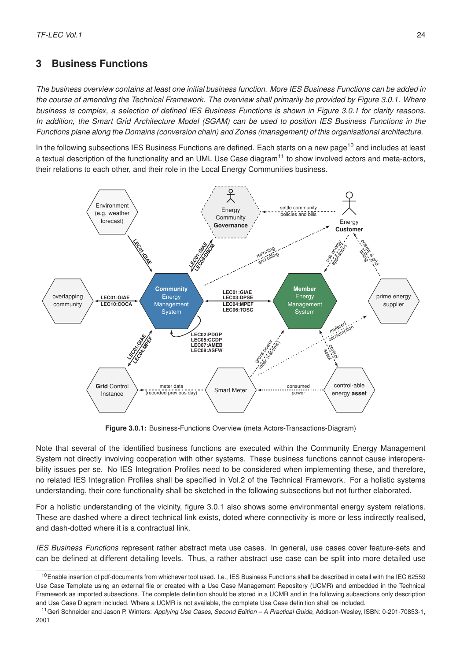# <span id="page-27-0"></span>**3 Business Functions**

*The business overview contains at least one initial business function. More IES Business Functions can be added in the course of amending the Technical Framework. The overview shall primarily be provided by Figure [3.0.1.](#page-27-1) Where business is complex, a selection of defined IES Business Functions is shown in Figure [3.0.1](#page-27-1) for clarity reasons. In addition, the Smart Grid Architecture Model (SGAM) can be used to position IES Business Functions in the Functions plane along the Domains (conversion chain) and Zones (management) of this organisational architecture.*

In the following subsections IES Business Functions are defined. Each starts on a new page<sup>[10](#page-27-2)</sup> and includes at least a textual description of the functionality and an UML Use Case diagram $<sup>11</sup>$  $<sup>11</sup>$  $<sup>11</sup>$  to show involved actors and meta-actors,</sup> their relations to each other, and their role in the Local Energy Communities business.

<span id="page-27-1"></span>

**Figure 3.0.1:** Business-Functions Overview (meta Actors-Transactions-Diagram)

Note that several of the identified business functions are executed within the Community Energy Management System not directly involving cooperation with other systems. These business functions cannot cause interoperability issues per se. No IES Integration Profiles need to be considered when implementing these, and therefore, no related IES Integration Profiles shall be specified in Vol.2 of the Technical Framework. For a holistic systems understanding, their core functionality shall be sketched in the following subsections but not further elaborated.

For a holistic understanding of the vicinity, figure [3.0.1](#page-27-1) also shows some environmental energy system relations. These are dashed where a direct technical link exists, doted where connectivity is more or less indirectly realised, and dash-dotted where it is a contractual link.

*IES Business Functions* represent rather abstract meta use cases. In general, use cases cover feature-sets and can be defined at different detailing levels. Thus, a rather abstract use case can be split into more detailed use

<span id="page-27-2"></span><sup>&</sup>lt;sup>10</sup> Enable insertion of pdf-documents from whichever tool used. I.e., IES Business Functions shall be described in detail with the IEC 62559 Use Case Template using an external file or created with a Use Case Management Repository (UCMR) and embedded in the Technical Framework as imported subsections. The complete definition should be stored in a UCMR and in the following subsections only description and Use Case Diagram included. Where a UCMR is not available, the complete Use Case definition shall be included.

<span id="page-27-3"></span><sup>11</sup>Geri Schneider and Jason P. Winters: *Applying Use Cases, Second Edition – A Practical Guide*, Addison-Wesley, ISBN: 0-201-70853-1, 2001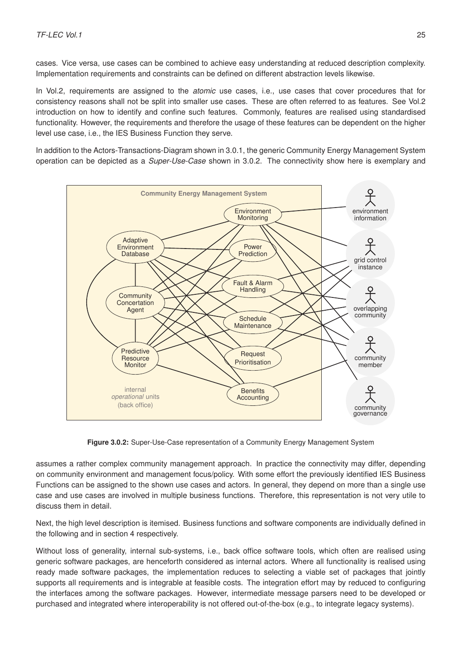cases. Vice versa, use cases can be combined to achieve easy understanding at reduced description complexity. Implementation requirements and constraints can be defined on different abstraction levels likewise.

In Vol.2, requirements are assigned to the *atomic* use cases, i.e., use cases that cover procedures that for consistency reasons shall not be split into smaller use cases. These are often referred to as features. See Vol.2 introduction on how to identify and confine such features. Commonly, features are realised using standardised functionality. However, the requirements and therefore the usage of these features can be dependent on the higher level use case, i.e., the IES Business Function they serve.

In addition to the Actors-Transactions-Diagram shown in [3.0.1,](#page-27-1) the generic Community Energy Management System operation can be depicted as a *Super-Use-Case* shown in [3.0.2.](#page-28-0) The connectivity show here is exemplary and

<span id="page-28-0"></span>

**Figure 3.0.2:** Super-Use-Case representation of a Community Energy Management System

assumes a rather complex community management approach. In practice the connectivity may differ, depending on community environment and management focus/policy. With some effort the previously identified IES Business Functions can be assigned to the shown use cases and actors. In general, they depend on more than a single use case and use cases are involved in multiple business functions. Therefore, this representation is not very utile to discuss them in detail.

Next, the high level description is itemised. Business functions and software components are individually defined in the following and in section [4](#page-40-0) respectively.

Without loss of generality, internal sub-systems, i.e., back office software tools, which often are realised using generic software packages, are henceforth considered as internal actors. Where all functionality is realised using ready made software packages, the implementation reduces to selecting a viable set of packages that jointly supports all requirements and is integrable at feasible costs. The integration effort may by reduced to configuring the interfaces among the software packages. However, intermediate message parsers need to be developed or purchased and integrated where interoperability is not offered out-of-the-box (e.g., to integrate legacy systems).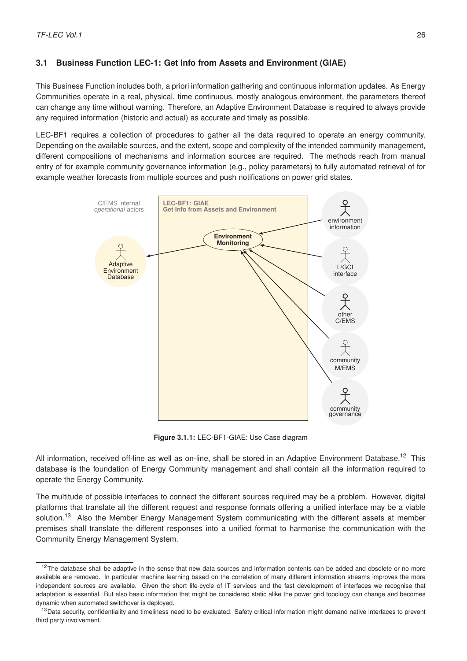# <span id="page-29-0"></span>**3.1 Business Function LEC-1: Get Info from Assets and Environment (GIAE)**

This Business Function includes both, a priori information gathering and continuous information updates. As Energy Communities operate in a real, physical, time continuous, mostly analogous environment, the parameters thereof can change any time without warning. Therefore, an Adaptive Environment Database is required to always provide any required information (historic and actual) as accurate and timely as possible.

LEC-BF1 requires a collection of procedures to gather all the data required to operate an energy community. Depending on the available sources, and the extent, scope and complexity of the intended community management, different compositions of mechanisms and information sources are required. The methods reach from manual entry of for example community governance information (e.g., policy parameters) to fully automated retrieval of for example weather forecasts from multiple sources and push notifications on power grid states.



**Figure 3.1.1:** LEC-BF1-GIAE: Use Case diagram

All information, received off-line as well as on-line, shall be stored in an Adaptive Environment Database.<sup>[12](#page-29-1)</sup> This database is the foundation of Energy Community management and shall contain all the information required to operate the Energy Community.

The multitude of possible interfaces to connect the different sources required may be a problem. However, digital platforms that translate all the different request and response formats offering a unified interface may be a viable solution.<sup>[13](#page-29-2)</sup> Also the Member Energy Management System communicating with the different assets at member premises shall translate the different responses into a unified format to harmonise the communication with the Community Energy Management System.

<span id="page-29-1"></span> $12$ The database shall be adaptive in the sense that new data sources and information contents can be added and obsolete or no more available are removed. In particular machine learning based on the correlation of many different information streams improves the more independent sources are available. Given the short life-cycle of IT services and the fast development of interfaces we recognise that adaptation is essential. But also basic information that might be considered static alike the power grid topology can change and becomes dynamic when automated switchover is deployed.

<span id="page-29-2"></span><sup>&</sup>lt;sup>13</sup>Data security, confidentiality and timeliness need to be evaluated. Safety critical information might demand native interfaces to prevent third party involvement.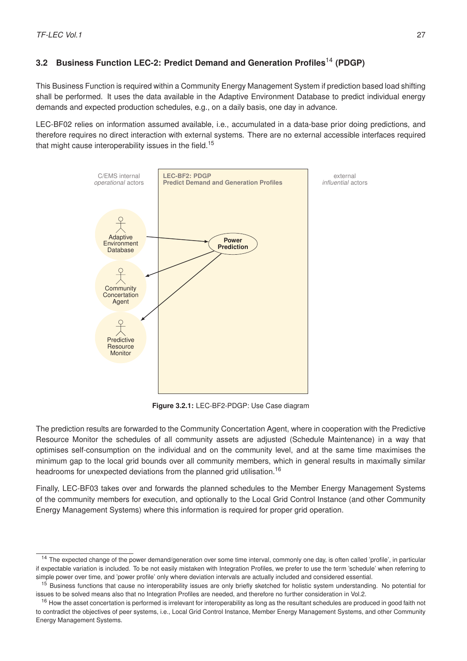# <span id="page-30-0"></span>**3.2 Business Function LEC-2: Predict Demand and Generation Profiles**[14](#page-30-1) **(PDGP)**

This Business Function is required within a Community Energy Management System if prediction based load shifting shall be performed. It uses the data available in the Adaptive Environment Database to predict individual energy demands and expected production schedules, e.g., on a daily basis, one day in advance.

LEC-BF02 relies on information assumed available, i.e., accumulated in a data-base prior doing predictions, and therefore requires no direct interaction with external systems. There are no external accessible interfaces required that might cause interoperability issues in the field.<sup>[15](#page-30-2)</sup>



**Figure 3.2.1:** LEC-BF2-PDGP: Use Case diagram

The prediction results are forwarded to the Community Concertation Agent, where in cooperation with the Predictive Resource Monitor the schedules of all community assets are adjusted (Schedule Maintenance) in a way that optimises self-consumption on the individual and on the community level, and at the same time maximises the minimum gap to the local grid bounds over all community members, which in general results in maximally similar headrooms for unexpected deviations from the planned grid utilisation.<sup>[16](#page-30-3)</sup>

Finally, LEC-BF03 takes over and forwards the planned schedules to the Member Energy Management Systems of the community members for execution, and optionally to the Local Grid Control Instance (and other Community Energy Management Systems) where this information is required for proper grid operation.

<span id="page-30-1"></span><sup>&</sup>lt;sup>14</sup> The expected change of the power demand/generation over some time interval, commonly one day, is often called 'profile', in particular if expectable variation is included. To be not easily mistaken with Integration Profiles, we prefer to use the term 'schedule' when referring to simple power over time, and 'power profile' only where deviation intervals are actually included and considered essential.

<span id="page-30-2"></span><sup>&</sup>lt;sup>15</sup> Business functions that cause no interoperability issues are only briefly sketched for holistic system understanding. No potential for issues to be solved means also that no Integration Profiles are needed, and therefore no further consideration in Vol.2.

<span id="page-30-3"></span><sup>&</sup>lt;sup>16</sup> How the asset concertation is performed is irrelevant for interoperability as long as the resultant schedules are produced in good faith not to contradict the objectives of peer systems, i.e., Local Grid Control Instance, Member Energy Management Systems, and other Community Energy Management Systems.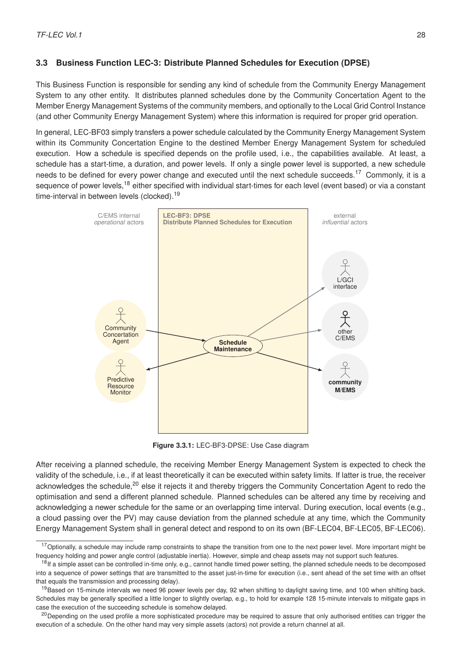## <span id="page-31-0"></span>**3.3 Business Function LEC-3: Distribute Planned Schedules for Execution (DPSE)**

This Business Function is responsible for sending any kind of schedule from the Community Energy Management System to any other entity. It distributes planned schedules done by the Community Concertation Agent to the Member Energy Management Systems of the community members, and optionally to the Local Grid Control Instance (and other Community Energy Management System) where this information is required for proper grid operation.

In general, LEC-BF03 simply transfers a power schedule calculated by the Community Energy Management System within its Community Concertation Engine to the destined Member Energy Management System for scheduled execution. How a schedule is specified depends on the profile used, i.e., the capabilities available. At least, a schedule has a start-time, a duration, and power levels. If only a single power level is supported, a new schedule needs to be defined for every power change and executed until the next schedule succeeds.<sup>[17](#page-31-1)</sup> Commonly, it is a sequence of power levels,<sup>[18](#page-31-2)</sup> either specified with individual start-times for each level (event based) or via a constant time-interval in between levels (clocked).<sup>[19](#page-31-3)</sup>



**Figure 3.3.1:** LEC-BF3-DPSE: Use Case diagram

After receiving a planned schedule, the receiving Member Energy Management System is expected to check the validity of the schedule, i.e., if at least theoretically it can be executed within safety limits. If latter is true, the receiver acknowledges the schedule.<sup>[20](#page-31-4)</sup> else it rejects it and thereby triggers the Community Concertation Agent to redo the optimisation and send a different planned schedule. Planned schedules can be altered any time by receiving and acknowledging a newer schedule for the same or an overlapping time interval. During execution, local events (e.g., a cloud passing over the PV) may cause deviation from the planned schedule at any time, which the Community Energy Management System shall in general detect and respond to on its own (BF-LEC04, BF-LEC05, BF-LEC06).

<span id="page-31-1"></span><sup>&</sup>lt;sup>17</sup> Optionally, a schedule may include ramp constraints to shape the transition from one to the next power level. More important might be frequency holding and power angle control (adjustable inertia). However, simple and cheap assets may not support such features.

<span id="page-31-2"></span><sup>&</sup>lt;sup>18</sup> If a simple asset can be controlled in-time only, e.g., cannot handle timed power setting, the planned schedule needs to be decomposed into a sequence of power settings that are transmitted to the asset just-in-time for execution (i.e., sent ahead of the set time with an offset that equals the transmission and processing delay).

<span id="page-31-3"></span><sup>&</sup>lt;sup>19</sup>Based on 15-minute intervals we need 96 power levels per day, 92 when shifting to daylight saving time, and 100 when shifting back. Schedules may be generally specified a little longer to slightly overlap, e.g., to hold for example 128 15-minute intervals to mitigate gaps in case the execution of the succeeding schedule is somehow delayed.

<span id="page-31-4"></span><sup>&</sup>lt;sup>20</sup>Depending on the used profile a more sophisticated procedure may be required to assure that only authorised entities can trigger the execution of a schedule. On the other hand may very simple assets (actors) not provide a return channel at all.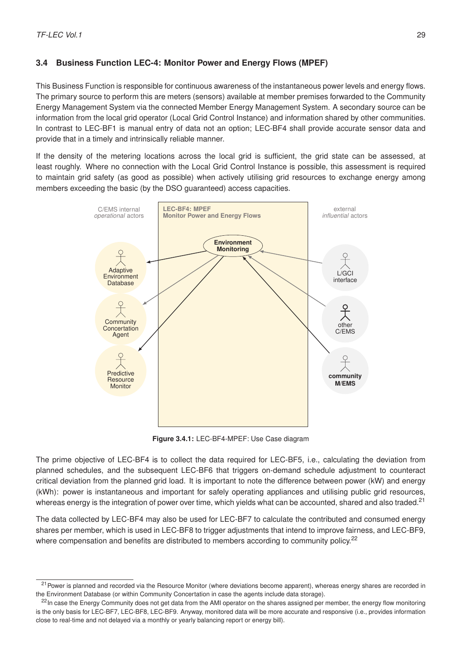# <span id="page-32-0"></span>**3.4 Business Function LEC-4: Monitor Power and Energy Flows (MPEF)**

This Business Function is responsible for continuous awareness of the instantaneous power levels and energy flows. The primary source to perform this are meters (sensors) available at member premises forwarded to the Community Energy Management System via the connected Member Energy Management System. A secondary source can be information from the local grid operator (Local Grid Control Instance) and information shared by other communities. In contrast to LEC-BF1 is manual entry of data not an option; LEC-BF4 shall provide accurate sensor data and provide that in a timely and intrinsically reliable manner.

If the density of the metering locations across the local grid is sufficient, the grid state can be assessed, at least roughly. Where no connection with the Local Grid Control Instance is possible, this assessment is required to maintain grid safety (as good as possible) when actively utilising grid resources to exchange energy among members exceeding the basic (by the DSO guaranteed) access capacities.



**Figure 3.4.1:** LEC-BF4-MPEF: Use Case diagram

The prime objective of LEC-BF4 is to collect the data required for LEC-BF5, i.e., calculating the deviation from planned schedules, and the subsequent LEC-BF6 that triggers on-demand schedule adjustment to counteract critical deviation from the planned grid load. It is important to note the difference between power (kW) and energy (kWh): power is instantaneous and important for safely operating appliances and utilising public grid resources, whereas energy is the integration of power over time, which yields what can be accounted, shared and also traded.<sup>[21](#page-32-1)</sup>

The data collected by LEC-BF4 may also be used for LEC-BF7 to calculate the contributed and consumed energy shares per member, which is used in LEC-BF8 to trigger adjustments that intend to improve fairness, and LEC-BF9, where compensation and benefits are distributed to members according to community policy.<sup>[22](#page-32-2)</sup>

<span id="page-32-1"></span><sup>&</sup>lt;sup>21</sup> Power is planned and recorded via the Resource Monitor (where deviations become apparent), whereas energy shares are recorded in the Environment Database (or within Community Concertation in case the agents include data storage).

<span id="page-32-2"></span><sup>&</sup>lt;sup>22</sup>In case the Energy Community does not get data from the AMI operator on the shares assigned per member, the energy flow monitoring is the only basis for LEC-BF7, LEC-BF8, LEC-BF9. Anyway, monitored data will be more accurate and responsive (i.e., provides information close to real-time and not delayed via a monthly or yearly balancing report or energy bill).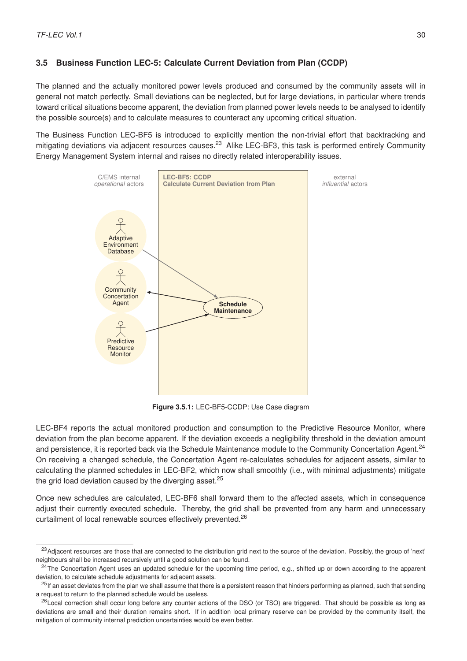# <span id="page-33-0"></span>**3.5 Business Function LEC-5: Calculate Current Deviation from Plan (CCDP)**

The planned and the actually monitored power levels produced and consumed by the community assets will in general not match perfectly. Small deviations can be neglected, but for large deviations, in particular where trends toward critical situations become apparent, the deviation from planned power levels needs to be analysed to identify the possible source(s) and to calculate measures to counteract any upcoming critical situation.

The Business Function LEC-BF5 is introduced to explicitly mention the non-trivial effort that backtracking and mitigating deviations via adjacent resources causes.<sup>[23](#page-33-1)</sup> Alike LEC-BF3, this task is performed entirely Community Energy Management System internal and raises no directly related interoperability issues.



**Figure 3.5.1:** LEC-BF5-CCDP: Use Case diagram

LEC-BF4 reports the actual monitored production and consumption to the Predictive Resource Monitor, where deviation from the plan become apparent. If the deviation exceeds a negligibility threshold in the deviation amount and persistence, it is reported back via the Schedule Maintenance module to the Community Concertation Agent.<sup>[24](#page-33-2)</sup> On receiving a changed schedule, the Concertation Agent re-calculates schedules for adjacent assets, similar to calculating the planned schedules in LEC-BF2, which now shall smoothly (i.e., with minimal adjustments) mitigate the grid load deviation caused by the diverging asset. $25$ 

Once new schedules are calculated, LEC-BF6 shall forward them to the affected assets, which in consequence adjust their currently executed schedule. Thereby, the grid shall be prevented from any harm and unnecessary curtailment of local renewable sources effectively prevented.<sup>[26](#page-33-4)</sup>

<span id="page-33-1"></span><sup>&</sup>lt;sup>23</sup> Adiacent resources are those that are connected to the distribution grid next to the source of the deviation. Possibly, the group of 'next' neighbours shall be increased recursively until a good solution can be found.

<span id="page-33-2"></span><sup>&</sup>lt;sup>24</sup>The Concertation Agent uses an updated schedule for the upcoming time period, e.g., shifted up or down according to the apparent deviation, to calculate schedule adjustments for adjacent assets.

<span id="page-33-3"></span><sup>&</sup>lt;sup>25</sup>If an asset deviates from the plan we shall assume that there is a persistent reason that hinders performing as planned, such that sending a request to return to the planned schedule would be useless.

<span id="page-33-4"></span><sup>&</sup>lt;sup>26</sup> Local correction shall occur long before any counter actions of the DSO (or TSO) are triggered. That should be possible as long as deviations are small and their duration remains short. If in addition local primary reserve can be provided by the community itself, the mitigation of community internal prediction uncertainties would be even better.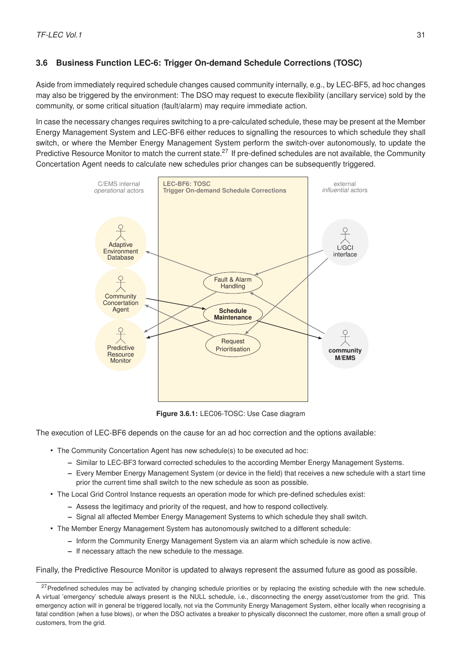# <span id="page-34-0"></span>**3.6 Business Function LEC-6: Trigger On-demand Schedule Corrections (TOSC)**

Aside from immediately required schedule changes caused community internally, e.g., by LEC-BF5, ad hoc changes may also be triggered by the environment: The DSO may request to execute flexibility (ancillary service) sold by the community, or some critical situation (fault/alarm) may require immediate action.

In case the necessary changes requires switching to a pre-calculated schedule, these may be present at the Member Energy Management System and LEC-BF6 either reduces to signalling the resources to which schedule they shall switch, or where the Member Energy Management System perform the switch-over autonomously, to update the Predictive Resource Monitor to match the current state.<sup>[27](#page-34-1)</sup> If pre-defined schedules are not available, the Community Concertation Agent needs to calculate new schedules prior changes can be subsequently triggered.



**Figure 3.6.1:** LEC06-TOSC: Use Case diagram

The execution of LEC-BF6 depends on the cause for an ad hoc correction and the options available:

- The Community Concertation Agent has new schedule(s) to be executed ad hoc:
	- **–** Similar to LEC-BF3 forward corrected schedules to the according Member Energy Management Systems.
	- **–** Every Member Energy Management System (or device in the field) that receives a new schedule with a start time prior the current time shall switch to the new schedule as soon as possible.
- The Local Grid Control Instance requests an operation mode for which pre-defined schedules exist:
	- **–** Assess the legitimacy and priority of the request, and how to respond collectively.
	- **–** Signal all affected Member Energy Management Systems to which schedule they shall switch.
- The Member Energy Management System has autonomously switched to a different schedule:
	- **–** Inform the Community Energy Management System via an alarm which schedule is now active.
	- **–** If necessary attach the new schedule to the message.

Finally, the Predictive Resource Monitor is updated to always represent the assumed future as good as possible.

<span id="page-34-1"></span><sup>&</sup>lt;sup>27</sup> Predefined schedules may be activated by changing schedule priorities or by replacing the existing schedule with the new schedule. A virtual 'emergency' schedule always present is the NULL schedule, i.e., disconnecting the energy asset/customer from the grid. This emergency action will in general be triggered locally, not via the Community Energy Management System, either locally when recognising a fatal condition (when a fuse blows), or when the DSO activates a breaker to physically disconnect the customer, more often a small group of customers, from the grid.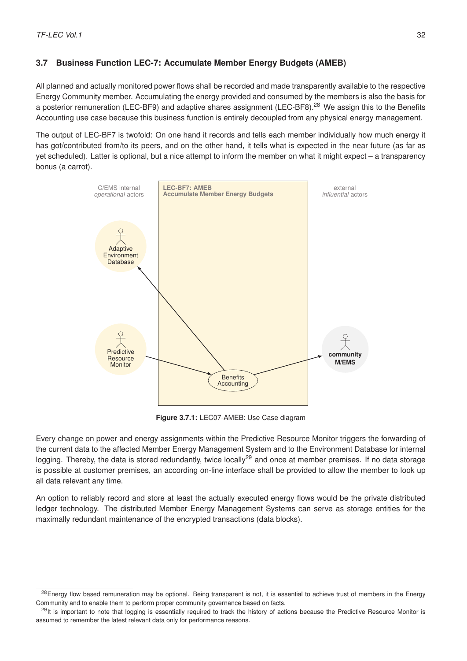# <span id="page-35-0"></span>**3.7 Business Function LEC-7: Accumulate Member Energy Budgets (AMEB)**

All planned and actually monitored power flows shall be recorded and made transparently available to the respective Energy Community member. Accumulating the energy provided and consumed by the members is also the basis for a posterior remuneration (LEC-BF9) and adaptive shares assignment (LEC-BF8).<sup>[28](#page-35-1)</sup> We assign this to the Benefits Accounting use case because this business function is entirely decoupled from any physical energy management.

The output of LEC-BF7 is twofold: On one hand it records and tells each member individually how much energy it has got/contributed from/to its peers, and on the other hand, it tells what is expected in the near future (as far as yet scheduled). Latter is optional, but a nice attempt to inform the member on what it might expect – a transparency bonus (a carrot).



**Figure 3.7.1:** LEC07-AMEB: Use Case diagram

Every change on power and energy assignments within the Predictive Resource Monitor triggers the forwarding of the current data to the affected Member Energy Management System and to the Environment Database for internal logging. Thereby, the data is stored redundantly, twice locally<sup>[29](#page-35-2)</sup> and once at member premises. If no data storage is possible at customer premises, an according on-line interface shall be provided to allow the member to look up all data relevant any time.

An option to reliably record and store at least the actually executed energy flows would be the private distributed ledger technology. The distributed Member Energy Management Systems can serve as storage entities for the maximally redundant maintenance of the encrypted transactions (data blocks).

<span id="page-35-1"></span><sup>&</sup>lt;sup>28</sup>Energy flow based remuneration may be optional. Being transparent is not, it is essential to achieve trust of members in the Energy Community and to enable them to perform proper community governance based on facts.

<span id="page-35-2"></span><sup>&</sup>lt;sup>29</sup>It is important to note that logging is essentially required to track the history of actions because the Predictive Resource Monitor is assumed to remember the latest relevant data only for performance reasons.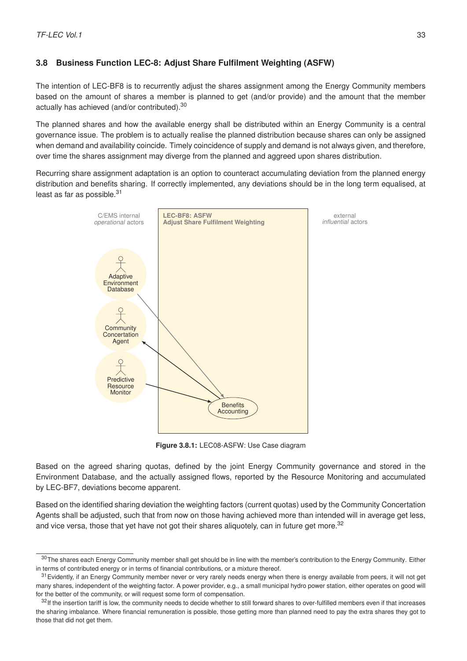# **3.8 Business Function LEC-8: Adjust Share Fulfilment Weighting (ASFW)**

The intention of LEC-BF8 is to recurrently adjust the shares assignment among the Energy Community members based on the amount of shares a member is planned to get (and/or provide) and the amount that the member actually has achieved (and/or contributed).[30](#page-36-0)

The planned shares and how the available energy shall be distributed within an Energy Community is a central governance issue. The problem is to actually realise the planned distribution because shares can only be assigned when demand and availability coincide. Timely coincidence of supply and demand is not always given, and therefore, over time the shares assignment may diverge from the planned and aggreed upon shares distribution.

Recurring share assignment adaptation is an option to counteract accumulating deviation from the planned energy distribution and benefits sharing. If correctly implemented, any deviations should be in the long term equalised, at least as far as possible.<sup>[31](#page-36-1)</sup>



**Figure 3.8.1:** LEC08-ASFW: Use Case diagram

Based on the agreed sharing quotas, defined by the joint Energy Community governance and stored in the Environment Database, and the actually assigned flows, reported by the Resource Monitoring and accumulated by LEC-BF7, deviations become apparent.

Based on the identified sharing deviation the weighting factors (current quotas) used by the Community Concertation Agents shall be adjusted, such that from now on those having achieved more than intended will in average get less, and vice versa, those that yet have not got their shares aliquotely, can in future get more.<sup>[32](#page-36-2)</sup>

<span id="page-36-0"></span><sup>30</sup> The shares each Energy Community member shall get should be in line with the member's contribution to the Energy Community. Either in terms of contributed energy or in terms of financial contributions, or a mixture thereof.

<span id="page-36-1"></span> $31$  Evidently, if an Energy Community member never or very rarely needs energy when there is energy available from peers, it will not get many shares, independent of the weighting factor. A power provider, e.g., a small municipal hydro power station, either operates on good will for the better of the community, or will request some form of compensation.

<span id="page-36-2"></span><sup>32</sup>If the insertion tariff is low, the community needs to decide whether to still forward shares to over-fulfilled members even if that increases the sharing imbalance. Where financial remuneration is possible, those getting more than planned need to pay the extra shares they got to those that did not get them.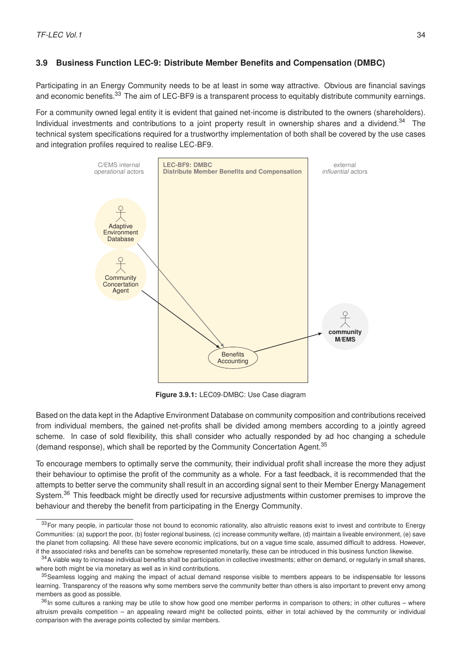# **3.9 Business Function LEC-9: Distribute Member Benefits and Compensation (DMBC)**

Participating in an Energy Community needs to be at least in some way attractive. Obvious are financial savings and economic benefits.<sup>[33](#page-37-0)</sup> The aim of LEC-BF9 is a transparent process to equitably distribute community earnings.

For a community owned legal entity it is evident that gained net-income is distributed to the owners (shareholders). Individual investments and contributions to a joint property result in ownership shares and a dividend.<sup>[34](#page-37-1)</sup> The technical system specifications required for a trustworthy implementation of both shall be covered by the use cases and integration profiles required to realise LEC-BF9.



**Figure 3.9.1:** LEC09-DMBC: Use Case diagram

Based on the data kept in the Adaptive Environment Database on community composition and contributions received from individual members, the gained net-profits shall be divided among members according to a jointly agreed scheme. In case of sold flexibility, this shall consider who actually responded by ad hoc changing a schedule (demand response), which shall be reported by the Community Concertation Agent.[35](#page-37-2)

To encourage members to optimally serve the community, their individual profit shall increase the more they adjust their behaviour to optimise the profit of the community as a whole. For a fast feedback, it is recommended that the attempts to better serve the community shall result in an according signal sent to their Member Energy Management System.<sup>[36](#page-37-3)</sup> This feedback might be directly used for recursive adjustments within customer premises to improve the behaviour and thereby the benefit from participating in the Energy Community.

<span id="page-37-0"></span><sup>33</sup> For many people, in particular those not bound to economic rationality, also altruistic reasons exist to invest and contribute to Energy Communities: (a) support the poor, (b) foster regional business, (c) increase community welfare, (d) maintain a liveable environment, (e) save the planet from collapsing. All these have severe economic implications, but on a vague time scale, assumed difficult to address. However, if the associated risks and benefits can be somehow represented monetarily, these can be introduced in this business function likewise.

<span id="page-37-1"></span> $34$ A viable way to increase individual benefits shall be participation in collective investments; either on demand, or regularly in small shares, where both might be via monetary as well as in kind contributions.

<span id="page-37-2"></span><sup>&</sup>lt;sup>35</sup> Seamless logging and making the impact of actual demand response visible to members appears to be indispensable for lessons learning. Transparency of the reasons why some members serve the community better than others is also important to prevent envy among members as good as possible.

<span id="page-37-3"></span><sup>36</sup>In some cultures a ranking may be utile to show how good one member performs in comparison to others; in other cultures – where altruism prevails competition – an appealing reward might be collected points, either in total achieved by the community or individual comparison with the average points collected by similar members.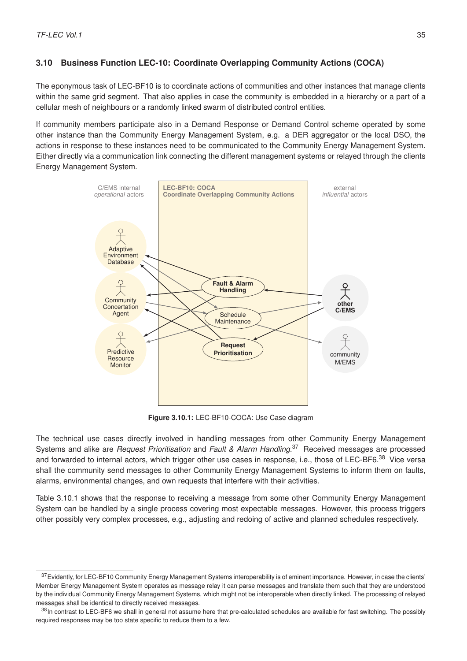# **3.10 Business Function LEC-10: Coordinate Overlapping Community Actions (COCA)**

The eponymous task of LEC-BF10 is to coordinate actions of communities and other instances that manage clients within the same grid segment. That also applies in case the community is embedded in a hierarchy or a part of a cellular mesh of neighbours or a randomly linked swarm of distributed control entities.

If community members participate also in a Demand Response or Demand Control scheme operated by some other instance than the Community Energy Management System, e.g. a DER aggregator or the local DSO, the actions in response to these instances need to be communicated to the Community Energy Management System. Either directly via a communication link connecting the different management systems or relayed through the clients Energy Management System.



**Figure 3.10.1:** LEC-BF10-COCA: Use Case diagram

The technical use cases directly involved in handling messages from other Community Energy Management Systems and alike are *Request Prioritisation* and *Fault & Alarm Handling*. [37](#page-38-0) Received messages are processed and forwarded to internal actors, which trigger other use cases in response, i.e., those of LEC-BF6.<sup>[38](#page-38-1)</sup> Vice versa shall the community send messages to other Community Energy Management Systems to inform them on faults, alarms, environmental changes, and own requests that interfere with their activities.

Table [3.10.1](#page-39-0) shows that the response to receiving a message from some other Community Energy Management System can be handled by a single process covering most expectable messages. However, this process triggers other possibly very complex processes, e.g., adjusting and redoing of active and planned schedules respectively.

<span id="page-38-0"></span><sup>37</sup> Evidently, for LEC-BF10 Community Energy Management Systems interoperability is of eminent importance. However, in case the clients' Member Energy Management System operates as message relay it can parse messages and translate them such that they are understood by the individual Community Energy Management Systems, which might not be interoperable when directly linked. The processing of relayed messages shall be identical to directly received messages.

<span id="page-38-1"></span><sup>38</sup>In contrast to LEC-BF6 we shall in general not assume here that pre-calculated schedules are available for fast switching. The possibly required responses may be too state specific to reduce them to a few.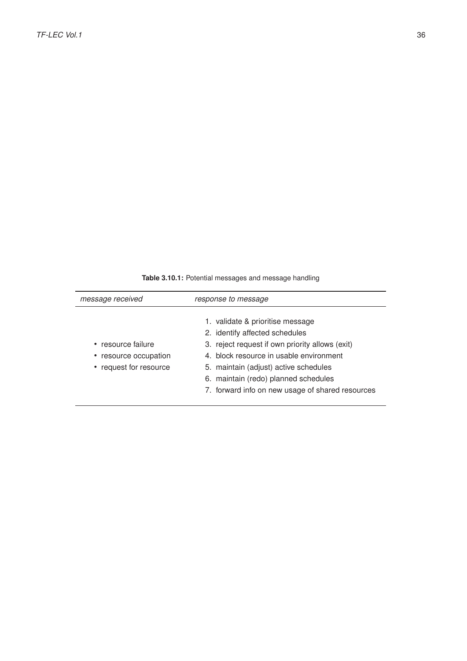**Table 3.10.1:** Potential messages and message handling

<span id="page-39-0"></span>

| message received                                                      | response to message                                                                                                                                                                                                                                                                                   |
|-----------------------------------------------------------------------|-------------------------------------------------------------------------------------------------------------------------------------------------------------------------------------------------------------------------------------------------------------------------------------------------------|
| • resource failure<br>• resource occupation<br>• request for resource | 1. validate & prioritise message<br>2. identify affected schedules<br>3. reject request if own priority allows (exit)<br>4. block resource in usable environment<br>5. maintain (adjust) active schedules<br>6. maintain (redo) planned schedules<br>7. forward info on new usage of shared resources |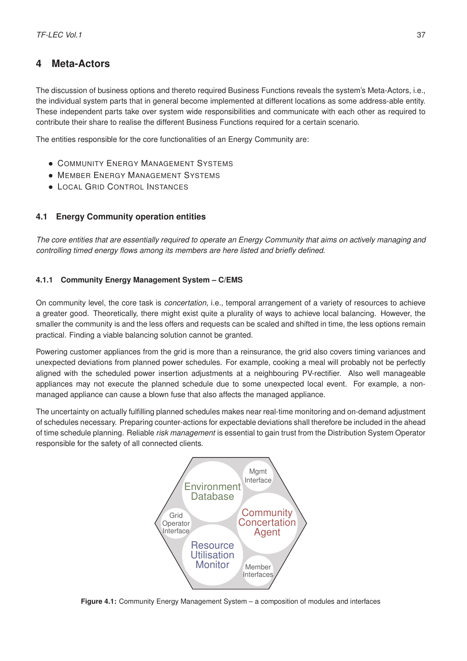# **4 Meta-Actors**

The discussion of business options and thereto required Business Functions reveals the system's Meta-Actors, i.e., the individual system parts that in general become implemented at different locations as some address-able entity. These independent parts take over system wide responsibilities and communicate with each other as required to contribute their share to realise the different Business Functions required for a certain scenario.

The entities responsible for the core functionalities of an Energy Community are:

- COMMUNITY ENERGY MANAGEMENT SYSTEMS
- MEMBER ENERGY MANAGEMENT SYSTEMS
- LOCAL GRID CONTROL INSTANCES

# **4.1 Energy Community operation entities**

*The core entities that are essentially required to operate an Energy Community that aims on actively managing and controlling timed energy flows among its members are here listed and briefly defined.*

# **4.1.1 Community Energy Management System – C/EMS**

On community level, the core task is *concertation*, i.e., temporal arrangement of a variety of resources to achieve a greater good. Theoretically, there might exist quite a plurality of ways to achieve local balancing. However, the smaller the community is and the less offers and requests can be scaled and shifted in time, the less options remain practical. Finding a viable balancing solution cannot be granted.

Powering customer appliances from the grid is more than a reinsurance, the grid also covers timing variances and unexpected deviations from planned power schedules. For example, cooking a meal will probably not be perfectly aligned with the scheduled power insertion adjustments at a neighbouring PV-rectifier. Also well manageable appliances may not execute the planned schedule due to some unexpected local event. For example, a nonmanaged appliance can cause a blown fuse that also affects the managed appliance.

The uncertainty on actually fulfilling planned schedules makes near real-time monitoring and on-demand adjustment of schedules necessary. Preparing counter-actions for expectable deviations shall therefore be included in the ahead of time schedule planning. Reliable *risk management* is essential to gain trust from the Distribution System Operator responsible for the safety of all connected clients.



**Figure 4.1:** Community Energy Management System – a composition of modules and interfaces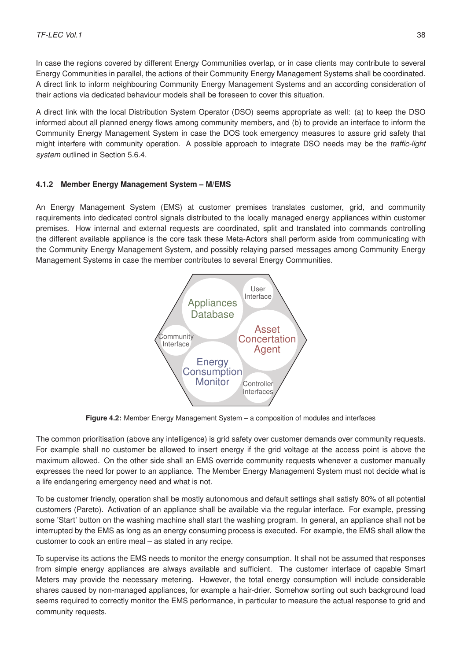In case the regions covered by different Energy Communities overlap, or in case clients may contribute to several Energy Communities in parallel, the actions of their Community Energy Management Systems shall be coordinated. A direct link to inform neighbouring Community Energy Management Systems and an according consideration of their actions via dedicated behaviour models shall be foreseen to cover this situation.

A direct link with the local Distribution System Operator (DSO) seems appropriate as well: (a) to keep the DSO informed about all planned energy flows among community members, and (b) to provide an interface to inform the Community Energy Management System in case the DOS took emergency measures to assure grid safety that might interfere with community operation. A possible approach to integrate DSO needs may be the *traffic-light system* outlined in Section [5.6.4.](#page-68-0)

#### **4.1.2 Member Energy Management System – M/EMS**

An Energy Management System (EMS) at customer premises translates customer, grid, and community requirements into dedicated control signals distributed to the locally managed energy appliances within customer premises. How internal and external requests are coordinated, split and translated into commands controlling the different available appliance is the core task these Meta-Actors shall perform aside from communicating with the Community Energy Management System, and possibly relaying parsed messages among Community Energy Management Systems in case the member contributes to several Energy Communities.



**Figure 4.2:** Member Energy Management System – a composition of modules and interfaces

The common prioritisation (above any intelligence) is grid safety over customer demands over community requests. For example shall no customer be allowed to insert energy if the grid voltage at the access point is above the maximum allowed. On the other side shall an EMS override community requests whenever a customer manually expresses the need for power to an appliance. The Member Energy Management System must not decide what is a life endangering emergency need and what is not.

To be customer friendly, operation shall be mostly autonomous and default settings shall satisfy 80% of all potential customers (Pareto). Activation of an appliance shall be available via the regular interface. For example, pressing some 'Start' button on the washing machine shall start the washing program. In general, an appliance shall not be interrupted by the EMS as long as an energy consuming process is executed. For example, the EMS shall allow the customer to cook an entire meal – as stated in any recipe.

To supervise its actions the EMS needs to monitor the energy consumption. It shall not be assumed that responses from simple energy appliances are always available and sufficient. The customer interface of capable Smart Meters may provide the necessary metering. However, the total energy consumption will include considerable shares caused by non-managed appliances, for example a hair-drier. Somehow sorting out such background load seems required to correctly monitor the EMS performance, in particular to measure the actual response to grid and community requests.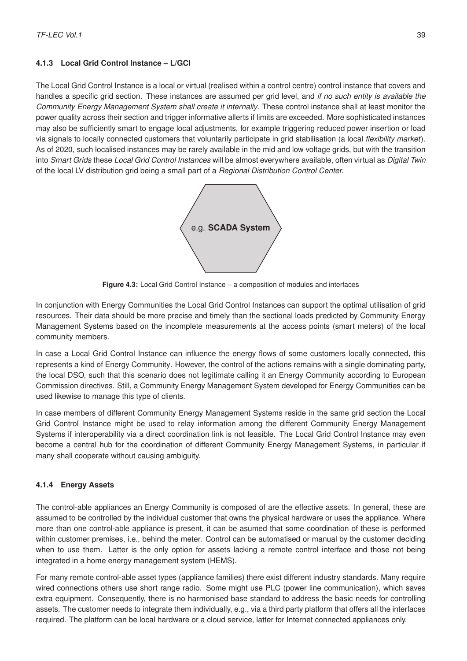# **4.1.3 Local Grid Control Instance – L/GCI**

The Local Grid Control Instance is a local or virtual (realised within a control centre) control instance that covers and handles a specific grid section. These instances are assumed per grid level, and *if no such entity is available the Community Energy Management System shall create it internally*. These control instance shall at least monitor the power quality across their section and trigger informative allerts if limits are exceeded. More sophisticated instances may also be sufficiently smart to engage local adjustments, for example triggering reduced power insertion or load via signals to locally connected customers that voluntarily participate in grid stabilisation (a local *flexibility market*). As of 2020, such localised instances may be rarely available in the mid and low voltage grids, but with the transition into *Smart Grids* these *Local Grid Control Instances* will be almost everywhere available, often virtual as *Digital Twin* of the local LV distribution grid being a small part of a *Regional Distribution Control Center*.



**Figure 4.3:** Local Grid Control Instance – a composition of modules and interfaces

In conjunction with Energy Communities the Local Grid Control Instances can support the optimal utilisation of grid resources. Their data should be more precise and timely than the sectional loads predicted by Community Energy Management Systems based on the incomplete measurements at the access points (smart meters) of the local community members.

In case a Local Grid Control Instance can influence the energy flows of some customers locally connected, this represents a kind of Energy Community. However, the control of the actions remains with a single dominating party, the local DSO, such that this scenario does not legitimate calling it an Energy Community according to European Commission directives. Still, a Community Energy Management System developed for Energy Communities can be used likewise to manage this type of clients.

In case members of different Community Energy Management Systems reside in the same grid section the Local Grid Control Instance might be used to relay information among the different Community Energy Management Systems if interoperability via a direct coordination link is not feasible. The Local Grid Control Instance may even become a central hub for the coordination of different Community Energy Management Systems, in particular if many shall cooperate without causing ambiguity.

# **4.1.4 Energy Assets**

The control-able appliances an Energy Community is composed of are the effective assets. In general, these are assumed to be controlled by the individual customer that owns the physical hardware or uses the appliance. Where more than one control-able appliance is present, it can be asumed that some coordination of these is performed within customer premises, i.e., behind the meter. Control can be automatised or manual by the customer deciding when to use them. Latter is the only option for assets lacking a remote control interface and those not being integrated in a home energy management system (HEMS).

For many remote control-able asset types (appliance families) there exist different industry standards. Many require wired connections others use short range radio. Some might use PLC (power line communication), which saves extra equipment. Consequently, there is no harmonised base standard to address the basic needs for controlling assets. The customer needs to integrate them individually, e.g., via a third party platform that offers all the interfaces required. The platform can be local hardware or a cloud service, latter for Internet connected appliances only.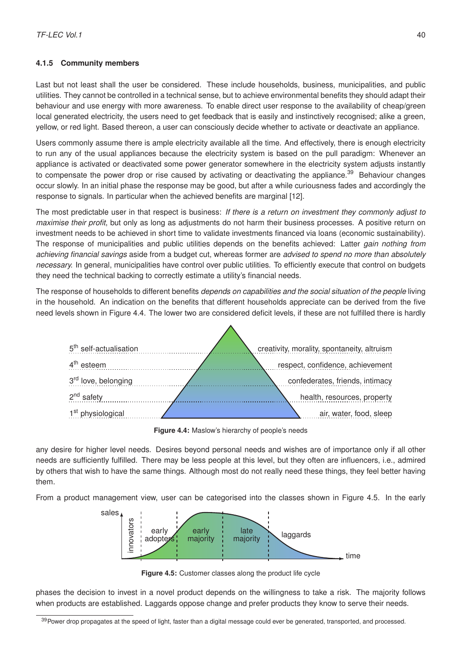### **4.1.5 Community members**

Last but not least shall the user be considered. These include households, business, municipalities, and public utilities. They cannot be controlled in a technical sense, but to achieve environmental benefits they should adapt their behaviour and use energy with more awareness. To enable direct user response to the availability of cheap/green local generated electricity, the users need to get feedback that is easily and instinctively recognised; alike a green, yellow, or red light. Based thereon, a user can consciously decide whether to activate or deactivate an appliance.

Users commonly assume there is ample electricity available all the time. And effectively, there is enough electricity to run any of the usual appliances because the electricity system is based on the pull paradigm: Whenever an appliance is activated or deactivated some power generator somewhere in the electricity system adjusts instantly to compensate the power drop or rise caused by activating or deactivating the appliance.<sup>[39](#page-43-0)</sup> Behaviour changes occur slowly. In an initial phase the response may be good, but after a while curiousness fades and accordingly the response to signals. In particular when the achieved benefits are marginal [\[12\]](#page-76-0).

The most predictable user in that respect is business: *If there is a return on investment they commonly adjust to maximise their profit*, but only as long as adjustments do not harm their business processes. A positive return on investment needs to be achieved in short time to validate investments financed via loans (economic sustainability). The response of municipalities and public utilities depends on the benefits achieved: Latter *gain nothing from achieving financial savings* aside from a budget cut, whereas former are *advised to spend no more than absolutely necessary.* In general, municipalities have control over public utilities. To efficiently execute that control on budgets they need the technical backing to correctly estimate a utility's financial needs.

<span id="page-43-1"></span>The response of households to different benefits *depends on capabilities and the social situation of the people* living in the household. An indication on the benefits that different households appreciate can be derived from the five need levels shown in Figure [4.4.](#page-43-1) The lower two are considered deficit levels, if these are not fulfilled there is hardly

 $\triangle$ 

| 5 <sup>th</sup> self-actualisation | creativity, morality, spontaneity, altruism |
|------------------------------------|---------------------------------------------|
| 4 <sup>th</sup> esteem             | respect, confidence, achievement            |
| 3 <sup>rd</sup> love, belonging    | confederates, friends, intimacy             |
| 2 <sup>nd</sup> safety             | health, resources, property                 |
| 1 <sup>st</sup> physiological      | air, water, food, sleep                     |

**Figure 4.4:** Maslow's hierarchy of people's needs

any desire for higher level needs. Desires beyond personal needs and wishes are of importance only if all other needs are sufficiently fulfilled. There may be less people at this level, but they often are influencers, i.e., admired by others that wish to have the same things. Although most do not really need these things, they feel better having them.

<span id="page-43-2"></span>From a product management view, user can be categorised into the classes shown in Figure [4.5.](#page-43-2) In the early



**Figure 4.5:** Customer classes along the product life cycle

phases the decision to invest in a novel product depends on the willingness to take a risk. The majority follows when products are established. Laggards oppose change and prefer products they know to serve their needs.

<span id="page-43-0"></span><sup>&</sup>lt;sup>39</sup> Power drop propagates at the speed of light, faster than a digital message could ever be generated, transported, and processed.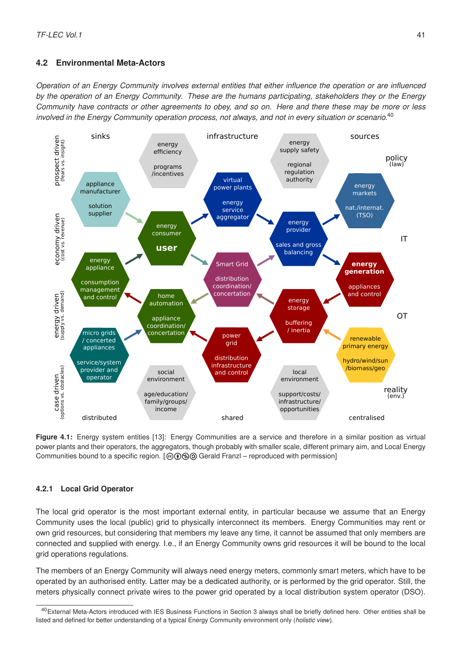# **4.2 Environmental Meta-Actors**

*Operation of an Energy Community involves external entities that either influence the operation or are influenced by the operation of an Energy Community. These are the humans participating, stakeholders they or the Energy Community have contracts or other agreements to obey, and so on. Here and there these may be more or less involved in the Energy Community operation process, not always, and not in every situation or scenario.*[40](#page-44-0)

<span id="page-44-1"></span>

**Figure 4.1:** [Energy system entities \[13\]:](https://doi.org/10.13140/RG.2.2.31032.70406) Energy Communities are a service and therefore in a similar position as virtual power plants and their operators, the aggregators, though probably with smaller scale, different primary aim, and Local Energy Communities bound to a specific region.  $[@]$  $@@$  Gerald Franzl – reproduced with permission]

#### **4.2.1 Local Grid Operator**

The local grid operator is the most important external entity, in particular because we assume that an Energy Community uses the local (public) grid to physically interconnect its members. Energy Communities may rent or own grid resources, but considering that members my leave any time, it cannot be assumed that only members are connected and supplied with energy. I.e., if an Energy Community owns grid resources it will be bound to the local grid operations regulations.

The members of an Energy Community will always need energy meters, commonly smart meters, which have to be operated by an authorised entity. Latter may be a dedicated authority, or is performed by the grid operator. Still, the meters physically connect private wires to the power grid operated by a local distribution system operator (DSO).

<span id="page-44-0"></span><sup>&</sup>lt;sup>40</sup>External Meta-Actors introduced with IES Business Functions in Section [3](#page-27-0) always shall be briefly defined here. Other entities shall be listed and defined for better understanding of a typical Energy Community environment only (*holistic view*).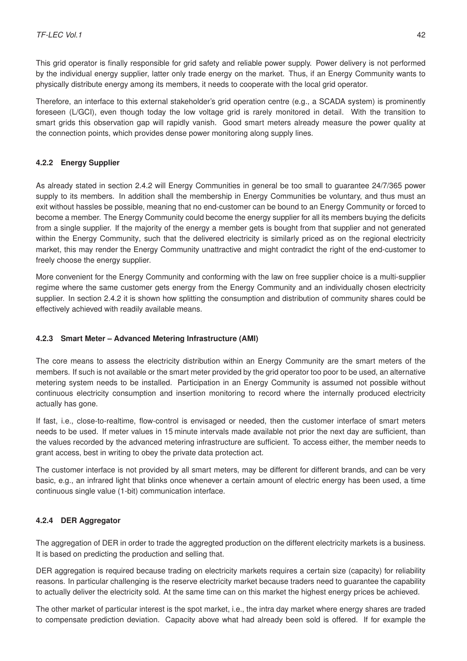This grid operator is finally responsible for grid safety and reliable power supply. Power delivery is not performed by the individual energy supplier, latter only trade energy on the market. Thus, if an Energy Community wants to physically distribute energy among its members, it needs to cooperate with the local grid operator.

Therefore, an interface to this external stakeholder's grid operation centre (e.g., a SCADA system) is prominently foreseen (L/GCI), even though today the low voltage grid is rarely monitored in detail. With the transition to smart grids this observation gap will rapidly vanish. Good smart meters already measure the power quality at the connection points, which provides dense power monitoring along supply lines.

### **4.2.2 Energy Supplier**

As already stated in section [2.4.2](#page-24-0) will Energy Communities in general be too small to guarantee 24/7/365 power supply to its members. In addition shall the membership in Energy Communities be voluntary, and thus must an exit without hassles be possible, meaning that no end-customer can be bound to an Energy Community or forced to become a member. The Energy Community could become the energy supplier for all its members buying the deficits from a single supplier. If the majority of the energy a member gets is bought from that supplier and not generated within the Energy Community, such that the delivered electricity is similarly priced as on the regional electricity market, this may render the Energy Community unattractive and might contradict the right of the end-customer to freely choose the energy supplier.

More convenient for the Energy Community and conforming with the law on free supplier choice is a multi-supplier regime where the same customer gets energy from the Energy Community and an individually chosen electricity supplier. In section [2.4.2](#page-24-0) it is shown how splitting the consumption and distribution of community shares could be effectively achieved with readily available means.

#### **4.2.3 Smart Meter – Advanced Metering Infrastructure (AMI)**

The core means to assess the electricity distribution within an Energy Community are the smart meters of the members. If such is not available or the smart meter provided by the grid operator too poor to be used, an alternative metering system needs to be installed. Participation in an Energy Community is assumed not possible without continuous electricity consumption and insertion monitoring to record where the internally produced electricity actually has gone.

If fast, i.e., close-to-realtime, flow-control is envisaged or needed, then the customer interface of smart meters needs to be used. If meter values in 15 minute intervals made available not prior the next day are sufficient, than the values recorded by the advanced metering infrastructure are sufficient. To access either, the member needs to grant access, best in writing to obey the private data protection act.

The customer interface is not provided by all smart meters, may be different for different brands, and can be very basic, e.g., an infrared light that blinks once whenever a certain amount of electric energy has been used, a time continuous single value (1-bit) communication interface.

# **4.2.4 DER Aggregator**

The aggregation of DER in order to trade the aggregted production on the different electricity markets is a business. It is based on predicting the production and selling that.

DER aggregation is required because trading on electricity markets requires a certain size (capacity) for reliability reasons. In particular challenging is the reserve electricity market because traders need to guarantee the capability to actually deliver the electricity sold. At the same time can on this market the highest energy prices be achieved.

The other market of particular interest is the spot market, i.e., the intra day market where energy shares are traded to compensate prediction deviation. Capacity above what had already been sold is offered. If for example the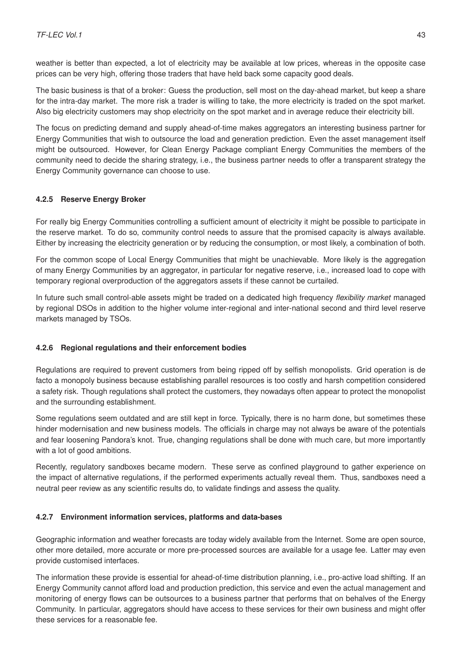weather is better than expected, a lot of electricity may be available at low prices, whereas in the opposite case prices can be very high, offering those traders that have held back some capacity good deals.

The basic business is that of a broker: Guess the production, sell most on the day-ahead market, but keep a share for the intra-day market. The more risk a trader is willing to take, the more electricity is traded on the spot market. Also big electricity customers may shop electricity on the spot market and in average reduce their electricity bill.

The focus on predicting demand and supply ahead-of-time makes aggregators an interesting business partner for Energy Communities that wish to outsource the load and generation prediction. Even the asset management itself might be outsourced. However, for Clean Energy Package compliant Energy Communities the members of the community need to decide the sharing strategy, i.e., the business partner needs to offer a transparent strategy the Energy Community governance can choose to use.

#### **4.2.5 Reserve Energy Broker**

For really big Energy Communities controlling a sufficient amount of electricity it might be possible to participate in the reserve market. To do so, community control needs to assure that the promised capacity is always available. Either by increasing the electricity generation or by reducing the consumption, or most likely, a combination of both.

For the common scope of Local Energy Communities that might be unachievable. More likely is the aggregation of many Energy Communities by an aggregator, in particular for negative reserve, i.e., increased load to cope with temporary regional overproduction of the aggregators assets if these cannot be curtailed.

In future such small control-able assets might be traded on a dedicated high frequency *flexibility market* managed by regional DSOs in addition to the higher volume inter-regional and inter-national second and third level reserve markets managed by TSOs.

#### **4.2.6 Regional regulations and their enforcement bodies**

Regulations are required to prevent customers from being ripped off by selfish monopolists. Grid operation is de facto a monopoly business because establishing parallel resources is too costly and harsh competition considered a safety risk. Though regulations shall protect the customers, they nowadays often appear to protect the monopolist and the surrounding establishment.

Some regulations seem outdated and are still kept in force. Typically, there is no harm done, but sometimes these hinder modernisation and new business models. The officials in charge may not always be aware of the potentials and fear loosening Pandora's knot. True, changing regulations shall be done with much care, but more importantly with a lot of good ambitions.

Recently, regulatory sandboxes became modern. These serve as confined playground to gather experience on the impact of alternative regulations, if the performed experiments actually reveal them. Thus, sandboxes need a neutral peer review as any scientific results do, to validate findings and assess the quality.

#### **4.2.7 Environment information services, platforms and data-bases**

Geographic information and weather forecasts are today widely available from the Internet. Some are open source, other more detailed, more accurate or more pre-processed sources are available for a usage fee. Latter may even provide customised interfaces.

The information these provide is essential for ahead-of-time distribution planning, i.e., pro-active load shifting. If an Energy Community cannot afford load and production prediction, this service and even the actual management and monitoring of energy flows can be outsources to a business partner that performs that on behalves of the Energy Community. In particular, aggregators should have access to these services for their own business and might offer these services for a reasonable fee.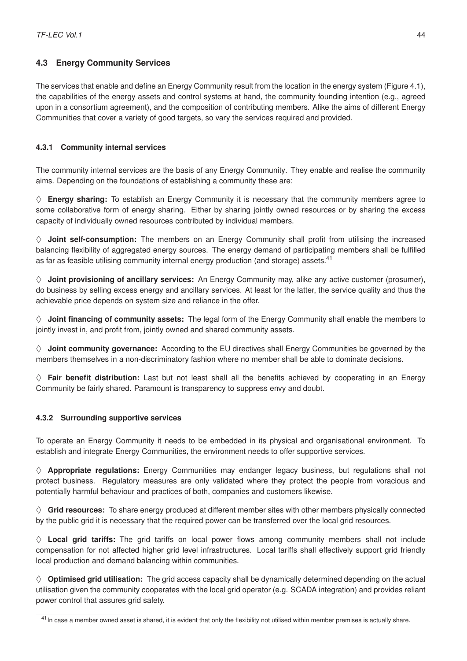# **4.3 Energy Community Services**

The services that enable and define an Energy Community result from the location in the energy system (Figure [4.1\)](#page-44-1), the capabilities of the energy assets and control systems at hand, the community founding intention (e.g., agreed upon in a consortium agreement), and the composition of contributing members. Alike the aims of different Energy Communities that cover a variety of good targets, so vary the services required and provided.

# **4.3.1 Community internal services**

The community internal services are the basis of any Energy Community. They enable and realise the community aims. Depending on the foundations of establishing a community these are:

 $\diamond$  **Energy sharing:** To establish an Energy Community it is necessary that the community members agree to some collaborative form of energy sharing. Either by sharing jointly owned resources or by sharing the excess capacity of individually owned resources contributed by individual members.

 $\diamond$  **Joint self-consumption:** The members on an Energy Community shall profit from utilising the increased balancing flexibility of aggregated energy sources. The energy demand of participating members shall be fulfilled as far as feasible utilising community internal energy production (and storage) assets.<sup>[41](#page-47-0)</sup>

 $\diamond$  **Joint provisioning of ancillary services:** An Energy Community may, alike any active customer (prosumer), do business by selling excess energy and ancillary services. At least for the latter, the service quality and thus the achievable price depends on system size and reliance in the offer.

 $\Diamond$  **Joint financing of community assets:** The legal form of the Energy Community shall enable the members to jointly invest in, and profit from, jointly owned and shared community assets.

 $\diamond$  **Joint community governance:** According to the EU directives shall Energy Communities be governed by the members themselves in a non-discriminatory fashion where no member shall be able to dominate decisions.

 $\diamond$  **Fair benefit distribution:** Last but not least shall all the benefits achieved by cooperating in an Energy Community be fairly shared. Paramount is transparency to suppress envy and doubt.

# **4.3.2 Surrounding supportive services**

To operate an Energy Community it needs to be embedded in its physical and organisational environment. To establish and integrate Energy Communities, the environment needs to offer supportive services.

 $\diamond$  **Appropriate regulations:** Energy Communities may endanger legacy business, but regulations shall not protect business. Regulatory measures are only validated where they protect the people from voracious and potentially harmful behaviour and practices of both, companies and customers likewise.

 $\diamond$  **Grid resources:** To share energy produced at different member sites with other members physically connected by the public grid it is necessary that the required power can be transferred over the local grid resources.

 $\diamond$  Local grid tariffs: The grid tariffs on local power flows among community members shall not include compensation for not affected higher grid level infrastructures. Local tariffs shall effectively support grid friendly local production and demand balancing within communities.

 $\diamond$  **Optimised grid utilisation:** The grid access capacity shall be dynamically determined depending on the actual utilisation given the community cooperates with the local grid operator (e.g. SCADA integration) and provides reliant power control that assures grid safety.

<span id="page-47-0"></span><sup>&</sup>lt;sup>41</sup> In case a member owned asset is shared, it is evident that only the flexibility not utilised within member premises is actually share.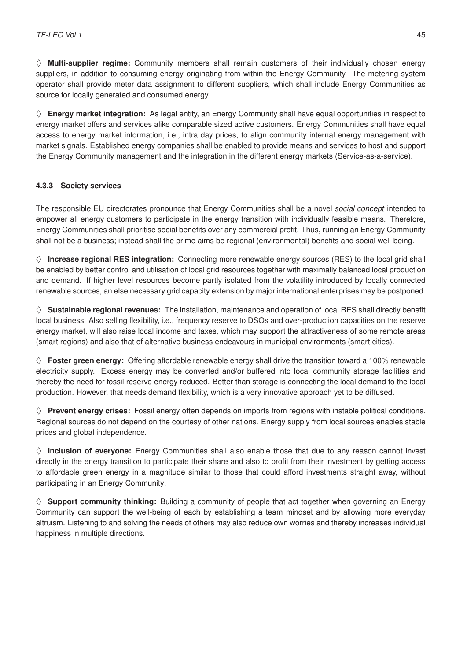$\diamond$  **Multi-supplier regime:** Community members shall remain customers of their individually chosen energy suppliers, in addition to consuming energy originating from within the Energy Community. The metering system operator shall provide meter data assignment to different suppliers, which shall include Energy Communities as source for locally generated and consumed energy.

 $\diamond$  **Energy market integration:** As legal entity, an Energy Community shall have equal opportunities in respect to energy market offers and services alike comparable sized active customers. Energy Communities shall have equal access to energy market information, i.e., intra day prices, to align community internal energy management with market signals. Established energy companies shall be enabled to provide means and services to host and support the Energy Community management and the integration in the different energy markets (Service-as-a-service).

## **4.3.3 Society services**

The responsible EU directorates pronounce that Energy Communities shall be a novel *social concept* intended to empower all energy customers to participate in the energy transition with individually feasible means. Therefore, Energy Communities shall prioritise social benefits over any commercial profit. Thus, running an Energy Community shall not be a business; instead shall the prime aims be regional (environmental) benefits and social well-being.

 $\diamond$  **Increase regional RES integration:** Connecting more renewable energy sources (RES) to the local grid shall be enabled by better control and utilisation of local grid resources together with maximally balanced local production and demand. If higher level resources become partly isolated from the volatility introduced by locally connected renewable sources, an else necessary grid capacity extension by major international enterprises may be postponed.

 $\diamond$  **Sustainable regional revenues:** The installation, maintenance and operation of local RES shall directly benefit local business. Also selling flexibility, i.e., frequency reserve to DSOs and over-production capacities on the reserve energy market, will also raise local income and taxes, which may support the attractiveness of some remote areas (smart regions) and also that of alternative business endeavours in municipal environments (smart cities).

 $\diamond$  **Foster green energy:** Offering affordable renewable energy shall drive the transition toward a 100% renewable electricity supply. Excess energy may be converted and/or buffered into local community storage facilities and thereby the need for fossil reserve energy reduced. Better than storage is connecting the local demand to the local production. However, that needs demand flexibility, which is a very innovative approach yet to be diffused.

 $\Diamond$  **Prevent energy crises:** Fossil energy often depends on imports from regions with instable political conditions. Regional sources do not depend on the courtesy of other nations. Energy supply from local sources enables stable prices and global independence.

 $\diamond$  **Inclusion of everyone:** Energy Communities shall also enable those that due to any reason cannot invest directly in the energy transition to participate their share and also to profit from their investment by getting access to affordable green energy in a magnitude similar to those that could afford investments straight away, without participating in an Energy Community.

 $\Diamond$  **Support community thinking:** Building a community of people that act together when governing an Energy Community can support the well-being of each by establishing a team mindset and by allowing more everyday altruism. Listening to and solving the needs of others may also reduce own worries and thereby increases individual happiness in multiple directions.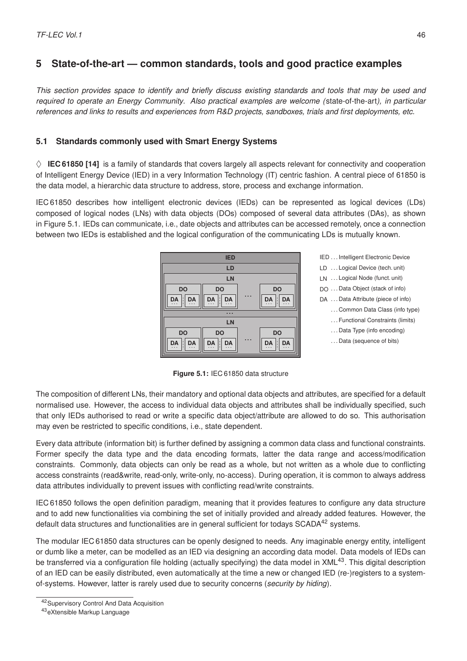# **5 State-of-the-art — common standards, tools and good practice examples**

*This section provides space to identify and briefly discuss existing standards and tools that may be used and required to operate an Energy Community. Also practical examples are welcome (*state-of-the-art*), in particular references and links to results and experiences from R&D projects, sandboxes, trials and first deployments, etc.*

## **5.1 Standards commonly used with Smart Energy Systems**

 $\diamond$  **IEC 61850 [\[14\]](#page-76-2)** is a family of standards that covers largely all aspects relevant for connectivity and cooperation of Intelligent Energy Device (IED) in a very Information Technology (IT) centric fashion. A central piece of 61850 is the data model, a hierarchic data structure to address, store, process and exchange information.

<span id="page-49-0"></span>IEC 61850 describes how intelligent electronic devices (IEDs) can be represented as logical devices (LDs) composed of logical nodes (LNs) with data objects (DOs) composed of several data attributes (DAs), as shown in Figure [5.1.](#page-49-0) IEDs can communicate, i.e., date objects and attributes can be accessed remotely, once a connection between two IEDs is established and the logical configuration of the communicating LDs is mutually known.



**IED IED** ... Intelligent Electronic Device **LD** LD ... Logical Device (tech. unit) **LN** LN ... Logical Node (funct. unit) DA ... Data Attribute (piece of info) . . . Common Data Class (info type) . . . Functional Constraints (limits) . . . Data Type (info encoding)

. . . Data (sequence of bits)

**Figure 5.1:** IEC 61850 data structure

The composition of different LNs, their mandatory and optional data objects and attributes, are specified for a default normalised use. However, the access to individual data objects and attributes shall be individually specified, such that only IEDs authorised to read or write a specific data object/attribute are allowed to do so. This authorisation may even be restricted to specific conditions, i.e., state dependent.

Every data attribute (information bit) is further defined by assigning a common data class and functional constraints. Former specify the data type and the data encoding formats, latter the data range and access/modification constraints. Commonly, data objects can only be read as a whole, but not written as a whole due to conflicting access constraints (read&write, read-only, write-only, no-access). During operation, it is common to always address data attributes individually to prevent issues with conflicting read/write constraints.

IEC 61850 follows the open definition paradigm, meaning that it provides features to configure any data structure and to add new functionalities via combining the set of initially provided and already added features. However, the default data structures and functionalities are in general sufficient for todays SCADA<sup>[42](#page-49-1)</sup> systems.

The modular IEC 61850 data structures can be openly designed to needs. Any imaginable energy entity, intelligent or dumb like a meter, can be modelled as an IED via designing an according data model. Data models of IEDs can be transferred via a configuration file holding (actually specifying) the data model in XML $^{43}$  $^{43}$  $^{43}$ . This digital description of an IED can be easily distributed, even automatically at the time a new or changed IED (re-)registers to a systemof-systems. However, latter is rarely used due to security concerns (*security by hiding*).

<span id="page-49-1"></span><sup>42</sup>Supervisory Control And Data Acquisition

<span id="page-49-2"></span><sup>43</sup>eXtensible Markup Language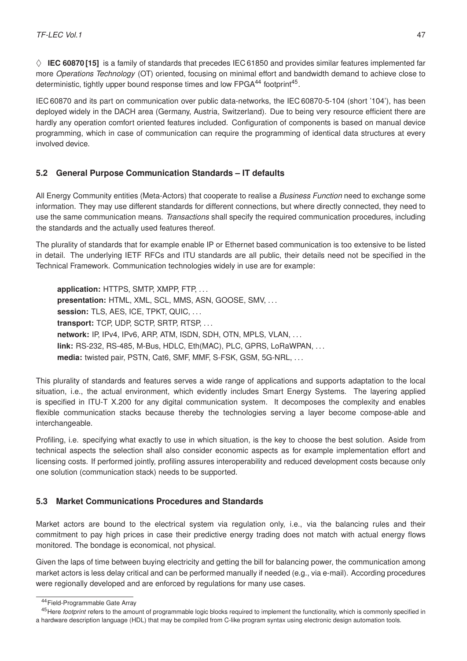$\diamond$  **IEC 60870 [\[15\]](#page-76-3)** is a family of standards that precedes IEC 61850 and provides similar features implemented far more *Operations Technology* (OT) oriented, focusing on minimal effort and bandwidth demand to achieve close to deterministic, tightly upper bound response times and low  $\mathsf{FPGA}^{44}$  $\mathsf{FPGA}^{44}$  $\mathsf{FPGA}^{44}$  footprint $^{45}$  $^{45}$  $^{45}$ .

IEC 60870 and its part on communication over public data-networks, the IEC 60870-5-104 (short '104'), has been deployed widely in the DACH area (Germany, Austria, Switzerland). Due to being very resource efficient there are hardly any operation comfort oriented features included. Configuration of components is based on manual device programming, which in case of communication can require the programming of identical data structures at every involved device.

# **5.2 General Purpose Communication Standards – IT defaults**

All Energy Community entities (Meta-Actors) that cooperate to realise a *Business Function* need to exchange some information. They may use different standards for different connections, but where directly connected, they need to use the same communication means. *Transactions* shall specify the required communication procedures, including the standards and the actually used features thereof.

The plurality of standards that for example enable IP or Ethernet based communication is too extensive to be listed in detail. The underlying IETF RFCs and ITU standards are all public, their details need not be specified in the Technical Framework. Communication technologies widely in use are for example:

**application:** HTTPS, SMTP, XMPP, FTP, . . . **presentation:** HTML, XML, SCL, MMS, ASN, GOOSE, SMV, . . . session: TLS, AES, ICE, TPKT, QUIC, ... **transport:** TCP, UDP, SCTP, SRTP, RTSP, . . . **network:** IP, IPv4, IPv6, ARP, ATM, ISDN, SDH, OTN, MPLS, VLAN, . . . **link:** RS-232, RS-485, M-Bus, HDLC, Eth(MAC), PLC, GPRS, LoRaWPAN, . . . **media:** twisted pair, PSTN, Cat6, SMF, MMF, S-FSK, GSM, 5G-NRL, . . .

This plurality of standards and features serves a wide range of applications and supports adaptation to the local situation, i.e., the actual environment, which evidently includes Smart Energy Systems. The layering applied is specified in [ITU-T X.200](https://www.itu.int/rec/T-REC-X.200-199407-I) for any digital communication system. It decomposes the complexity and enables flexible communication stacks because thereby the technologies serving a layer become compose-able and interchangeable.

Profiling, i.e. specifying what exactly to use in which situation, is the key to choose the best solution. Aside from technical aspects the selection shall also consider economic aspects as for example implementation effort and licensing costs. If performed jointly, profiling assures interoperability and reduced development costs because only one solution (communication stack) needs to be supported.

# **5.3 Market Communications Procedures and Standards**

Market actors are bound to the electrical system via regulation only, i.e., via the balancing rules and their commitment to pay high prices in case their predictive energy trading does not match with actual energy flows monitored. The bondage is economical, not physical.

Given the laps of time between buying electricity and getting the bill for balancing power, the communication among market actors is less delay critical and can be performed manually if needed (e.g., via e-mail). According procedures were regionally developed and are enforced by regulations for many use cases.

<span id="page-50-1"></span><span id="page-50-0"></span><sup>44</sup>Field-Programmable Gate Array

<sup>45</sup>Here *footprint* refers to the amount of programmable logic blocks required to implement the functionality, which is commonly specified in a hardware description language (HDL) that may be compiled from C-like program syntax using electronic design automation tools.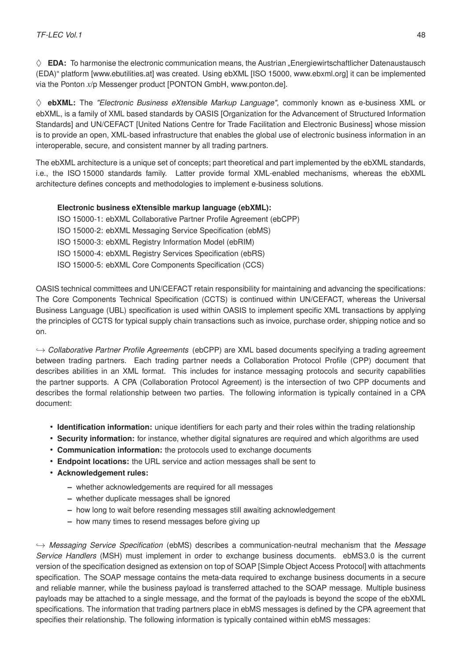$\diamondsuit$  **EDA:** To harmonise the electronic communication means, the Austrian "Energiewirtschaftlicher Datenaustausch (EDA)" platform [\[www.ebutilities.at\]](https://www.ebutilities.at/energiewirtschaftlicher-datenaustausch.html) was created. Using ebXML [\[ISO 15000, www.ebxml.org\]](http://www.ebxml.org/) it can be implemented via the Ponton *x*/p Messenger product [\[PONTON GmbH, www.ponton.de\]](https://www.ponton.de/).

♦ **ebXML:** The *"Electronic Business eXtensible Markup Language"*, commonly known as e-business XML or ebXML, is a family of XML based standards by OASIS [\[Organization for the Advancement of Structured Information](http://www.oasis-open.org/) [Standards\]](http://www.oasis-open.org/) and UN/CEFACT [\[United Nations Centre for Trade Facilitation and Electronic Business\]](http://www.unece.org/cefact/) whose mission is to provide an open, XML-based infrastructure that enables the global use of electronic business information in an interoperable, secure, and consistent manner by all trading partners.

The ebXML architecture is a unique set of concepts; part theoretical and part implemented by the ebXML standards, i.e., the ISO 15000 standards family. Latter provide formal XML-enabled mechanisms, whereas the ebXML architecture defines concepts and methodologies to implement e-business solutions.

## **Electronic business eXtensible markup language (ebXML):**

ISO 15000-1: ebXML Collaborative Partner Profile Agreement (ebCPP)

- ISO 15000-2: ebXML Messaging Service Specification (ebMS)
- ISO 15000-3: ebXML Registry Information Model (ebRIM)
- ISO 15000-4: ebXML Registry Services Specification (ebRS)
- ISO 15000-5: ebXML Core Components Specification (CCS)

OASIS technical committees and UN/CEFACT retain responsibility for maintaining and advancing the specifications: The Core Components Technical Specification (CCTS) is continued within UN/CEFACT, whereas the Universal Business Language (UBL) specification is used within OASIS to implement specific XML transactions by applying the principles of CCTS for typical supply chain transactions such as invoice, purchase order, shipping notice and so on.

,→ *Collaborative Partner Profile Agreements* (ebCPP) are XML based documents specifying a trading agreement between trading partners. Each trading partner needs a Collaboration Protocol Profile (CPP) document that describes abilities in an XML format. This includes for instance messaging protocols and security capabilities the partner supports. A CPA (Collaboration Protocol Agreement) is the intersection of two CPP documents and describes the formal relationship between two parties. The following information is typically contained in a CPA document:

- **Identification information:** unique identifiers for each party and their roles within the trading relationship
- **Security information:** for instance, whether digital signatures are required and which algorithms are used
- **Communication information:** the protocols used to exchange documents
- **Endpoint locations:** the URL service and action messages shall be sent to
- **Acknowledgement rules:**
	- **–** whether acknowledgements are required for all messages
	- **–** whether duplicate messages shall be ignored
	- **–** how long to wait before resending messages still awaiting acknowledgement
	- **–** how many times to resend messages before giving up

,→ *Messaging Service Specification* (ebMS) describes a communication-neutral mechanism that the *Message Service Handlers* (MSH) must implement in order to exchange business documents. ebMS3.0 is the current version of the specification designed as extension on top of SOAP [\[Simple Object Access Protocol\]](https://www.w3.org/TR/soap/) with attachments specification. The SOAP message contains the meta-data required to exchange business documents in a secure and reliable manner, while the business payload is transferred attached to the SOAP message. Multiple business payloads may be attached to a single message, and the format of the payloads is beyond the scope of the ebXML specifications. The information that trading partners place in ebMS messages is defined by the CPA agreement that specifies their relationship. The following information is typically contained within ebMS messages: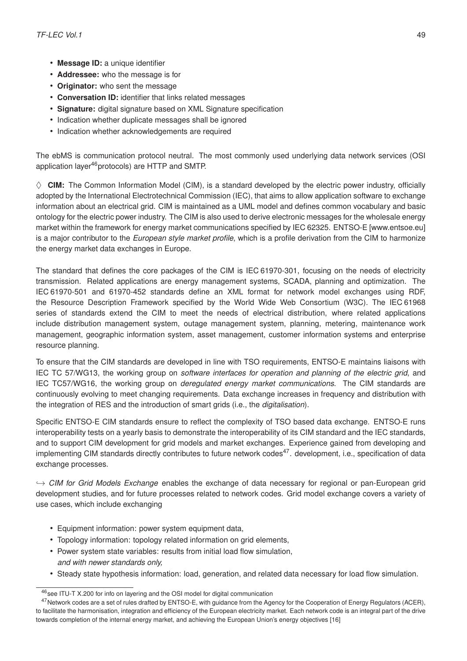- **Message ID:** a unique identifier
- **Addressee:** who the message is for
- **Originator:** who sent the message
- **Conversation ID:** identifier that links related messages
- **Signature:** digital signature based on XML Signature specification
- Indication whether duplicate messages shall be ignored
- Indication whether acknowledgements are required

The ebMS is communication protocol neutral. The most commonly used underlying data network services (OSI application layer<sup>[46](#page-52-0)</sup> protocols) are HTTP and SMTP.

 $\diamond$  **CIM:** The Common Information Model (CIM), is a standard developed by the electric power industry, officially adopted by the International Electrotechnical Commission (IEC), that aims to allow application software to exchange information about an electrical grid. CIM is maintained as a UML model and defines common vocabulary and basic ontology for the electric power industry. The CIM is also used to derive electronic messages for the wholesale energy market within the framework for energy market communications specified by IEC 62325. ENTSO-E [\[www.entsoe.eu\]](https://www.entsoe.eu/) is a major contributor to the *European style market profile*, which is a profile derivation from the CIM to harmonize the energy market data exchanges in Europe.

The standard that defines the core packages of the CIM is IEC 61970-301, focusing on the needs of electricity transmission. Related applications are energy management systems, SCADA, planning and optimization. The IEC 61970-501 and 61970-452 standards define an XML format for network model exchanges using RDF, the Resource Description Framework specified by the World Wide Web Consortium (W3C). The IEC 61968 series of standards extend the CIM to meet the needs of electrical distribution, where related applications include distribution management system, outage management system, planning, metering, maintenance work management, geographic information system, asset management, customer information systems and enterprise resource planning.

To ensure that the CIM standards are developed in line with TSO requirements, ENTSO-E maintains liaisons with [IEC TC 57/WG13,](http://www.iec.ch/dyn/www/f?p=103:14:0::::FSP_ORG_ID:2392) the working group on *software interfaces for operation and planning of the electric grid*, and [IEC TC57/WG16,](http://www.iec.ch/dyn/www/f?p=103:14:0::::FSP_ORG_ID:2388) the working group on *deregulated energy market communications*. The CIM standards are continuously evolving to meet changing requirements. Data exchange increases in frequency and distribution with the integration of RES and the introduction of smart grids (i.e., the *digitalisation*).

Specific ENTSO-E CIM standards ensure to reflect the complexity of TSO based data exchange. ENTSO-E runs interoperability tests on a yearly basis to demonstrate the interoperability of its CIM standard and the IEC standards, and to support CIM development for grid models and market exchanges. Experience gained from developing and implementing CIM standards directly contributes to future network codes<sup>[47](#page-52-1)</sup>, development, i.e., specification of data exchange processes.

,→ *CIM for Grid Models Exchange* enables the exchange of data necessary for regional or pan-European grid development studies, and for future processes related to network codes. Grid model exchange covers a variety of use cases, which include exchanging

- Equipment information: power system equipment data,
- Topology information: topology related information on grid elements,
- Power system state variables: results from initial load flow simulation, *and with newer standards only,*
- Steady state hypothesis information: load, generation, and related data necessary for load flow simulation.

<span id="page-52-1"></span><span id="page-52-0"></span> $^{46}$ see [ITU-T X.200](https://www.itu.int/rec/T-REC-X.200-199407-I) for info on layering and the OSI model for digital communication

<sup>&</sup>lt;sup>47</sup>Network codes are a set of rules drafted by ENTSO-E, with guidance from the [Agency for the Cooperation of Energy Regulators \(ACER\),](http://www.acer.europa.eu/en/Pages/default.aspx) to facilitate the harmonisation, integration and efficiency of the European electricity market. Each network code is an integral part of the drive towards completion of the [internal energy market,](https://ec.europa.eu/energy/en/topics/markets-and-consumers/single-market-progress-report) and achieving the European Union's [energy objectives](https://ec.europa.eu/commission/priorities/energy-union-and-climate_en) [\[16\]](#page-76-4)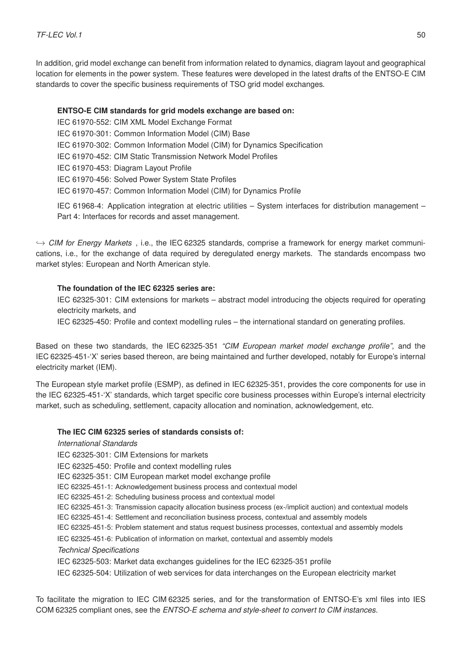In addition, grid model exchange can benefit from information related to dynamics, diagram layout and geographical location for elements in the power system. These features were developed in the latest drafts of the ENTSO-E CIM standards to cover the specific business requirements of TSO grid model exchanges.

#### **ENTSO-E CIM standards for grid models exchange are based on:**

IEC 61970-552: CIM XML Model Exchange Format

IEC 61970-301: Common Information Model (CIM) Base

IEC 61970-302: Common Information Model (CIM) for Dynamics Specification

IEC 61970-452: CIM Static Transmission Network Model Profiles

IEC 61970-453: Diagram Layout Profile

IEC 61970-456: Solved Power System State Profiles

IEC 61970-457: Common Information Model (CIM) for Dynamics Profile

IEC 61968-4: Application integration at electric utilities – System interfaces for distribution management – Part 4: Interfaces for records and asset management.

,→ *CIM for Energy Markets* , i.e., the IEC 62325 standards, comprise a framework for energy market communications, i.e., for the exchange of data required by deregulated energy markets. The standards encompass two market styles: European and North American style.

#### **The foundation of the IEC 62325 series are:**

IEC 62325-301: CIM extensions for markets – abstract model introducing the objects required for operating electricity markets, and

IEC 62325-450: Profile and context modelling rules – the international standard on generating profiles.

Based on these two standards, the IEC 62325-351 *"CIM European market model exchange profile"*, and the IEC 62325-451-'X' series based thereon, are being maintained and further developed, notably for Europe's internal electricity market (IEM).

The European style market profile (ESMP), as defined in IEC 62325-351, provides the core components for use in the IEC 62325-451-'X' standards, which target specific core business processes within Europe's internal electricity market, such as scheduling, settlement, capacity allocation and nomination, acknowledgement, etc.

#### **The IEC CIM 62325 series of standards consists of:**

*International Standards*

IEC 62325-301: CIM Extensions for markets

IEC 62325-450: Profile and context modelling rules

IEC 62325-351: [CIM European market model exchange profile](https://www.entsoe.eu/news-events/announcements/announcements-archive/Pages/News/cim-european-market-model-exchange-profile-now-an-international-standard.aspx)

IEC 62325-451-1: [Acknowledgement business process and contextual model](https://www.entsoe.eu/news-events/announcements/announcements-archive/Pages/News/a-first-international-standard-on-a-cim-based-business-process-for-energy-markets.aspx)

IEC 62325-451-2: Scheduling business process and contextual model

IEC 62325-451-3: Transmission capacity allocation business process (ex-/implicit auction) and contextual models

IEC 62325-451-4: Settlement and reconciliation business process, contextual and assembly models

IEC 62325-451-5: Problem statement and status request business processes, contextual and assembly models

IEC 62325-451-6: Publication of information on market, contextual and assembly models

*Technical Specifications*

IEC 62325-503: [Market data exchanges guidelines for the IEC 62325-351 profile](https://www.entsoe.eu/news-events/announcements/announcements-archive/Pages/News/cim-guidelines-for-the-iec-62325-351-european-style-market-profile-approved-as-a-technical-specifica.aspx)

IEC 62325-504: [Utilization of web services for data interchanges on the European electricity market](https://webstore.iec.ch/publication/22465%26mlref=TW)

To facilitate the migration to IEC CIM 62325 series, and for the transformation of ENTSO-E's xml files into IES COM 62325 compliant ones, see the *[ENTSO-E schema and style-sheet to convert to CIM instances](https://www.entsoe.eu/Documents/EDI/Library/Core/ENTSO-E_schema_and_stylesheet_to_convert_to_CIM_instances.zip)*.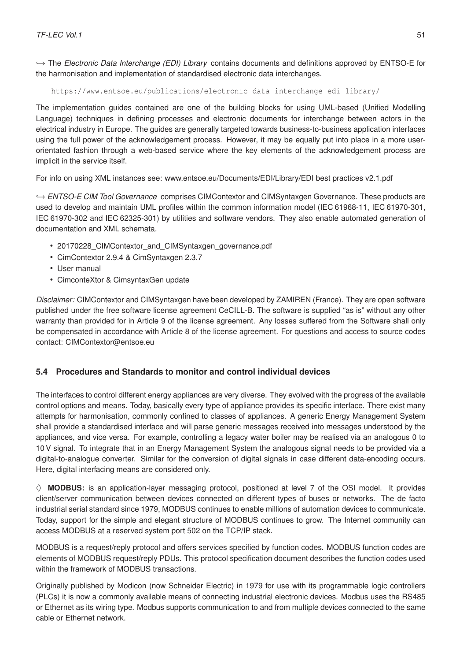,→ The *Electronic Data Interchange (EDI) Library* contains documents and definitions approved by ENTSO-E for the harmonisation and implementation of standardised electronic data interchanges.

<https://www.entsoe.eu/publications/electronic-data-interchange-edi-library/>

The implementation guides contained are one of the building blocks for using UML-based (Unified Modelling Language) techniques in defining processes and electronic documents for interchange between actors in the electrical industry in Europe. The guides are generally targeted towards business-to-business application interfaces using the full power of the acknowledgement process. However, it may be equally put into place in a more userorientated fashion through a web-based service where the key elements of the acknowledgement process are implicit in the service itself.

For info on using XML instances see: [www.entsoe.eu/Documents/EDI/Library/EDI best practices v2.1.pdf](https://www.entsoe.eu/Documents/EDI/Library/EDI%20best%20practices%20v2.1.pdf)

,→ *ENTSO-E CIM Tool Governance* comprises CIMContextor and CIMSyntaxgen Governance. These products are used to develop and maintain UML profiles within the common information model (IEC 61968-11, IEC 61970-301, IEC 61970-302 and IEC 62325-301) by utilities and software vendors. They also enable automated generation of documentation and XML schemata.

- 20170228 CIMContextor and CIMSyntaxgen governance.pdf
- [CimContextor 2.9.4 & CimSyntaxgen 2.3.7](https://www.entsoe.eu/Documents/EDI/Library/util/cimContextor-2.9.4.zip)
- [User manual](https://www.entsoe.eu/Documents/EDI/Library/util/CimConteXtor%20User%20ManualV5-20190408.pdf)
- [CimconteXtor & CimsyntaxGen update](https://www.entsoe.eu/Documents/EDI/Library/util/CimContextorUpdate.pdf)

*Disclaimer:* CIMContextor and CIMSyntaxgen have been developed by ZAMIREN (France). They are open software published under the [free software license agreement CeCILL-B.](https://www.entsoe.eu/Documents/EDI/Library/util/LICENSE.pdf) The software is supplied "as is" without any other warranty than provided for in Article 9 of the license agreement. Any losses suffered from the Software shall only be compensated in accordance with Article 8 of the license agreement. For questions and access to source codes contact: CIMContextor@entsoe.eu

# **5.4 Procedures and Standards to monitor and control individual devices**

The interfaces to control different energy appliances are very diverse. They evolved with the progress of the available control options and means. Today, basically every type of appliance provides its specific interface. There exist many attempts for harmonisation, commonly confined to classes of appliances. A generic Energy Management System shall provide a standardised interface and will parse generic messages received into messages understood by the appliances, and vice versa. For example, controlling a legacy water boiler may be realised via an analogous 0 to 10 V signal. To integrate that in an Energy Management System the analogous signal needs to be provided via a digital-to-analogue converter. Similar for the conversion of digital signals in case different data-encoding occurs. Here, digital interfacing means are considered only.

 $\diamond$  **MODBUS:** is an application-layer messaging protocol, positioned at level 7 of the OSI model. It provides client/server communication between devices connected on different types of buses or networks. The de facto industrial serial standard since 1979, MODBUS continues to enable millions of automation devices to communicate. Today, support for the simple and elegant structure of MODBUS continues to grow. The Internet community can access MODBUS at a reserved system port 502 on the TCP/IP stack.

MODBUS is a request/reply protocol and offers services specified by function codes. MODBUS function codes are elements of MODBUS request/reply PDUs. This protocol specification document describes the function codes used within the framework of MODBUS transactions.

Originally published by Modicon (now Schneider Electric) in 1979 for use with its programmable logic controllers (PLCs) it is now a commonly available means of connecting industrial electronic devices. Modbus uses the RS485 or Ethernet as its wiring type. Modbus supports communication to and from multiple devices connected to the same cable or Ethernet network.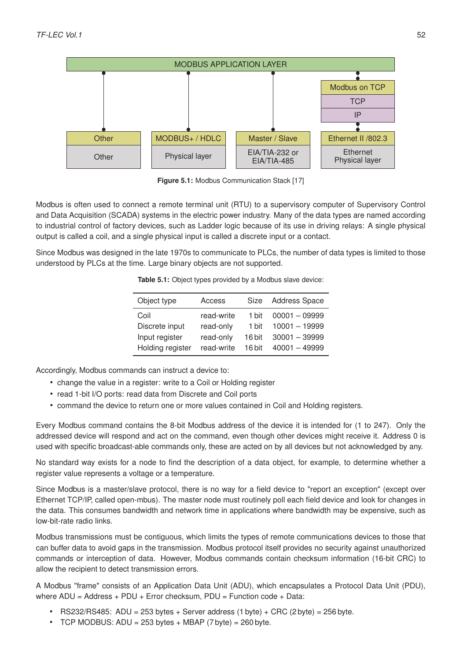

**Figure 5.1:** Modbus Communication Stack [\[17\]](#page-76-5)

Modbus is often used to connect a remote terminal unit (RTU) to a supervisory computer of Supervisory Control and Data Acquisition (SCADA) systems in the electric power industry. Many of the data types are named according to industrial control of factory devices, such as [Ladder logic](https://en.wikipedia.org/wiki/Ladder_logic) because of its use in driving relays: A single physical output is called a coil, and a single physical input is called a discrete input or a contact.

Since Modbus was designed in the late 1970s to communicate to PLCs, the number of data types is limited to those understood by PLCs at the time. Large binary objects are not supported.

| Object type      | Access     | Size   | <b>Address Space</b> |
|------------------|------------|--------|----------------------|
| Coil             | read-write | 1 bit  | $00001 - 09999$      |
| Discrete input   | read-only  | 1 bit  | $10001 - 19999$      |
| Input register   | read-only  | 16 bit | $30001 - 39999$      |
| Holding register | read-write | 16 bit | $40001 - 49999$      |
|                  |            |        |                      |

**Table 5.1:** Object types provided by a Modbus slave device:

Accordingly, Modbus commands can instruct a device to:

- change the value in a register: write to a Coil or Holding register
- read 1-bit I/O ports: read data from Discrete and Coil ports
- command the device to return one or more values contained in Coil and Holding registers.

Every Modbus command contains the 8-bit Modbus address of the device it is intended for (1 to 247). Only the addressed device will respond and act on the command, even though other devices might receive it. Address 0 is used with specific broadcast-able commands only, these are acted on by all devices but not acknowledged by any.

No standard way exists for a node to find the description of a data object, for example, to determine whether a register value represents a voltage or a temperature.

Since Modbus is a master/slave protocol, there is no way for a field device to "report an exception" (except over Ethernet TCP/IP, called open-mbus). The master node must routinely poll each field device and look for changes in the data. This consumes bandwidth and network time in applications where bandwidth may be expensive, such as low-bit-rate radio links.

Modbus transmissions must be contiguous, which limits the types of remote communications devices to those that can buffer data to avoid gaps in the transmission. Modbus protocol itself provides no security against unauthorized commands or interception of data. However, Modbus commands contain checksum information (16-bit CRC) to allow the recipient to detect transmission errors.

A Modbus "frame" consists of an Application Data Unit (ADU), which encapsulates a Protocol Data Unit (PDU), where  $ADU = Address + PDU + Error checksum$ ,  $PDU = Function code + Data$ :

- RS232/RS485: ADU = 253 bytes + Server address (1 byte) + CRC (2 byte) = 256 byte.
- TCP MODBUS: ADU =  $253$  bytes + MBAP (7 byte) =  $260$  byte.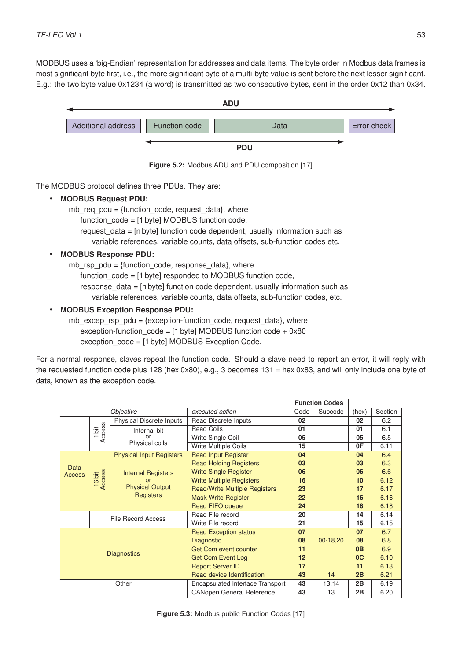MODBUS uses a 'big-Endian' representation for addresses and data items. The byte order in Modbus data frames is most significant byte first, i.e., the more significant byte of a multi-byte value is sent before the next lesser significant. E.g.: the two byte value 0x1234 (a word) is transmitted as two consecutive bytes, sent in the order 0x12 than 0x34.



**Figure 5.2:** Modbus ADU and PDU composition [\[17\]](#page-76-5)

The MODBUS protocol defines three PDUs. They are:

• **MODBUS Request PDU:**

mb\_req\_pdu = {function\_code, request\_data}, where

function code = [1 byte] MODBUS function code,

request data = [n byte] function code dependent, usually information such as

variable references, variable counts, data offsets, sub-function codes etc.

# • **MODBUS Response PDU:**

mb rsp  $pdu =$  {function code, response data}, where

function code = [1 byte] responded to MODBUS function code,

response data = [n byte] function code dependent, usually information such as

variable references, variable counts, data offsets, sub-function codes, etc.

# • **MODBUS Exception Response PDU:**

mb excep rsp  $pdu = \{$ exception-function code, request data}, where exception-function  $code = [1 byte] MODBUS$  function  $code + 0x80$ exception\_code = [1 byte] [MODBUS Exception Code.](https://modbus.org/docs/Modbus_Application_Protocol_V1_1b3.pdf)

For a normal response, slaves repeat the function code. Should a slave need to report an error, it will reply with the requested function code plus 128 (hex 0x80), e.g., 3 becomes 131 = hex 0x83, and will only include one byte of data, known as the exception code.

|                    |                  |                                           |                                              |                   | <b>Function Codes</b> |                |         |
|--------------------|------------------|-------------------------------------------|----------------------------------------------|-------------------|-----------------------|----------------|---------|
| Objective          |                  |                                           | executed action<br>Code                      |                   | Subcode               | (hex)          | Section |
|                    |                  | Physical Discrete Inputs                  | Read Discrete Inputs                         | 02                |                       | 02             | 6.2     |
|                    | 1 bit<br>Access  | Internal bit                              | <b>Read Coils</b>                            | 01                |                       | 01             | 6.1     |
|                    |                  | or                                        | Write Single Coil                            | 05                |                       | 05             | 6.5     |
|                    |                  | Physical coils                            | <b>Write Multiple Coils</b>                  | 15                |                       | 0F             | 6.11    |
|                    |                  | <b>Physical Input Registers</b>           | <b>Read Input Register</b>                   | 04                |                       | 04             | 6.4     |
|                    |                  |                                           | <b>Read Holding Registers</b>                | 03                |                       | 03             | 6.3     |
| Data<br>Access     |                  | <b>Internal Registers</b>                 | <b>Write Single Register</b>                 | 06                |                       | 06             | 6.6     |
|                    | 16 bit<br>Access | or<br><b>Physical Output</b><br>Registers | <b>Write Multiple Registers</b>              | 16                |                       | 10             | 6.12    |
|                    |                  |                                           | <b>Read/Write Multiple Registers</b>         | 23                |                       | 17             | 6.17    |
|                    |                  |                                           | <b>Mask Write Register</b>                   | $22 \overline{ }$ |                       | 16             | 6.16    |
|                    |                  |                                           | <b>Read FIFO queue</b>                       | 24                |                       | 18             | 6.18    |
|                    |                  | <b>File Record Access</b>                 | Read File record                             | 20                |                       | 14             | 6.14    |
|                    |                  |                                           | Write File record                            | 21                |                       | 15             | 6.15    |
|                    |                  |                                           | <b>Read Exception status</b>                 | 07                |                       | 07             | 6.7     |
|                    |                  |                                           | <b>Diagnostic</b>                            | 08                | 00-18,20              | 08             | 6.8     |
| <b>Diagnostics</b> |                  |                                           | <b>Get Com event counter</b>                 | 11                |                       | 0 <sub>B</sub> | 6.9     |
|                    |                  |                                           | <b>Get Com Event Log</b>                     | 12                |                       | 0 <sup>C</sup> | 6.10    |
|                    |                  |                                           | <b>Report Server ID</b>                      | 17                |                       | 11             | 6.13    |
|                    |                  |                                           | Read device Identification                   | 43                | 14                    | 2B             | 6.21    |
|                    |                  | Other                                     | <b>Encapsulated Interface Transport</b>      | 43<br>13,14       |                       | 2B             | 6.19    |
|                    |                  |                                           | 43<br>13<br><b>CANopen General Reference</b> |                   |                       | 2B             | 6.20    |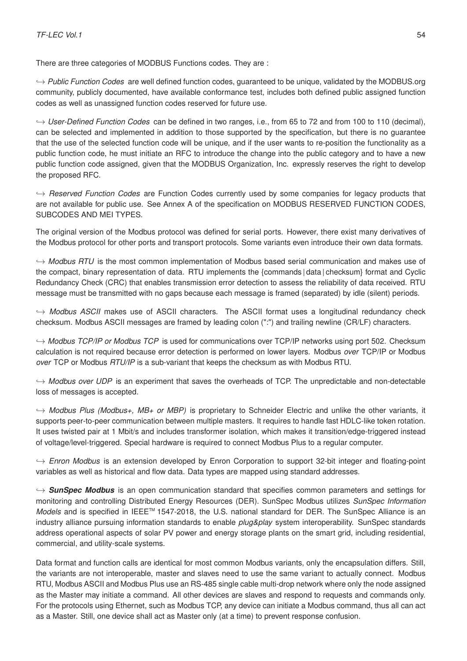There are three categories of MODBUS Functions codes. They are :

,→ *Public Function Codes* are well defined function codes, guaranteed to be unique, validated by the MODBUS.org community, publicly documented, have available conformance test, includes both defined public assigned function codes as well as unassigned function codes reserved for future use.

,→ *User-Defined Function Codes* can be defined in two ranges, i.e., from 65 to 72 and from 100 to 110 (decimal), can be selected and implemented in addition to those supported by the specification, but there is no guarantee that the use of the selected function code will be unique, and if the user wants to re-position the functionality as a public function code, he must initiate an RFC to introduce the change into the public category and to have a new public function code assigned, given that the MODBUS Organization, Inc. expressly reserves the right to develop the proposed RFC.

,→ *Reserved Function Codes* are Function Codes currently used by some companies for legacy products that are not available for public use. See [Annex A](https://modbus.org/docs/Modbus_Application_Protocol_V1_1b3.pdf) of the specification on MODBUS RESERVED FUNCTION CODES, SUBCODES AND MEI TYPES.

The original version of the Modbus protocol was defined for serial ports. However, there exist many derivatives of the Modbus protocol for other ports and transport protocols. Some variants even introduce their own data formats.

,→ *Modbus RTU* is the most common implementation of Modbus based serial communication and makes use of the compact, binary representation of data. RTU implements the {commands | data | checksum} format and Cyclic Redundancy Check (CRC) that enables transmission error detection to assess the reliability of data received. RTU message must be transmitted with no gaps because each message is framed (separated) by idle (silent) periods.

 $\rightarrow$  *Modbus ASCII* makes use of ASCII characters. The ASCII format uses a longitudinal redundancy check checksum. Modbus ASCII messages are framed by leading colon (":") and trailing newline (CR/LF) characters.

,→ *Modbus TCP/IP or Modbus TCP* is used for communications over TCP/IP networks using port 502. Checksum calculation is not required because error detection is performed on lower layers. Modbus *over* TCP/IP or Modbus *over* TCP or Modbus *RTU/IP* is a sub-variant that keeps the checksum as with Modbus RTU.

,→ *Modbus over UDP* is an experiment that saves the overheads of TCP. The unpredictable and non-detectable loss of messages is accepted.

,→ *Modbus Plus (Modbus+, MB+ or MBP)* is proprietary to Schneider Electric and unlike the other variants, it supports peer-to-peer communication between multiple masters. It requires to handle fast HDLC-like token rotation. It uses twisted pair at 1 Mbit/s and includes transformer isolation, which makes it transition/edge-triggered instead of voltage/level-triggered. Special hardware is required to connect Modbus Plus to a regular computer.

,→ *Enron Modbus* is an extension developed by Enron Corporation to support 32-bit integer and floating-point variables as well as historical and flow data. Data types are mapped using standard addresses.

,→ *[SunSpec Modbus](https://sunspec.org/)* is an open communication standard that specifies common parameters and settings for monitoring and controlling Distributed Energy Resources (DER). SunSpec Modbus utilizes *SunSpec Information Models* and is specified in IEEE<sup>™</sup> [1547-2018,](https://standards.ieee.org/standard/1547-2018.html) the U.S. national standard for DER. The SunSpec Alliance is an industry alliance pursuing information standards to enable *plug&play* system interoperability. SunSpec standards address operational aspects of solar PV power and energy storage plants on the smart grid, including residential, commercial, and utility-scale systems.

Data format and function calls are identical for most common Modbus variants, only the encapsulation differs. Still, the variants are not interoperable, master and slaves need to use the same variant to actually connect. Modbus RTU, Modbus ASCII and Modbus Plus use an RS-485 single cable multi-drop network where only the node assigned as the Master may initiate a command. All other devices are slaves and respond to requests and commands only. For the protocols using Ethernet, such as Modbus TCP, any device can initiate a Modbus command, thus all can act as a Master. Still, one device shall act as Master only (at a time) to prevent response confusion.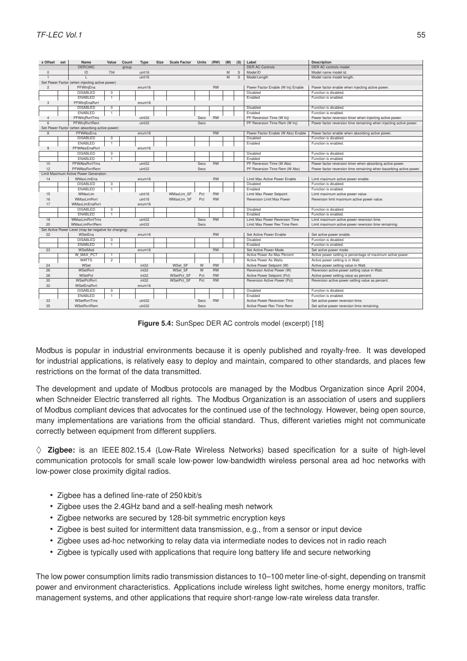| s Offset       | set                                            | Name                                                  | Value          | Count | Type   | <b>Size</b> | <b>Scale Factor</b> | <b>Units</b> | (RW)      | (M) | (S) | Label                              | <b>Description</b>                                                 |
|----------------|------------------------------------------------|-------------------------------------------------------|----------------|-------|--------|-------------|---------------------|--------------|-----------|-----|-----|------------------------------------|--------------------------------------------------------------------|
|                |                                                | <b>DERCtIAC</b>                                       |                | group |        |             |                     |              |           |     |     | <b>DER AC Controls</b>             | DER AC controls model                                              |
| $\Omega$       |                                                | ID                                                    | 704            |       | uint16 |             |                     |              |           | M   | S   | Model ID                           | Model name model id.                                               |
|                |                                                |                                                       |                |       | uint16 |             |                     |              |           | M   | s   | Model Length                       | Model name model length.                                           |
|                | Set Power Factor (when injecting active power) |                                                       |                |       |        |             |                     |              |           |     |     |                                    |                                                                    |
| $\overline{2}$ |                                                | PFWInjEna                                             |                |       | enum16 |             |                     |              | <b>RW</b> |     |     | Power Factor Enable (W Inj) Enable | Power factor enable when injecting active power.                   |
|                |                                                | <b>DISABLED</b>                                       | $^{\circ}$     |       |        |             |                     |              |           |     |     | Disabled                           | Function is disabled.                                              |
|                |                                                | ENABLED                                               | $\overline{1}$ |       |        |             |                     |              |           |     |     | Enabled                            | Function is enabled.                                               |
| 3              |                                                | PFWInjEnaRvrt                                         |                |       | enum16 |             |                     |              |           |     |     |                                    |                                                                    |
|                |                                                | <b>DISABLED</b>                                       | $^{\circ}$     |       |        |             |                     |              |           |     |     | Disabled                           | Function is disabled.                                              |
|                |                                                | ENABLED                                               | ₹              |       |        |             |                     |              |           |     |     | Enabled                            | Function is enabled.                                               |
| $\overline{4}$ |                                                | PFWIniRvrtTms                                         |                |       | uint32 |             |                     | Secs         | <b>RW</b> |     |     | PF Reversion Time (W Inj)          | Power factor reversion timer when injecting active power.          |
| 6              |                                                | PFWInjRvrtRem                                         |                |       | uint32 |             |                     | Secs         |           |     |     | PF Reversion Time Rem (W Inj)      | Power factor reversion time remaining when injecting active power. |
|                |                                                | Set Power Factor (when absorbing active power)        |                |       |        |             |                     |              |           |     |     |                                    |                                                                    |
| $\mathbf{8}$   |                                                | PFWAbsFna                                             |                |       | enum16 |             |                     |              | <b>RW</b> |     |     | Power Factor Enable (W Abs) Enable | Power factor enable when absorbing active power.                   |
|                |                                                | <b>DISABLED</b>                                       | $^{\circ}$     |       |        |             |                     |              |           |     |     | Disabled                           | Function is disabled.                                              |
|                |                                                | ENABLED                                               | $\overline{1}$ |       |        |             |                     |              |           |     |     | Enabled                            | Function is enabled.                                               |
| 9              |                                                | PFWAbsEnaRvrt                                         |                |       | enum16 |             |                     |              |           |     |     |                                    |                                                                    |
|                |                                                | <b>DISABLED</b>                                       | $^{\circ}$     |       |        |             |                     |              |           |     |     | Disabled                           | Function is disabled.                                              |
|                |                                                | ENABLED                                               | $\overline{1}$ |       |        |             |                     |              |           |     |     | Enabled                            | Function is enabled.                                               |
| 10             |                                                | <b>PFWAbsRvrtTms</b>                                  |                |       | uint32 |             |                     | Secs         | <b>RW</b> |     |     | PF Reversion Time (W Abs)          | Power factor reversion timer when absorbing active power.          |
| 12             |                                                | PFWAbsRvrtRem                                         |                |       | uint32 |             |                     | <b>Secs</b>  |           |     |     | PF Reversion Time Rem (W Abs)      | Power factor reversion time remaining when basorbing active power. |
|                |                                                | Limit Maximum Active Power Generation                 |                |       |        |             |                     |              |           |     |     |                                    |                                                                    |
| 14             |                                                | WMaxLimEna                                            |                |       | enum16 |             |                     |              | <b>RW</b> |     |     | Limit Max Active Power Enable      | Limit maximum active power enable.                                 |
|                |                                                | <b>DISABLED</b>                                       | $^{\circ}$     |       |        |             |                     |              |           |     |     | Disabled                           | Function is disabled.                                              |
|                |                                                | ENABLED                                               | $\overline{1}$ |       |        |             |                     |              |           |     |     | Enabled                            | Function is enabled.                                               |
| 15             |                                                | WMaxLim                                               |                |       | uint16 |             | <b>WMaxLim SF</b>   | Pct          | <b>RW</b> |     |     | Limit Max Power Setpoint           | Limit maximum active power value.                                  |
| 16             |                                                | WMaxLimRvrt                                           |                |       | uint16 |             | WMaxLim SF          | Pct          | <b>RW</b> |     |     | Reversion Limit Max Power          | Reversion limit maximum active power value.                        |
| 17             |                                                | WMaxLimEnaRvrt                                        |                |       | enum16 |             |                     |              |           |     |     |                                    |                                                                    |
|                |                                                | <b>DISABLED</b>                                       | $\overline{0}$ |       |        |             |                     |              |           |     |     | Disabled                           | Function is disabled.                                              |
|                |                                                | <b>FNABLED</b>                                        | $\overline{1}$ |       |        |             |                     |              |           |     |     | Fnabled                            | Function is enabled                                                |
| 18             |                                                | WMaxLimRvrtTms                                        |                |       | uint32 |             |                     | Secs         | <b>RW</b> |     |     | Limit Max Power Reversion Time     | Limit maximum active power reversion time.                         |
| 20             |                                                | WMaxLimRvrtRem                                        |                |       | uint32 |             |                     | <b>Secs</b>  |           |     |     | Limit Max Power Rev Time Rem       | Limit maximum active power reversion time remaining.               |
|                |                                                | Set Active Power Level (may be negative for charging) |                |       |        |             |                     |              |           |     |     |                                    |                                                                    |
| 22             |                                                | WSetEna                                               |                |       | enum16 |             |                     |              | <b>RW</b> |     |     | Set Active Power Enable            | Set active power enable.                                           |
|                |                                                | <b>DISABLED</b>                                       | $\mathbf 0$    |       |        |             |                     |              |           |     |     | Disabled                           | Function is disabled.                                              |
|                |                                                | ENABLED                                               | $\overline{1}$ |       |        |             |                     |              |           |     |     | Fnabled                            | Function is enabled.                                               |
| 23             |                                                | WSetMod                                               |                |       | enum16 |             |                     |              | <b>RW</b> |     |     | Set Active Power Mode              | Set active power mode.                                             |
|                |                                                | W MAX PCT                                             | $\overline{1}$ |       |        |             |                     |              |           |     |     | Active Power As Max Percent        | Active power setting is percentage of maximum active power.        |
|                |                                                | <b>WATTS</b>                                          | $\overline{2}$ |       |        |             |                     |              |           |     |     | <b>Active Power As Watts</b>       | Active power setting is in Watt.                                   |
| 24             |                                                | WSet                                                  |                |       | int32  |             | WSet SF             | W            | <b>RW</b> |     |     | Active Power Setpoint (W)          | Active power setting value in Watt.                                |
| 26             |                                                | WSetRvrt                                              |                |       | int32  |             | WSet SF             | W            | <b>RW</b> |     |     | Reversion Active Power (W)         | Reversion active power setting value in Watt.                      |
| 28             |                                                | <b>WSetPct</b>                                        |                |       | int32  |             | <b>WSetPct SF</b>   | Pct          | <b>RW</b> |     |     | Active Power Setpoint (Pct)        | Active power setting value as percent.                             |
| 30             |                                                | WSetPctRvrt                                           |                |       | int32  |             | WSetPct SF          | Pct          | <b>RW</b> |     |     | Reversion Active Power (Pct)       | Reversion active power setting value as percent.                   |
| 32             |                                                | WSetEnaRvrt                                           |                |       | enum16 |             |                     |              |           |     |     |                                    |                                                                    |
|                |                                                | <b>DISABLED</b>                                       | $^{\circ}$     |       |        |             |                     |              |           |     |     | Disabled                           | Function is disabled.                                              |
|                |                                                | <b>ENABLED</b>                                        | $\overline{1}$ |       |        |             |                     |              |           |     |     | Fnabled                            | Function is enabled.                                               |
| 33             |                                                | WSetRvrtTms                                           |                |       | uint32 |             |                     | Secs         | <b>RW</b> |     |     | <b>Active Power Reversion Time</b> | Set active power reversion time.                                   |
| 35             |                                                | WSetRvrtRem                                           |                |       | uint32 |             |                     | <b>Secs</b>  |           |     |     | Active Power Rev Time Rem          | Set active power reversion time remaining.                         |

**Figure 5.4:** SunSpec DER AC controls model (excerpt) [\[18\]](#page-76-6)

Modbus is popular in industrial environments because it is openly published and royalty-free. It was developed for industrial applications, is relatively easy to deploy and maintain, compared to other standards, and places few restrictions on the format of the data transmitted.

The development and update of Modbus protocols are managed by the [Modbus Organization](https://modbus.org/) since April 2004, when Schneider Electric transferred all rights. The Modbus Organization is an association of users and suppliers of Modbus compliant devices that advocates for the continued use of the technology. However, being open source, many implementations are variations from the official standard. Thus, different varieties might not communicate correctly between equipment from different suppliers.

 $\diamond$  **[Zigbee:](https://zigbeealliance.org/)** is an [IEEE 802.15.4](https://standards.ieee.org/standard/802_15_4-2020.html) (Low-Rate Wireless Networks) based specification for a suite of high-level communication protocols for small scale low-power low-bandwidth wireless personal area ad hoc networks with low-power close proximity digital radios.

- Zigbee has a defined line-rate of 250 kbit/s
- Zigbee uses the 2.4GHz band and a self-healing mesh network
- Zigbee networks are secured by 128-bit symmetric encryption keys
- Zigbee is best suited for intermittent data transmission, e.g., from a sensor or input device
- Zigbee uses ad-hoc networking to relay data via intermediate nodes to devices not in radio reach
- Zigbee is typically used with applications that require long battery life and secure networking

The low power consumption limits radio transmission distances to 10–100 meter line-of-sight, depending on transmit power and environment characteristics. Applications include wireless light switches, home energy monitors, traffic management systems, and other applications that require short-range low-rate wireless data transfer.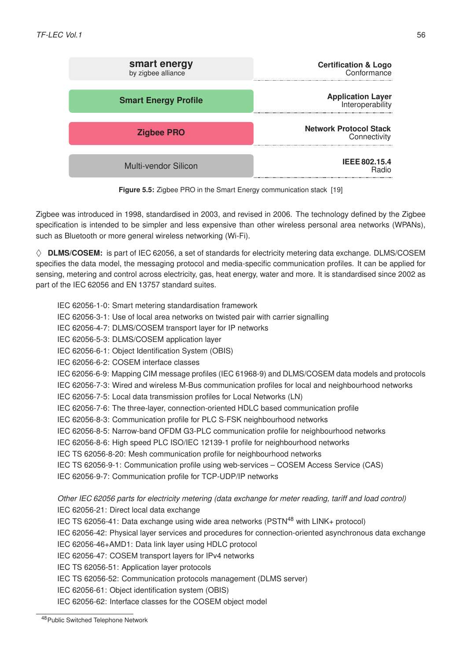| <b>Certification &amp; Logo</b><br>Conformance | smart energy<br>by zigbee alliance |
|------------------------------------------------|------------------------------------|
| <b>Application Layer</b><br>Interoperability   | <b>Smart Energy Profile</b>        |
| <b>Network Protocol Stack</b><br>Connectivity  | <b>Zigbee PRO</b>                  |
| <b>IEEE 802.15.4</b><br><b>Radio</b>           | <b>Multi-vendor Silicon</b>        |

**Figure 5.5:** Zigbee PRO in the [Smart Energy communication stack](https://zigbeealliance.org/solution/smart-energy/) [\[19\]](#page-76-7)

Zigbee was introduced in 1998, standardised in 2003, and revised in 2006. The technology defined by the Zigbee specification is intended to be simpler and less expensive than other wireless personal area networks (WPANs), such as Bluetooth or more general wireless networking (Wi-Fi).

 $\diamond$  **DLMS/COSEM:** is part of [IEC 62056,](https://webstore.iec.ch/searchform&q=62056) a set of standards for electricity metering data exchange. DLMS/COSEM specifies the data model, the messaging protocol and media-specific communication profiles. It can be applied for sensing, metering and control across electricity, gas, heat energy, water and more. It is standardised since 2002 as part of the IEC 62056 and EN 13757 standard suites.

- IEC 62056-1-0: Smart metering standardisation framework
- IEC 62056-3-1: Use of local area networks on twisted pair with carrier signalling
- IEC 62056-4-7: DLMS/COSEM transport layer for IP networks
- IEC 62056-5-3: DLMS/COSEM application layer
- IEC 62056-6-1: Object Identification System (OBIS)
- IEC 62056-6-2: COSEM interface classes
- IEC 62056-6-9: Mapping CIM message profiles (IEC 61968-9) and DLMS/COSEM data models and protocols
- IEC 62056-7-3: Wired and wireless M-Bus communication profiles for local and neighbourhood networks
- IEC 62056-7-5: Local data transmission profiles for Local Networks (LN)
- IEC 62056-7-6: The three-layer, connection-oriented HDLC based communication profile
- IEC 62056-8-3: Communication profile for PLC S-FSK neighbourhood networks
- IEC 62056-8-5: Narrow-band OFDM G3-PLC communication profile for neighbourhood networks
- IEC 62056-8-6: High speed PLC ISO/IEC 12139-1 profile for neighbourhood networks
- IEC TS 62056-8-20: Mesh communication profile for neighbourhood networks
- IEC TS 62056-9-1: Communication profile using web-services COSEM Access Service (CAS)
- IEC 62056-9-7: Communication profile for TCP-UDP/IP networks

*Other IEC 62056 parts for electricity metering (data exchange for meter reading, tariff and load control)* IEC 62056-21: Direct local data exchange

- IEC TS 62056-41: Data exchange using wide area networks ( $PSTN<sup>48</sup>$  $PSTN<sup>48</sup>$  $PSTN<sup>48</sup>$  with LINK+ protocol)
- IEC 62056-42: Physical layer services and procedures for connection-oriented asynchronous data exchange
- IEC 62056-46+AMD1: Data link layer using HDLC protocol
- IEC 62056-47: COSEM transport layers for IPv4 networks
- IEC TS 62056-51: Application layer protocols
- IEC TS 62056-52: Communication protocols management (DLMS server)
- IEC 62056-61: Object identification system (OBIS)
- IEC 62056-62: Interface classes for the COSEM object model

<span id="page-59-0"></span><sup>48</sup>Public Switched Telephone Network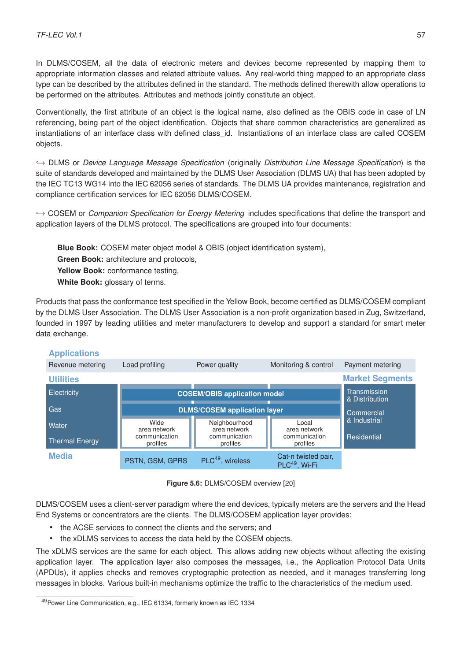In DLMS/COSEM, all the data of electronic meters and devices become represented by mapping them to appropriate information classes and related attribute values. Any real-world thing mapped to an appropriate class type can be described by the attributes defined in the standard. The methods defined therewith allow operations to be performed on the attributes. Attributes and methods jointly constitute an object.

Conventionally, the first attribute of an object is the logical name, also defined as the OBIS code in case of LN referencing, being part of the object identification. Objects that share common characteristics are generalized as instantiations of an interface class with defined class id. Instantiations of an interface class are called COSEM objects.

,→ DLMS or *Device Language Message Specification* (originally *Distribution Line Message Specification*) is the suite of standards developed and maintained by the DLMS User Association (DLMS UA) that has been adopted by the IEC TC13 WG14 into the IEC 62056 series of standards. The DLMS UA provides maintenance, registration and compliance certification services for IEC 62056 DLMS/COSEM.

,→ COSEM or *Companion Specification for Energy Metering* includes specifications that define the transport and application layers of the DLMS protocol. The specifications are grouped into four documents:

**Blue Book:** COSEM meter object model & OBIS (object identification system), **Green Book:** architecture and protocols, Yellow Book: conformance testing, **White Book:** glossary of terms.

Products that pass the conformance test specified in the Yellow Book, become certified as DLMS/COSEM compliant by the DLMS User Association. The DLMS User Association is a non-profit organization based in Zug, Switzerland, founded in 1997 by leading utilities and meter manufacturers to develop and support a standard for smart meter data exchange.



# **Applications**

**Figure 5.6:** [DLMS/COSEM overview](https://www.dlms.com/img/content/dlms-_overview_1709191024x768.jpg) [\[20\]](#page-76-8)

DLMS/COSEM uses a client-server paradigm where the end devices, typically meters are the servers and the Head End Systems or concentrators are the clients. The DLMS/COSEM application layer provides:

- the ACSE services to connect the clients and the servers; and
- the xDLMS services to access the data held by the COSEM objects.

The xDLMS services are the same for each object. This allows adding new objects without affecting the existing application layer. The application layer also composes the messages, i.e., the Application Protocol Data Units (APDUs), it applies checks and removes cryptographic protection as needed, and it manages transferring long messages in blocks. Various built-in mechanisms optimize the traffic to the characteristics of the medium used.

<span id="page-60-0"></span><sup>49</sup>Power Line Communication, e.g., IEC 61334, formerly known as IEC 1334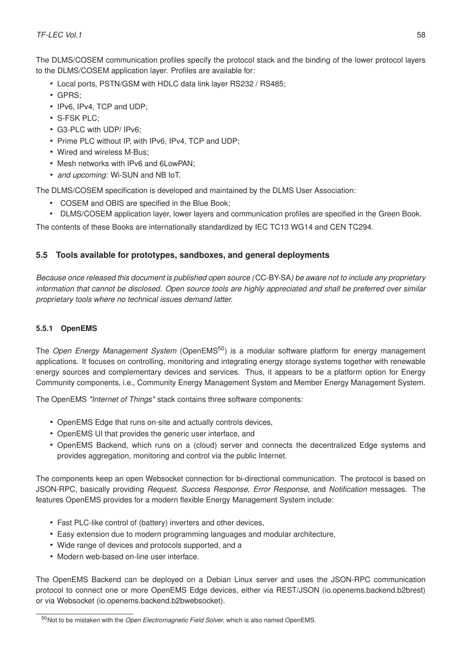The DLMS/COSEM communication profiles specify the protocol stack and the binding of the lower protocol layers to the DLMS/COSEM application layer. Profiles are available for:

- Local ports, PSTN/GSM with HDLC data link layer RS232 / RS485;
- GPRS;
- IPv6, IPv4, TCP and UDP;
- S-FSK PLC;
- G3-PLC with UDP/ IPv6;
- Prime PLC without IP, with IPv6, IPv4, TCP and UDP;
- Wired and wireless M-Bus;
- Mesh networks with IPv6 and 6LowPAN;
- *and upcoming:* Wi-SUN and NB IoT.

The DLMS/COSEM specification is developed and maintained by the DLMS User Association:

- COSEM and OBIS are specified in the Blue Book;
- DLMS/COSEM application layer, lower layers and communication profiles are specified in the Green Book.

The contents of these Books are internationally standardized by IEC TC13 WG14 and CEN TC294.

# **5.5 Tools available for prototypes, sandboxes, and general deployments**

*Because once released this document is published open source (*CC-BY-SA*) be aware not to include any proprietary information that cannot be disclosed. Open source tools are highly appreciated and shall be preferred over similar proprietary tools where no technical issues demand latter.*

# **5.5.1 OpenEMS**

The *Open Energy Management System* [\(OpenEMS](https://openems.github.io/openems.io/openems/latest/introduction.html)[50](#page-61-0)) is a modular software platform for energy management applications. It focuses on controlling, monitoring and integrating energy storage systems together with renewable energy sources and complementary devices and services. Thus, it appears to be a platform option for Energy Community components, i.e., Community Energy Management System and Member Energy Management System.

The OpenEMS *"Internet of Things"* stack contains three software components:

- OpenEMS Edge that runs on-site and actually controls devices,
- OpenEMS UI that provides the generic user interface, and
- OpenEMS Backend, which runs on a (cloud) server and connects the decentralized Edge systems and provides aggregation, monitoring and control via the public Internet.

The components keep an open [Websocket](https://de.wikipedia.org/wiki/WebSocket) connection for bi-directional communication. The protocol is based on [JSON-RPC,](https://www.jsonrpc.org/specification) basically providing *Request, Success Response, Error Response,* and *Notification* messages. The features OpenEMS provides for a modern flexible Energy Management System include:

- Fast PLC-like control of (battery) inverters and other devices,
- Easy extension due to modern programming languages and modular architecture,
- Wide range of devices and protocols supported, and a
- Modern web-based on-line user interface.

The OpenEMS Backend can be deployed on a Debian Linux server and uses the JSON-RPC communication protocol to connect one or more OpenEMS Edge devices, either via REST/JSON (io.openems.backend.b2brest) or via Websocket (io.openems.backend.b2bwebsocket).

<span id="page-61-0"></span><sup>50</sup>Not to be mistaken with the *Open Electromagnetic Field Solver*, which is also named [OpenEMS.](http://openems.de/start/index.php)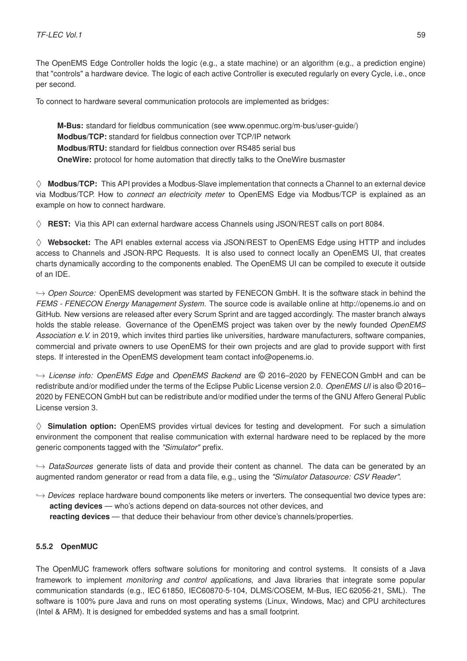The OpenEMS Edge Controller holds the logic (e.g., a state machine) or an algorithm (e.g., a prediction engine) that "controls" a hardware device. The logic of each active Controller is executed regularly on every Cycle, i.e., once per second.

To connect to hardware several communication protocols are implemented as bridges:

**M-Bus:** standard for fieldbus communication (see [www.openmuc.org/m-bus/user-guide/\)](https://www.openmuc.org/m-bus/user-guide/) **Modbus/TCP:** standard for fieldbus connection over TCP/IP network **Modbus/RTU:** standard for fieldbus connection over RS485 serial bus **OneWire:** protocol for home automation that directly talks to the OneWire busmaster

 $\diamond$  **Modbus/TCP:** This API provides a Modbus-Slave implementation that connects a Channel to an external device via Modbus/TCP. How to *[connect an electricity meter](https://openems.github.io/openems.io/openems/latest/edge/implement.html)* to OpenEMS Edge via Modbus/TCP is explained as an example on how to connect hardware.

 $\diamond$  **REST:** Via this API can external hardware access Channels using JSON/REST calls on port 8084.

 $\diamond$  Websocket: The API enables external access via JSON/REST to OpenEMS Edge using HTTP and includes access to Channels and JSON-RPC Requests. It is also used to connect locally an OpenEMS UI, that creates charts dynamically according to the components enabled. The OpenEMS UI can be compiled to execute it outside of an IDE.

,→ *Open Source:* OpenEMS development was started by [FENECON GmbH.](https://www1.fenecon.de/) It is the software stack in behind the *[FEMS - FENECON Energy Management System](https://www1.fenecon.de/fems/)*. The source code is available online at http://openems.io and on GitHub. New versions are released after every Scrum Sprint and are tagged accordingly. The master branch always holds the stable release. Governance of the OpenEMS project was taken over by the newly founded *[OpenEMS](https://openems.io/association/) [Association e.V.](https://openems.io/association/)* in 2019, which invites third parties like universities, hardware manufacturers, software companies, commercial and private owners to use OpenEMS for their own projects and are glad to provide support with first steps. If interested in the OpenEMS development team contact [info@openems.io.](mailto://info@openems.io)

,→ *License info: OpenEMS Edge* and *OpenEMS Backend* are © 2016–2020 by FENECON GmbH and can be redistribute and/or modified under the terms of the [Eclipse Public License version 2.0.](https://github.com/OpenEMS/openems/blob/develop/LICENSE-EPL-2.0) *OpenEMS UI* is also © 2016– 2020 by FENECON GmbH but can be redistribute and/or modified under the terms of the [GNU Affero General Public](https://github.com/OpenEMS/openems/blob/develop/LICENSE-AGPL-3.0) [License version 3.](https://github.com/OpenEMS/openems/blob/develop/LICENSE-AGPL-3.0)

 $\diamond$  **Simulation option:** OpenEMS provides virtual devices for testing and development. For such a simulation environment the component that realise communication with external hardware need to be replaced by the more generic components tagged with the *"Simulator"* prefix.

,→ *DataSources* generate lists of data and provide their content as channel. The data can be generated by an augmented random generator or read from a data file, e.g., using the *"Simulator Datasource: CSV Reader"*.

,→ *Devices* replace hardware bound components like meters or inverters. The consequential two device types are: **acting devices** — who's actions depend on data-sources not other devices, and **reacting devices** — that deduce their behaviour from other device's channels/properties.

# **5.5.2 OpenMUC**

The [OpenMUC](https://www.openmuc.org/) framework offers software solutions for monitoring and control systems. It consists of a Java framework to implement *monitoring and control applications*, and Java libraries that integrate some popular communication standards (e.g., [IEC 61850,](http://www.openmuc.org/iec-61850/) [IEC60870-5-104,](http://www.openmuc.org/iec-60870-5-104/) [DLMS/COSEM,](http://www.openmuc.org/dlms-cosem/) [M-Bus,](http://www.openmuc.org/m-bus/) [IEC 62056-21,](http://www.openmuc.org/iec-62056-21/) [SML\)](http://www.openmuc.org/sml/). The software is 100% pure Java and runs on most operating systems (Linux, Windows, Mac) and CPU architectures (Intel & ARM). It is designed for embedded systems and has a small footprint.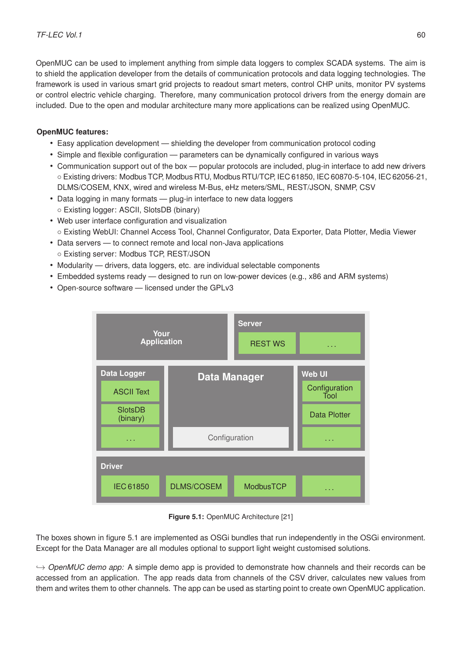OpenMUC can be used to implement anything from simple data loggers to complex SCADA systems. The aim is to shield the application developer from the details of communication protocols and data logging technologies. The framework is used in various smart grid projects to readout smart meters, control CHP units, monitor PV systems or control electric vehicle charging. Therefore, many communication protocol drivers from the energy domain are included. Due to the open and modular architecture many more applications can be realized using OpenMUC.

# **OpenMUC features:**

- Easy application development shielding the developer from communication protocol coding
- Simple and flexible configuration parameters can be dynamically configured in various ways
- Communication support out of the box popular protocols are included, plug-in interface to add new drivers ◦ Existing drivers: Modbus TCP, Modbus RTU, Modbus RTU/TCP, IEC 61850, IEC 60870-5-104, IEC 62056-21, DLMS/COSEM, KNX, wired and wireless M-Bus, eHz meters/SML, REST/JSON, SNMP, CSV
- Data logging in many formats plug-in interface to new data loggers ◦ Existing logger: ASCII, SlotsDB (binary)
- Web user interface configuration and visualization ◦ Existing WebUI: Channel Access Tool, Channel Configurator, Data Exporter, Data Plotter, Media Viewer
- Data servers to connect remote and local non-Java applications ◦ Existing server: Modbus TCP, REST/JSON
- Modularity drivers, data loggers, etc. are individual selectable components
- Embedded systems ready designed to run on low-power devices (e.g., x86 and ARM systems)
- <span id="page-63-0"></span>• Open-source software — licensed under the GPLv3



**Figure 5.1:** [OpenMUC Architecture](http://www.openmuc.org/wp-content/uploads/2016/03/OpenMUC_Architecture.png) [\[21\]](#page-76-9)

The boxes shown in figure [5.1](#page-63-0) are implemented as [OSGi](https://www.osgi.org/developer/what-is-osgi/) [bundles](https://www.ibm.com/support/knowledgecenter/en/SSRTLW_9.5.0/com.ibm.aries.osgi.doc/topics/cbundles.html) that run independently in the OSGi environment. Except for the Data Manager are all modules optional to support light weight customised solutions.

,→ *[OpenMUC demo app:](https://gythialy.github.io/openmuc/)* A simple demo app is provided to demonstrate how channels and their records can be accessed from an application. The app reads data from channels of the CSV driver, calculates new values from them and writes them to other channels. The app can be used as starting point to create own OpenMUC application.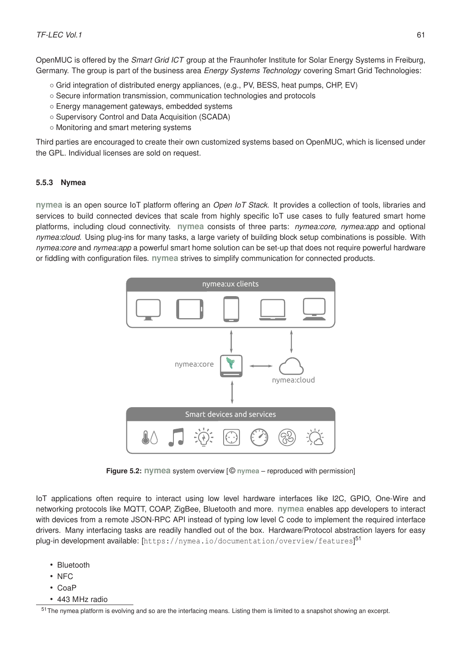OpenMUC is offered by the *Smart Grid ICT* group at the [Fraunhofer Institute for Solar Energy Systems](https://www.ise.fraunhofer.de/en.html) in Freiburg, Germany. The group is part of the business area *Energy Systems Technology* covering [Smart Grid Technologies:](https://www.ise.fraunhofer.de/en/business-areas/energy-system-technology/smart-grid-technologies.html)

- Grid integration of distributed energy appliances, (e.g., PV, BESS, heat pumps, CHP, EV)
- Secure information transmission, communication technologies and protocols
- Energy management gateways, embedded systems
- Supervisory Control and Data Acquisition (SCADA)
- Monitoring and smart metering systems

Third parties are encouraged to create their own customized systems based on OpenMUC, which is licensed under the [GPL.](https://www.gnu.org/licenses/gpl-3.0.en.html) Individual licenses are sold on request.

#### **5.5.3 Nymea**

**[nymea](https://nymea.io/)** is an open source IoT platform offering an *Open IoT Stack*. It provides a collection of tools, libraries and services to build connected devices that scale from highly specific IoT use cases to fully featured smart home platforms, including cloud connectivity. **nymea** consists of three parts: *nymea:core, nymea:app* and optional *nymea:cloud*. Using plug-ins for many tasks, a large variety of building block setup combinations is possible. With *nymea:core* and *nymea:app* a powerful smart home solution can be set-up that does not require powerful hardware or fiddling with configuration files. **nymea** strives to simplify communication for connected products.



**Figure 5.2: nymea** [system overview](https://nymea.io/img/nymea-overview.svg) [ © **[nymea](https://nymea.io/)** – reproduced with permission]

IoT applications often require to interact using low level hardware interfaces like I2C, GPIO, One-Wire and networking protocols like MQTT, COAP, ZigBee, Bluetooth and more. **nymea** enables app developers to interact with devices from a remote JSON-RPC API instead of typing low level C code to implement the required interface drivers. Many interfacing tasks are readily handled out of the box. Hardware/Protocol abstraction layers for easy plug-in development available: [<https://nymea.io/documentation/overview/features>] [51](#page-64-0)

- Bluetooth
- NFC
- CoaP
- 443 MHz radio

<span id="page-64-0"></span><sup>51</sup>The nymea platform is evolving and so are the interfacing means. Listing them is limited to a snapshot showing an excerpt.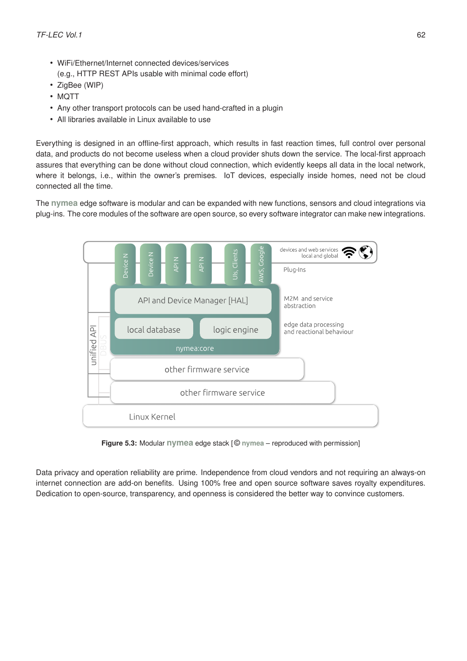- WiFi/Ethernet/Internet connected devices/services (e.g., HTTP REST APIs usable with minimal code effort)
- ZigBee (WIP)
- MQTT
- Any other transport protocols can be used hand-crafted in a plugin
- All libraries available in Linux available to use

Everything is designed in an offline-first approach, which results in fast reaction times, full control over personal data, and products do not become useless when a cloud provider shuts down the service. The local-first approach assures that everything can be done without cloud connection, which evidently keeps all data in the local network, where it belongs, i.e., within the owner's premises. IoT devices, especially inside homes, need not be cloud connected all the time.

The **nymea** edge software is modular and can be expanded with new functions, sensors and cloud integrations via plug-ins. The core modules of the software are open source, so every software integrator can make new integrations.



**Figure 5.3:** Modular **nymea** edge stack [ © **[nymea](https://nymea.io/)** – reproduced with permission]

Data privacy and operation reliability are prime. Independence from cloud vendors and not requiring an always-on internet connection are add-on benefits. Using 100% free and open source software saves royalty expenditures. Dedication to open-source, transparency, and openness is considered the better way to convince customers.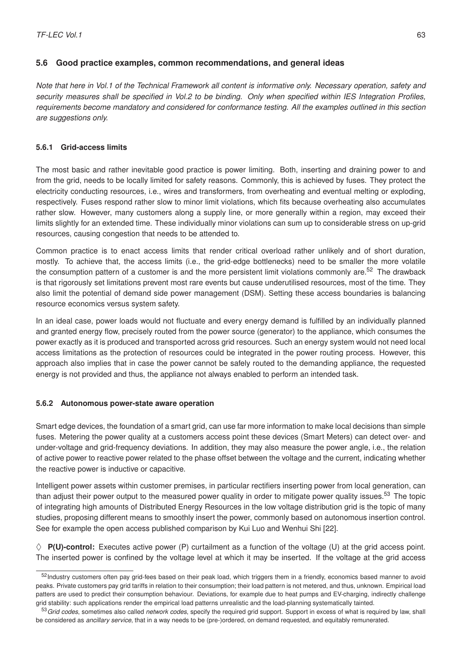## **5.6 Good practice examples, common recommendations, and general ideas**

*Note that here in Vol.1 of the Technical Framework all content is informative only. Necessary operation, safety and security measures shall be specified in Vol.2 to be binding. Only when specified within IES Integration Profiles, requirements become mandatory and considered for conformance testing. All the examples outlined in this section are suggestions only.*

### **5.6.1 Grid-access limits**

The most basic and rather inevitable good practice is power limiting. Both, inserting and draining power to and from the grid, needs to be locally limited for safety reasons. Commonly, this is achieved by fuses. They protect the electricity conducting resources, i.e., wires and transformers, from overheating and eventual melting or exploding, respectively. Fuses respond rather slow to minor limit violations, which fits because overheating also accumulates rather slow. However, many customers along a supply line, or more generally within a region, may exceed their limits slightly for an extended time. These individually minor violations can sum up to considerable stress on up-grid resources, causing congestion that needs to be attended to.

Common practice is to enact access limits that render critical overload rather unlikely and of short duration, mostly. To achieve that, the access limits (i.e., the grid-edge bottlenecks) need to be smaller the more volatile the consumption pattern of a customer is and the more persistent limit violations commonly are.<sup>[52](#page-66-0)</sup> The drawback is that rigorously set limitations prevent most rare events but cause underutilised resources, most of the time. They also limit the potential of demand side power management (DSM). Setting these access boundaries is balancing resource economics versus system safety.

In an ideal case, power loads would not fluctuate and every energy demand is fulfilled by an individually planned and granted energy flow, precisely routed from the power source (generator) to the appliance, which consumes the power exactly as it is produced and transported across grid resources. Such an energy system would not need local access limitations as the protection of resources could be integrated in the power routing process. However, this approach also implies that in case the power cannot be safely routed to the demanding appliance, the requested energy is not provided and thus, the appliance not always enabled to perform an intended task.

#### **5.6.2 Autonomous power-state aware operation**

Smart edge devices, the foundation of a smart grid, can use far more information to make local decisions than simple fuses. Metering the power quality at a customers access point these devices (Smart Meters) can detect over- and under-voltage and grid-frequency deviations. In addition, they may also measure the power angle, i.e., the relation of active power to reactive power related to the phase offset between the voltage and the current, indicating whether the reactive power is inductive or capacitive.

Intelligent power assets within customer premises, in particular rectifiers inserting power from local generation, can than adjust their power output to the measured power quality in order to mitigate power quality issues.<sup>[53](#page-66-1)</sup> The topic of integrating high amounts of Distributed Energy Resources in the low voltage distribution grid is the topic of many studies, proposing different means to smoothly insert the power, commonly based on autonomous insertion control. See for example the open access published comparison by Kui Luo and Wenhui Shi [\[22\]](#page-77-0).

 $\diamond$  **P(U)-control:** Executes active power (P) curtailment as a function of the voltage (U) at the grid access point. The inserted power is confined by the voltage level at which it may be inserted. If the voltage at the grid access

<span id="page-66-0"></span><sup>&</sup>lt;sup>52</sup>Industry customers often pay grid-fees based on their peak load, which triggers them in a friendly, economics based manner to avoid peaks. Private customers pay grid tariffs in relation to their consumption; their load pattern is not metered, and thus, unknown. Empirical load patters are used to predict their consumption behaviour. Deviations, for example due to heat pumps and EV-charging, indirectly challenge grid stability: such applications render the empirical load patterns unrealistic and the load-planning systematically tainted.

<span id="page-66-1"></span><sup>53</sup>*Grid codes*, sometimes also called *network codes*, specify the required grid support. Support in excess of what is required by law, shall be considered as *ancillary service*, that in a way needs to be (pre-)ordered, on demand requested, and equitably remunerated.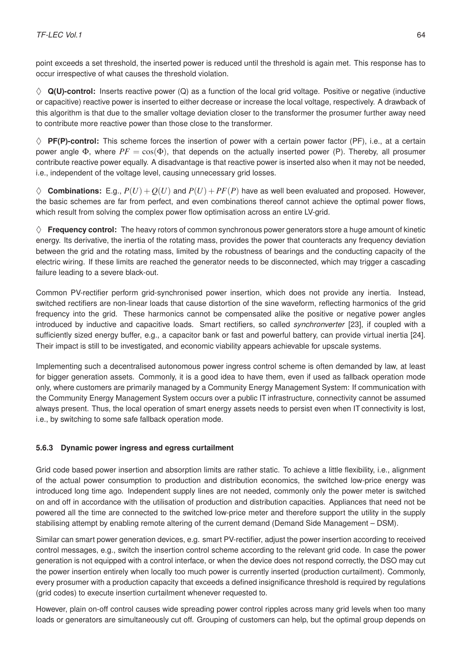point exceeds a set threshold, the inserted power is reduced until the threshold is again met. This response has to occur irrespective of what causes the threshold violation.

 $\diamond$  **Q(U)-control:** Inserts reactive power  $(Q)$  as a function of the local grid voltage. Positive or negative (inductive or capacitive) reactive power is inserted to either decrease or increase the local voltage, respectively. A drawback of this algorithm is that due to the smaller voltage deviation closer to the transformer the prosumer further away need to contribute more reactive power than those close to the transformer.

 $\diamond$  **PF(P)-control:** This scheme forces the insertion of power with a certain power factor (PF), i.e., at a certain power angle  $\Phi$ , where  $PF = \cos(\Phi)$ , that depends on the actually inserted power (P). Thereby, all prosumer contribute reactive power equally. A disadvantage is that reactive power is inserted also when it may not be needed, i.e., independent of the voltage level, causing unnecessary grid losses.

 $\diamondsuit$  **Combinations:** E.g.,  $P(U) + Q(U)$  and  $P(U) + PF(P)$  have as well been evaluated and proposed. However, the basic schemes are far from perfect, and even combinations thereof cannot achieve the optimal power flows, which result from solving the complex power flow optimisation across an entire LV-grid.

 $\diamond$  **Frequency control:** The heavy rotors of common synchronous power generators store a huge amount of kinetic energy. Its derivative, the inertia of the rotating mass, provides the power that counteracts any frequency deviation between the grid and the rotating mass, limited by the robustness of bearings and the conducting capacity of the electric wiring. If these limits are reached the generator needs to be disconnected, which may trigger a cascading failure leading to a severe black-out.

Common PV-rectifier perform grid-synchronised power insertion, which does not provide any inertia. Instead, switched rectifiers are non-linear loads that cause distortion of the sine waveform, reflecting harmonics of the grid frequency into the grid. These harmonics cannot be compensated alike the positive or negative power angles introduced by inductive and capacitive loads. Smart rectifiers, so called *synchronverter* [\[23\]](#page-77-1), if coupled with a sufficiently sized energy buffer, e.g., a capacitor bank or fast and powerful battery, can provide virtual inertia [\[24\]](#page-77-2). Their impact is still to be investigated, and economic viability appears achievable for upscale systems.

Implementing such a decentralised autonomous power ingress control scheme is often demanded by law, at least for bigger generation assets. Commonly, it is a good idea to have them, even if used as fallback operation mode only, where customers are primarily managed by a Community Energy Management System: If communication with the Community Energy Management System occurs over a public IT infrastructure, connectivity cannot be assumed always present. Thus, the local operation of smart energy assets needs to persist even when IT connectivity is lost, i.e., by switching to some safe fallback operation mode.

# **5.6.3 Dynamic power ingress and egress curtailment**

Grid code based power insertion and absorption limits are rather static. To achieve a little flexibility, i.e., alignment of the actual power consumption to production and distribution economics, the switched low-price energy was introduced long time ago. Independent supply lines are not needed, commonly only the power meter is switched on and off in accordance with the utilisation of production and distribution capacities. Appliances that need not be powered all the time are connected to the switched low-price meter and therefore support the utility in the supply stabilising attempt by enabling remote altering of the current demand (Demand Side Management – DSM).

Similar can smart power generation devices, e.g. smart PV-rectifier, adjust the power insertion according to received control messages, e.g., switch the insertion control scheme according to the relevant grid code. In case the power generation is not equipped with a control interface, or when the device does not respond correctly, the DSO may cut the power insertion entirely when locally too much power is currently inserted (production curtailment). Commonly, every prosumer with a production capacity that exceeds a defined insignificance threshold is required by regulations (grid codes) to execute insertion curtailment whenever requested to.

However, plain on-off control causes wide spreading power control ripples across many grid levels when too many loads or generators are simultaneously cut off. Grouping of customers can help, but the optimal group depends on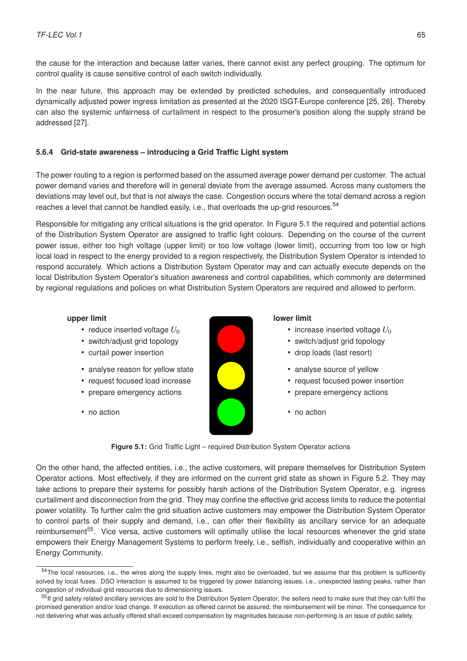the cause for the interaction and because latter varies, there cannot exist any perfect grouping. The optimum for control quality is cause sensitive control of each switch individually.

In the near future, this approach may be extended by predicted schedules, and consequentially introduced dynamically adjusted power ingress limitation as presented at the 2020 ISGT-Europe conference [\[25,](#page-77-3) [26\]](#page-77-4). Thereby can also the systemic unfairness of curtailment in respect to the prosumer's position along the supply strand be addressed [\[27\]](#page-77-5).

## <span id="page-68-0"></span>**5.6.4 Grid-state awareness – introducing a Grid Traffic Light system**

The power routing to a region is performed based on the assumed average power demand per customer. The actual power demand varies and therefore will in general deviate from the average assumed. Across many customers the deviations may level out, but that is not always the case. Congestion occurs where the total demand across a region reaches a level that cannot be handled easily, i.e., that overloads the up-grid resources.<sup>[54](#page-68-1)</sup>

Responsible for mitigating any critical situations is the grid operator. In Figure [5.1](#page-68-2) the required and potential actions of the Distribution System Operator are assigned to traffic light colours. Depending on the course of the current power issue, either too high voltage (upper limit) or too low voltage (lower limit), occurring from too low or high local load in respect to the energy provided to a region respectively, the Distribution System Operator is intended to respond accurately. Which actions a Distribution System Operator may and can actually execute depends on the local Distribution System Operator's situation awareness and control capabilities, which commonly are determined by regional regulations and policies on what Distribution System Operators are required and allowed to perform.

#### <span id="page-68-2"></span>**upper limit**

- reduce inserted voltage  $U_0$
- switch/adjust grid topology
- curtail power insertion
- analyse reason for yellow state
- request focused load increase
- prepare emergency actions
- no action



#### **lower limit**

- $\bullet$  increase inserted voltage  $U_0$
- switch/adiust grid topology
- drop loads (last resort)
- analyse source of yellow
- request focused power insertion
- prepare emergency actions
- no action
- **Figure 5.1:** Grid Traffic Light required Distribution System Operator actions

On the other hand, the affected entities, i.e., the active customers, will prepare themselves for Distribution System Operator actions. Most effectively, if they are informed on the current grid state as shown in Figure [5.2.](#page-69-0) They may take actions to prepare their systems for possibly harsh actions of the Distribution System Operator, e.g. ingress curtailment and disconnection from the grid. They may confine the effective grid access limits to reduce the potential power volatility. To further calm the grid situation active customers may empower the Distribution System Operator to control parts of their supply and demand, i.e., can offer their flexibility as ancillary service for an adequate reimbursement<sup>[55](#page-68-3)</sup>. Vice versa, active customers will optimally utilise the local resources whenever the grid state empowers their Energy Management Systems to perform freely, i.e., selfish, individually and cooperative within an Energy Community.

<span id="page-68-1"></span><sup>54</sup>The local resources, i.e., the wires along the supply lines, might also be overloaded, but we assume that this problem is sufficiently solved by local fuses. DSO interaction is assumed to be triggered by power balancing issues, i.e., unexpected lasting peaks, rather than congestion of individual grid resources due to dimensioning issues.

<span id="page-68-3"></span><sup>55</sup>If grid safety related ancillary services are sold to the Distribution System Operator, the sellers need to make sure that they can fulfil the promised generation and/or load change. If execution as offered cannot be assured, the reimbursement will be minor. The consequence for not delivering what was actually offered shall exceed compensation by magnitudes because non-performing is an issue of public safety.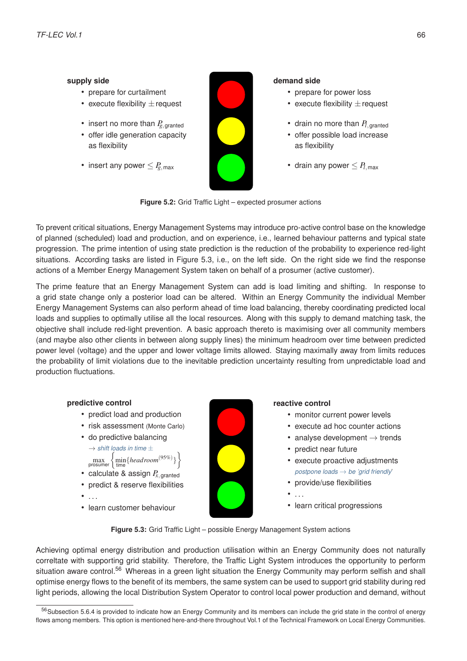#### <span id="page-69-0"></span>**supply side**

- prepare for curtailment
- execute flexibility  $\pm$  request
- insert no more than  $P_{g,\text{granted}}$
- offer idle generation capacity as flexibility
- insert any power  $\leq P_{g,\, \text{max}}$



#### **demand side**

- prepare for power loss
- execute flexibility  $\pm$  request
- drain no more than  $P_{l,granted}$
- offer possible load increase as flexibility
- drain any power  $\leq P_{l,\text{max}}$

**Figure 5.2:** Grid Traffic Light – expected prosumer actions

To prevent critical situations, Energy Management Systems may introduce pro-active control base on the knowledge of planned (scheduled) load and production, and on experience, i.e., learned behaviour patterns and typical state progression. The prime intention of using state prediction is the reduction of the probability to experience red-light situations. According tasks are listed in Figure [5.3,](#page-69-1) i.e., on the left side. On the right side we find the response actions of a Member Energy Management System taken on behalf of a prosumer (active customer).

The prime feature that an Energy Management System can add is load limiting and shifting. In response to a grid state change only a posterior load can be altered. Within an Energy Community the individual Member Energy Management Systems can also perform ahead of time load balancing, thereby coordinating predicted local loads and supplies to optimally utilise all the local resources. Along with this supply to demand matching task, the objective shall include red-light prevention. A basic approach thereto is maximising over all community members (and maybe also other clients in between along supply lines) the minimum headroom over time between predicted power level (voltage) and the upper and lower voltage limits allowed. Staying maximally away from limits reduces the probability of limit violations due to the inevitable prediction uncertainty resulting from unpredictable load and production fluctuations.

#### <span id="page-69-1"></span>**predictive control**

- predict load and production
- risk assessment (Monte Carlo)
- do predictive balancing  $\rightarrow$  *shift loads in time*  $\pm$

max  $\left\{\min_{\text{time}}\{headroom^{(95\%)}\}\right\}$  $\mathcal{L}$ 

- calculate & assign  $P_{x, \text{granted}}$
- predict & reserve flexibilities
- $\bullet$  . . .
- learn customer behaviour



#### **reactive control**

- monitor current power levels
- execute ad hoc counter actions
- analyse development  $\rightarrow$  trends
- predict near future
- execute proactive adjustments *postpone loads* → *be 'grid friendly*'
- provide/use flexibilities
- $\mathcal{L}_{\mathcal{P}}$
- learn critical progressions

**Figure 5.3:** Grid Traffic Light – possible Energy Management System actions

Achieving optimal energy distribution and production utilisation within an Energy Community does not naturally correltate with supporting grid stability. Therefore, the Traffic Light System introduces the opportunity to perform situation aware control.<sup>[56](#page-69-2)</sup> Whereas in a green light situation the Energy Community may perform selfish and shall optimise energy flows to the benefit of its members, the same system can be used to support grid stability during red light periods, allowing the local Distribution System Operator to control local power production and demand, without

<span id="page-69-2"></span><sup>56</sup> Subsection [5.6.4](#page-68-0) is provided to indicate how an Energy Community and its members can include the grid state in the control of energy flows among members. This option is mentioned here-and-there throughout Vol.1 of the Technical Framework on Local Energy Communities.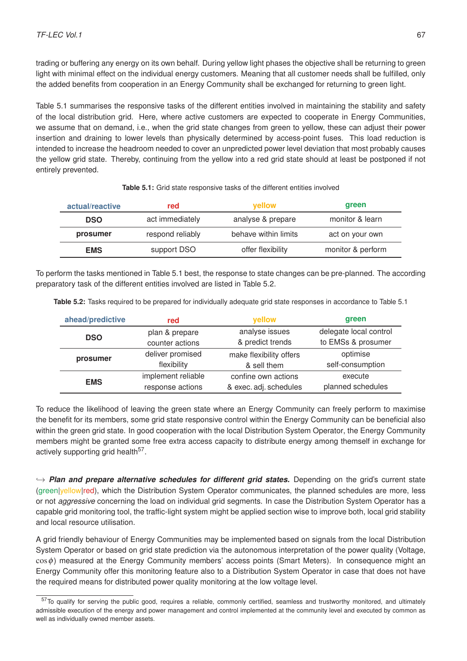trading or buffering any energy on its own behalf. During yellow light phases the objective shall be returning to green light with minimal effect on the individual energy customers. Meaning that all customer needs shall be fulfilled, only the added benefits from cooperation in an Energy Community shall be exchanged for returning to green light.

Table [5.1](#page-70-0) summarises the responsive tasks of the different entities involved in maintaining the stability and safety of the local distribution grid. Here, where active customers are expected to cooperate in Energy Communities, we assume that on demand, i.e., when the grid state changes from green to yellow, these can adjust their power insertion and draining to lower levels than physically determined by access-point fuses. This load reduction is intended to increase the headroom needed to cover an unpredicted power level deviation that most probably causes the yellow grid state. Thereby, continuing from the yellow into a red grid state should at least be postponed if not entirely prevented.

<span id="page-70-0"></span>

| actual/reactive | red              | <b>vellow</b>        | green             |
|-----------------|------------------|----------------------|-------------------|
| <b>DSO</b>      | act immediately  | analyse & prepare    | monitor & learn   |
| prosumer        | respond reliably | behave within limits | act on your own   |
| <b>EMS</b>      | support DSO      | offer flexibility    | monitor & perform |

|  | Table 5.1: Grid state responsive tasks of the different entities involved |
|--|---------------------------------------------------------------------------|
|--|---------------------------------------------------------------------------|

To perform the tasks mentioned in Table [5.1](#page-70-0) best, the response to state changes can be pre-planned. The according preparatory task of the different entities involved are listed in Table [5.2.](#page-70-1)

<span id="page-70-1"></span>**Table 5.2:** Tasks required to be prepared for individually adequate grid state responses in accordance to Table [5.1](#page-70-0)

| ahead/predictive | red                | yellow                  | green                  |
|------------------|--------------------|-------------------------|------------------------|
|                  | plan & prepare     | analyse issues          | delegate local control |
| <b>DSO</b>       | counter actions    | & predict trends        | to EMSs & prosumer     |
| prosumer         | deliver promised   | make flexibility offers | optimise               |
|                  | flexibility        | & sell them             | self-consumption       |
| <b>EMS</b>       | implement reliable | confine own actions     | execute                |
|                  | response actions   | & exec. adj. schedules  | planned schedules      |

To reduce the likelihood of leaving the green state where an Energy Community can freely perform to maximise the benefit for its members, some grid state responsive control within the Energy Community can be beneficial also within the green grid state. In good cooperation with the local Distribution System Operator, the Energy Community members might be granted some free extra access capacity to distribute energy among themself in exchange for actively supporting grid health<sup>[57](#page-70-2)</sup>.

 $\rightarrow$  *Plan and prepare alternative schedules for different grid states.* Depending on the grid's current state (green|yellow|red), which the Distribution System Operator communicates, the planned schedules are more, less or not *aggressive* concerning the load on individual grid segments. In case the Distribution System Operator has a capable grid monitoring tool, the traffic-light system might be applied section wise to improve both, local grid stability and local resource utilisation.

A grid friendly behaviour of Energy Communities may be implemented based on signals from the local Distribution System Operator or based on grid state prediction via the autonomous interpretation of the power quality (Voltage, cosφ) measured at the Energy Community members' access points (Smart Meters). In consequence might an Energy Community offer this monitoring feature also to a Distribution System Operator in case that does not have the required means for distributed power quality monitoring at the low voltage level.

<span id="page-70-2"></span> $57$ To qualify for serving the public good, requires a reliable, commonly certified, seamless and trustworthy monitored, and ultimately admissible execution of the energy and power management and control implemented at the community level and executed by common as well as individually owned member assets.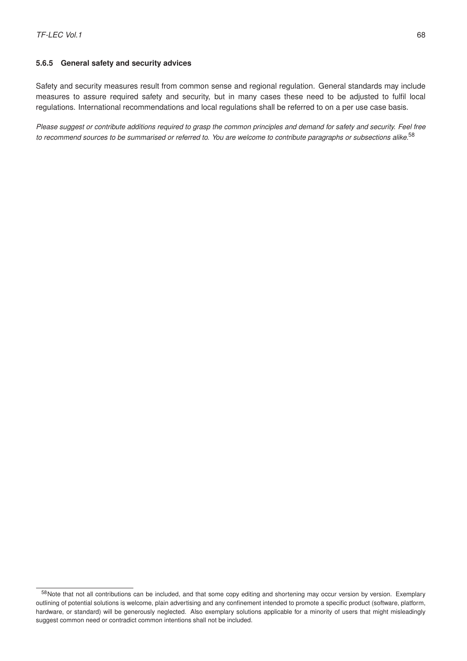#### **5.6.5 General safety and security advices**

Safety and security measures result from common sense and regional regulation. General standards may include measures to assure required safety and security, but in many cases these need to be adjusted to fulfil local regulations. International recommendations and local regulations shall be referred to on a per use case basis.

*Please suggest or contribute additions required to grasp the common principles and demand for safety and security. Feel free to recommend sources to be summarised or referred to. You are welcome to contribute paragraphs or subsections alike.*[58](#page-71-0)

<span id="page-71-0"></span><sup>58</sup>Note that not all contributions can be included, and that some copy editing and shortening may occur version by version. Exemplary outlining of potential solutions is welcome, plain advertising and any confinement intended to promote a specific product (software, platform, hardware, or standard) will be generously neglected. Also exemplary solutions applicable for a minority of users that might misleadingly suggest common need or contradict common intentions shall not be included.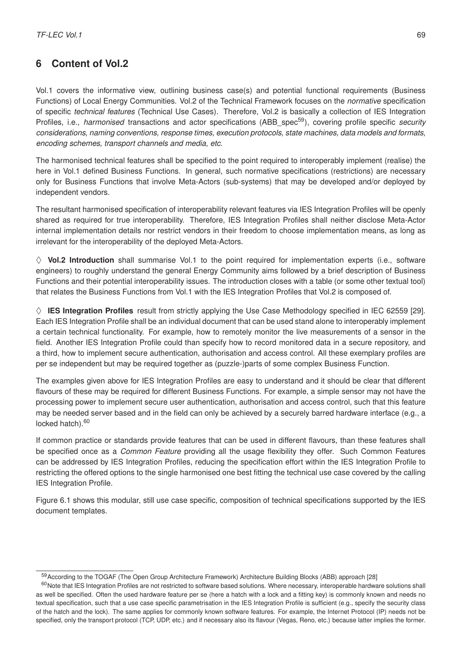## **6 Content of Vol.2**

Vol.1 covers the informative view, outlining business case(s) and potential functional requirements (Business Functions) of Local Energy Communities. Vol.2 of the Technical Framework focuses on the *normative* specification of specific *technical features* (Technical Use Cases). Therefore, Vol.2 is basically a collection of IES Integration Profiles, i.e., *harmonised* transactions and actor specifications (ABB spec<sup>[59](#page-72-0)</sup>), covering profile specific *security considerations, naming conventions, response times, execution protocols, state machines, data models and formats, encoding schemes, transport channels and media, etc.*

The harmonised technical features shall be specified to the point required to interoperably implement (realise) the here in Vol.1 defined Business Functions. In general, such normative specifications (restrictions) are necessary only for Business Functions that involve Meta-Actors (sub-systems) that may be developed and/or deployed by independent vendors.

The resultant harmonised specification of interoperability relevant features via IES Integration Profiles will be openly shared as required for true interoperability. Therefore, IES Integration Profiles shall neither disclose Meta-Actor internal implementation details nor restrict vendors in their freedom to choose implementation means, as long as irrelevant for the interoperability of the deployed Meta-Actors.

 $\diamond$  **Vol.2 Introduction** shall summarise Vol.1 to the point required for implementation experts (i.e., software engineers) to roughly understand the general Energy Community aims followed by a brief description of Business Functions and their potential interoperability issues. The introduction closes with a table (or some other textual tool) that relates the Business Functions from Vol.1 with the IES Integration Profiles that Vol.2 is composed of.

 $\diamond$  **IES Integration Profiles** result from strictly applying the Use Case Methodology specified in IEC 62559 [\[29\]](#page-77-0). Each IES Integration Profile shall be an individual document that can be used stand alone to interoperably implement a certain technical functionality. For example, how to remotely monitor the live measurements of a sensor in the field. Another IES Integration Profile could than specify how to record monitored data in a secure repository, and a third, how to implement secure authentication, authorisation and access control. All these exemplary profiles are per se independent but may be required together as (puzzle-)parts of some complex Business Function.

The examples given above for IES Integration Profiles are easy to understand and it should be clear that different flavours of these may be required for different Business Functions. For example, a simple sensor may not have the processing power to implement secure user authentication, authorisation and access control, such that this feature may be needed server based and in the field can only be achieved by a securely barred hardware interface (e.g., a locked hatch).<sup>[60](#page-72-1)</sup>

If common practice or standards provide features that can be used in different flavours, than these features shall be specified once as a *Common Feature* providing all the usage flexibility they offer. Such Common Features can be addressed by IES Integration Profiles, reducing the specification effort within the IES Integration Profile to restricting the offered options to the single harmonised one best fitting the technical use case covered by the calling IES Integration Profile.

Figure [6.1](#page-73-0) shows this modular, still use case specific, composition of technical specifications supported by the IES document templates.

<span id="page-72-1"></span><span id="page-72-0"></span><sup>59</sup>According to the TOGAF (The Open Group Architecture Framework) Architecture Building Blocks (ABB) approach [\[28\]](#page-77-1)

<sup>60</sup> Note that IES Integration Profiles are not restricted to software based solutions. Where necessary, interoperable hardware solutions shall as well be specified. Often the used hardware feature per se (here a hatch with a lock and a fitting key) is commonly known and needs no textual specification, such that a use case specific parametrisation in the IES Integration Profile is sufficient (e.g., specify the security class of the hatch and the lock). The same applies for commonly known software features. For example, the Internet Protocol (IP) needs not be specified, only the transport protocol (TCP, UDP, etc.) and if necessary also its flavour (Vegas, Reno, etc.) because latter implies the former.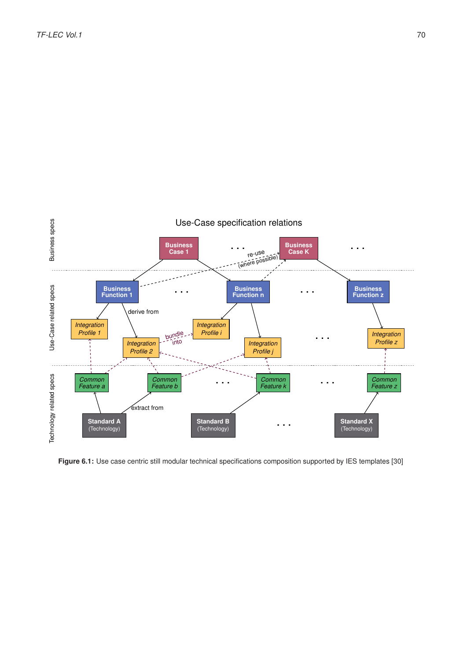<span id="page-73-0"></span>

**Figure 6.1:** Use case centric still modular technical specifications composition supported by IES templates [\[30\]](#page-77-2)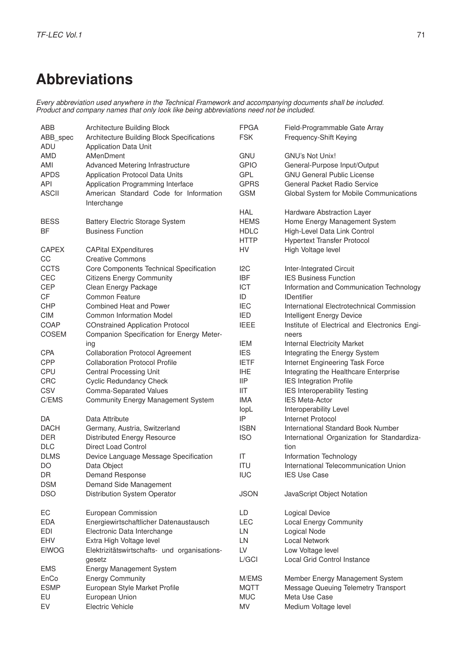## **Abbreviations**

*Every abbreviation used anywhere in the Technical Framework and accompanying documents shall be included. Product and company names that only look like being abbreviations need not be included.*

| ABB<br>ABB_spec<br>ADU | Architecture Building Block<br>Architecture Building Block Specifications<br>Application Data Unit | <b>FPGA</b><br><b>FSK</b> | Field-Programmable Gate Array<br>Frequency-Shift Keying |
|------------------------|----------------------------------------------------------------------------------------------------|---------------------------|---------------------------------------------------------|
| <b>AMD</b>             | AMenDment                                                                                          | <b>GNU</b>                | GNU's Not Unix!                                         |
| AMI                    | Advanced Metering Infrastructure                                                                   | <b>GPIO</b>               | General-Purpose Input/Output                            |
| <b>APDS</b>            | Application Protocol Data Units                                                                    | GPL                       | <b>GNU General Public License</b>                       |
| <b>API</b>             | Application Programming Interface                                                                  | <b>GPRS</b>               | General Packet Radio Service                            |
| <b>ASCII</b>           | American Standard Code for Information                                                             | <b>GSM</b>                | Global System for Mobile Communications                 |
|                        | Interchange                                                                                        |                           |                                                         |
|                        |                                                                                                    | <b>HAL</b>                | Hardware Abstraction Layer                              |
| <b>BESS</b>            | <b>Battery Electric Storage System</b>                                                             | <b>HEMS</b>               | Home Energy Management System                           |
| <b>BF</b>              | <b>Business Function</b>                                                                           | <b>HDLC</b>               | High-Level Data Link Control                            |
|                        |                                                                                                    | <b>HTTP</b>               | <b>Hypertext Transfer Protocol</b>                      |
| <b>CAPEX</b><br>CC     | <b>CAPital EXpenditures</b><br><b>Creative Commons</b>                                             | HV                        | High Voltage level                                      |
| <b>CCTS</b>            | Core Components Technical Specification                                                            | I <sub>2</sub> C          | Inter-Integrated Circuit                                |
| <b>CEC</b>             | <b>Citizens Energy Community</b>                                                                   | <b>IBF</b>                | <b>IES Business Function</b>                            |
| <b>CEP</b>             | Clean Energy Package                                                                               | <b>ICT</b>                | Information and Communication Technology                |
| CF                     | <b>Common Feature</b>                                                                              | ID                        | <b>IDentifier</b>                                       |
| <b>CHP</b>             | Combined Heat and Power                                                                            | <b>IEC</b>                | International Electrotechnical Commission               |
| <b>CIM</b>             | <b>Common Information Model</b>                                                                    | <b>IED</b>                | Intelligent Energy Device                               |
| COAP                   | <b>COnstrained Application Protocol</b>                                                            | <b>IEEE</b>               | Institute of Electrical and Electronics Engi-           |
| COSEM                  | Companion Specification for Energy Meter-                                                          |                           | neers                                                   |
|                        | ing                                                                                                | <b>IEM</b>                | <b>Internal Electricity Market</b>                      |
| CPA                    | <b>Collaboration Protocol Agreement</b>                                                            | <b>IES</b>                | Integrating the Energy System                           |
| <b>CPP</b>             | <b>Collaboration Protocol Profile</b>                                                              | <b>IETF</b>               | Internet Engineering Task Force                         |
|                        |                                                                                                    |                           |                                                         |
| CPU                    | <b>Central Processing Unit</b>                                                                     | <b>IHE</b>                | Integrating the Healthcare Enterprise                   |
| CRC                    | <b>Cyclic Redundancy Check</b>                                                                     | <b>IIP</b>                | <b>IES Integration Profile</b>                          |
| CSV                    | Comma-Separated Values                                                                             | IIT                       | <b>IES Interoperability Testing</b>                     |
| C/EMS                  | Community Energy Management System                                                                 | <b>IMA</b>                | <b>IES Meta-Actor</b>                                   |
|                        |                                                                                                    | lopL                      | Interoperability Level                                  |
| DA                     | Data Attribute                                                                                     | IP                        | Internet Protocol                                       |
| <b>DACH</b>            | Germany, Austria, Switzerland                                                                      | <b>ISBN</b>               | International Standard Book Number                      |
| <b>DER</b>             | <b>Distributed Energy Resource</b>                                                                 | <b>ISO</b>                | International Organization for Standardiza-             |
| <b>DLC</b>             | <b>Direct Load Control</b>                                                                         |                           | tion                                                    |
| <b>DLMS</b>            | Device Language Message Specification                                                              | IT                        | Information Technology                                  |
| DO                     | Data Object                                                                                        | <b>ITU</b>                | International Telecommunication Union                   |
| DR                     | Demand Response                                                                                    | <b>IUC</b>                | <b>IES Use Case</b>                                     |
| <b>DSM</b>             | Demand Side Management                                                                             |                           |                                                         |
| <b>DSO</b>             | Distribution System Operator                                                                       | <b>JSON</b>               | JavaScript Object Notation                              |
| EC                     | European Commission                                                                                | LD                        | <b>Logical Device</b>                                   |
| <b>EDA</b>             | Energiewirtschaftlicher Datenaustausch                                                             | <b>LEC</b>                | <b>Local Energy Community</b>                           |
| <b>EDI</b>             | Electronic Data Interchange                                                                        | LN                        | Logical Node                                            |
| EHV                    | Extra High Voltage level                                                                           | LN                        | <b>Local Network</b>                                    |
| <b>EIWOG</b>           | Elektrizitätswirtschafts- und organisations-                                                       | LV                        | Low Voltage level                                       |
|                        | gesetz                                                                                             | L/GCI                     | Local Grid Control Instance                             |
| <b>EMS</b>             | Energy Management System                                                                           |                           |                                                         |
| EnCo                   | <b>Energy Community</b>                                                                            | M/EMS                     | Member Energy Management System                         |
| <b>ESMP</b>            | European Style Market Profile                                                                      | <b>MQTT</b>               | Message Queuing Telemetry Transport                     |
| EU                     | European Union                                                                                     | <b>MUC</b>                | Meta Use Case                                           |
| EV                     | <b>Electric Vehicle</b>                                                                            | MV                        | Medium Voltage level                                    |
|                        |                                                                                                    |                           |                                                         |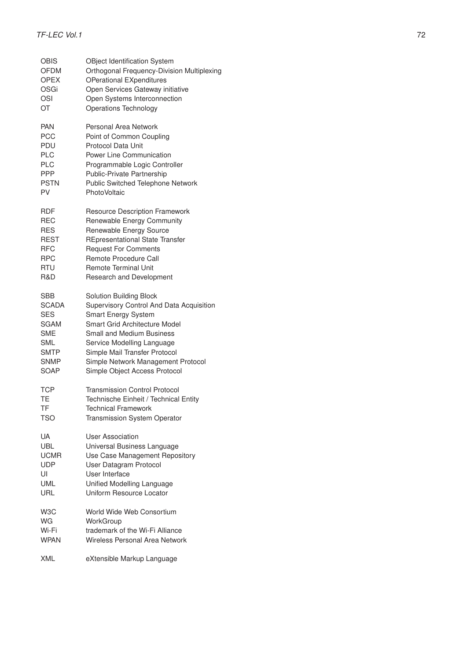| <b>OBIS</b>      | OBject Identification System               |
|------------------|--------------------------------------------|
| <b>OFDM</b>      | Orthogonal Frequency-Division Multiplexing |
| <b>OPEX</b>      | <b>OPerational EXpenditures</b>            |
| OSGi             | Open Services Gateway initiative           |
| OSI              | Open Systems Interconnection               |
| OT               | Operations Technology                      |
| <b>PAN</b>       | Personal Area Network                      |
| <b>PCC</b>       | Point of Common Coupling                   |
| PDU              | Protocol Data Unit                         |
| <b>PLC</b>       | <b>Power Line Communication</b>            |
| <b>PLC</b>       | Programmable Logic Controller              |
| <b>PPP</b>       | Public-Private Partnership                 |
| <b>PSTN</b>      | Public Switched Telephone Network          |
| PV               | <b>PhotoVoltaic</b>                        |
| RDF              | <b>Resource Description Framework</b>      |
| REC              | Renewable Energy Community                 |
| <b>RES</b>       | Renewable Energy Source                    |
| <b>REST</b>      | <b>REpresentational State Transfer</b>     |
| <b>RFC</b>       | <b>Request For Comments</b>                |
| <b>RPC</b>       | Remote Procedure Call                      |
| RTU              | <b>Remote Terminal Unit</b>                |
| R&D              | Research and Development                   |
| SBB              | Solution Building Block                    |
| <b>SCADA</b>     | Supervisory Control And Data Acquisition   |
| <b>SES</b>       | <b>Smart Energy System</b>                 |
| SGAM             | <b>Smart Grid Architecture Model</b>       |
| <b>SME</b>       | <b>Small and Medium Business</b>           |
| SML              | Service Modelling Language                 |
| SMTP             | Simple Mail Transfer Protocol              |
| SNMP             | Simple Network Management Protocol         |
| SOAP             | Simple Object Access Protocol              |
| <b>TCP</b>       | Transmission Control Protocol              |
| TE               | Technische Einheit / Technical Entity      |
| <b>TF</b>        | <b>Technical Framework</b>                 |
| TSO              | Transmission System Operator               |
| UA               | <b>User Association</b>                    |
| UBL              | Universal Business Language                |
| <b>UCMR</b>      | Use Case Management Repository             |
| <b>UDP</b>       | User Datagram Protocol                     |
| UI               | User Interface                             |
| <b>UML</b>       | Unified Modelling Language                 |
| URL              | Uniform Resource Locator                   |
| W <sub>3</sub> C | World Wide Web Consortium                  |
| <b>WG</b>        | WorkGroup                                  |
| Wi-Fi            | trademark of the Wi-Fi Alliance            |
| <b>WPAN</b>      | Wireless Personal Area Network             |
| <b>XML</b>       | eXtensible Markup Language                 |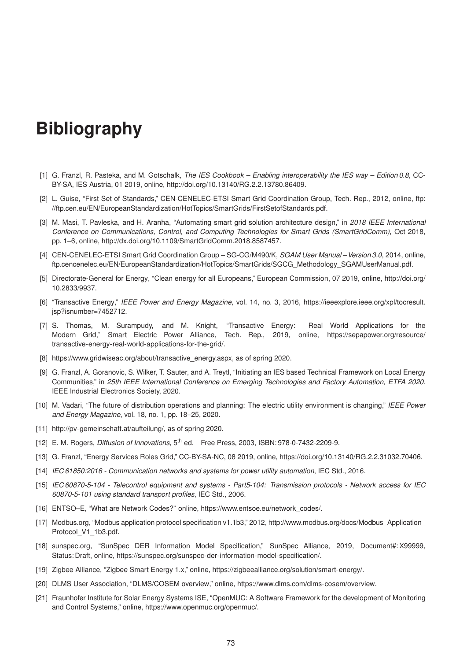## **Bibliography**

- [1] G. Franzl, R. Pasteka, and M. Gotschalk, *The IES Cookbook Enabling interoperability the IES way Edition 0.8*, CC-BY-SA, IES Austria, 01 2019, online, [http://doi.org/10.13140/RG.2.2.13780.86409.](http://doi.org/10.13140/RG.2.2.13780.86409)
- [2] L. Guise, "First Set of Standards," CEN-CENELEC-ETSI Smart Grid Coordination Group, Tech. Rep., 2012, online, [ftp:](ftp://ftp.cen.eu/EN/EuropeanStandardization/HotTopics/SmartGrids/First Set of Standards.pdf) [//ftp.cen.eu/EN/EuropeanStandardization/HotTopics/SmartGrids/FirstSetofStandards.pdf.](ftp://ftp.cen.eu/EN/EuropeanStandardization/HotTopics/SmartGrids/First Set of Standards.pdf)
- [3] M. Masi, T. Pavleska, and H. Aranha, "Automating smart grid solution architecture design," in *2018 IEEE International Conference on Communications, Control, and Computing Technologies for Smart Grids (SmartGridComm)*, Oct 2018, pp. 1–6, online, [http://dx.doi.org/10.1109/SmartGridComm.2018.8587457.](http://dx.doi.org/10.1109/SmartGridComm.2018.8587457)
- [4] CEN-CENELEC-ETSI Smart Grid Coordination Group SG-CG/M490/K, *SGAM User Manual Version 3.0*, 2014, online, [ftp.cencenelec.eu/EN/EuropeanStandardization/HotTopics/SmartGrids/SGCG\\_Methodology\\_SGAMUserManual.pdf.](ftp://ftp.cencenelec.eu/EN/EuropeanStandardization/HotTopics/SmartGrids/SGCG_Methodology_SGAMUserManual.pdf)
- [5] Directorate-General for Energy, "Clean energy for all Europeans," European Commission, 07 2019, online, [http://doi.org/](http://doi.org/10.2833/9937) [10.2833/9937.](http://doi.org/10.2833/9937)
- [6] "Transactive Energy," *IEEE Power and Energy Magazine*, vol. 14, no. 3, 2016, [https://ieeexplore.ieee.org/xpl/tocresult.](https://ieeexplore.ieee.org/xpl/tocresult.jsp?isnumber=7452712) [jsp?isnumber=7452712.](https://ieeexplore.ieee.org/xpl/tocresult.jsp?isnumber=7452712)
- [7] S. Thomas, M. Surampudy, and M. Knight, "Transactive Energy: Real World Applications for the Modern Grid," [Smart Electric Power Alliance,](https://www.sepapower.org) Tech. Rep., 2019, online, [https://sepapower.org/resource/](https://sepapower.org/resource/transactive-energy-real-world-applications-for-the-grid/) [transactive-energy-real-world-applications-for-the-grid/.](https://sepapower.org/resource/transactive-energy-real-world-applications-for-the-grid/)
- [8] [https://www.gridwiseac.org/about/transactive\\_energy.aspx,](https://www.gridwiseac.org/about/transactive_energy.aspx) as of spring 2020.
- [9] G. Franzl, A. Goranovic, S. Wilker, T. Sauter, and A. Treytl, "Initiating an IES based Technical Framework on Local Energy Communities," in *25th IEEE International Conference on Emerging Technologies and Factory Automation, ETFA 2020*. IEEE Industrial Electronics Society, 2020.
- [10] M. Vadari, "The future of distribution operations and planning: The electric utility environment is changing," *IEEE Power and Energy Magazine*, vol. 18, no. 1, pp. 18–25, 2020.
- [11] [http://pv-gemeinschaft.at/aufteilung/,](http://pv-gemeinschaft.at/aufteilung/) as of spring 2020.
- [12] E. M. Rogers, *Diffusion of Innovations*, 5th ed. Free Press, 2003, ISBN: 978-0-7432-2209-9.
- [13] G. Franzl, "Energy Services Roles Grid," CC-BY-SA-NC, 08 2019, online, [https://doi.org/10.13140/RG.2.2.31032.70406.](https://doi.org/10.13140/RG.2.2.31032.70406)
- [14] *IEC 61850:2016 Communication networks and systems for power utility automation*, IEC Std., 2016.
- [15] *IEC 60870-5-104 Telecontrol equipment and systems Part5-104: Transmission protocols Network access for IEC 60870-5-101 using standard transport profiles*, IEC Std., 2006.
- [16] ENTSO–E, "What are Network Codes?" online, [https://www.entsoe.eu/network\\_codes/.](https://www.entsoe.eu/network_codes/)
- [17] [Modbus.org,](https://modbus.org) "Modbus application protocol specification v1.1b3," 2012, [http://www.modbus.org/docs/Modbus\\_Application\\_](http://www.modbus.org/docs/Modbus_Application_Protocol_V1_1b3.pdf) Protocol V1\_1b3.pdf.
- [18] [sunspec.org,](https://sunspec.org) "SunSpec DER Information Model Specification," SunSpec Alliance, 2019, Document#: X99999, Status: Draft, online, [https://sunspec.org/sunspec-der-information-model-specification/.](https://sunspec.org/sunspec-der-information-model-specification/)
- [19] [Zigbee Alliance,](https://zigbeealliance.org/) "Zigbee Smart Energy 1.x," online, [https://zigbeealliance.org/solution/smart-energy/.](https://zigbeealliance.org/solution/smart-energy/)
- [20] [DLMS User Association,](https://www.dlms.com/legal-info) ["DLMS/COSEM overview,](https://www.dlms.com/img/content/dlms-_overview_1709191024x768.jpg)" online, [https://www.dlms.com/dlms-cosem/overview.](https://www.dlms.com/dlms-cosem/overview)
- [21] [Fraunhofer Institute for Solar Energy Systems ISE,](https://ise.fraunhofer.de) "OpenMUC: A Software Framework for the development of Monitoring and Control Systems," online, [https://www.openmuc.org/openmuc/.](https://www.openmuc.org/openmuc/)